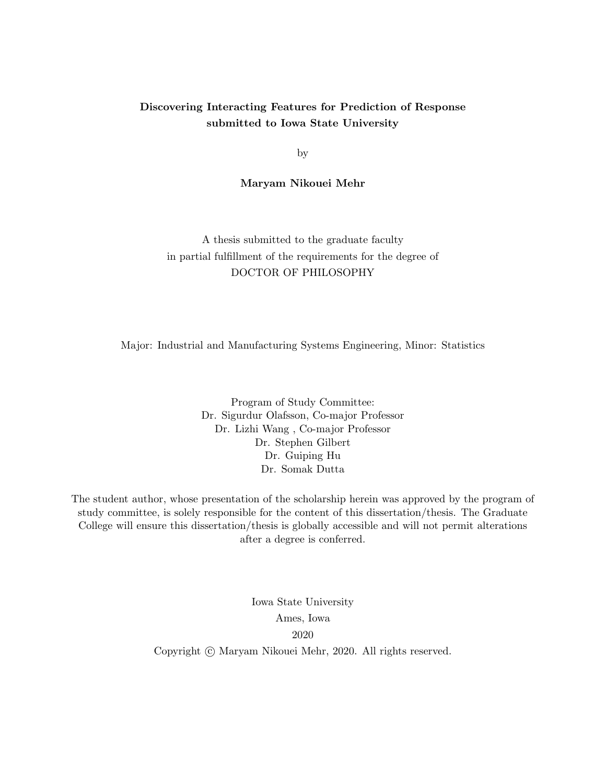### Discovering Interacting Features for Prediction of Response submitted to Iowa State University

by

### Maryam Nikouei Mehr

# A thesis submitted to the graduate faculty in partial fulfillment of the requirements for the degree of DOCTOR OF PHILOSOPHY

Major: Industrial and Manufacturing Systems Engineering, Minor: Statistics

Program of Study Committee: Dr. Sigurdur Olafsson, Co-major Professor Dr. Lizhi Wang , Co-major Professor Dr. Stephen Gilbert Dr. Guiping Hu Dr. Somak Dutta

The student author, whose presentation of the scholarship herein was approved by the program of study committee, is solely responsible for the content of this dissertation/thesis. The Graduate College will ensure this dissertation/thesis is globally accessible and will not permit alterations after a degree is conferred.

> Iowa State University Ames, Iowa 2020 Copyright © Maryam Nikouei Mehr, 2020. All rights reserved.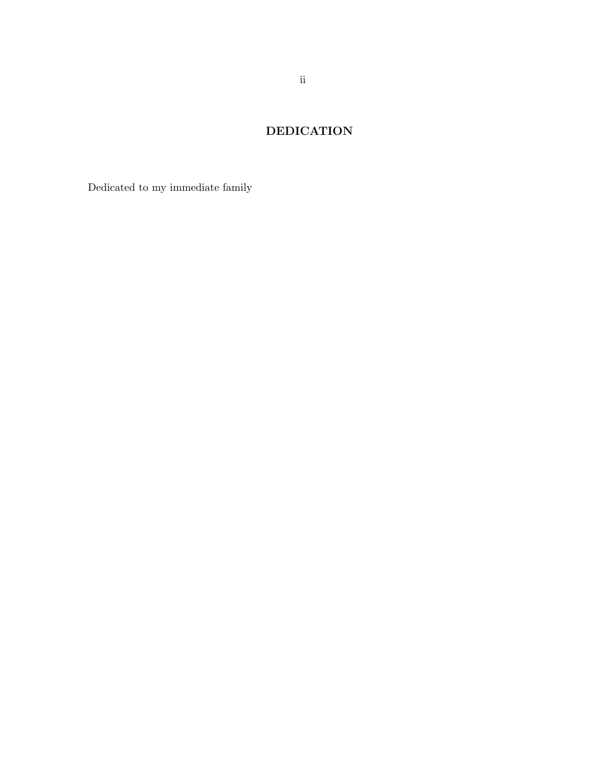Dedicated to my immediate family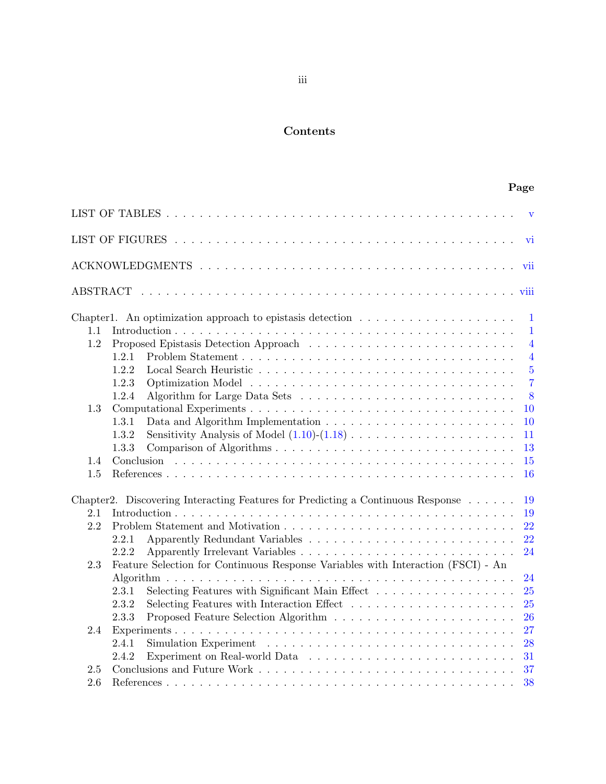# Contents

|         | $\overline{\mathbf{V}}$                                                                                     |
|---------|-------------------------------------------------------------------------------------------------------------|
|         | vi                                                                                                          |
|         | vii                                                                                                         |
|         |                                                                                                             |
|         | Chapter 1. An optimization approach to epistasis detection $\dots \dots \dots \dots \dots \dots \dots$<br>1 |
| 1.1     | $\mathbf{1}$                                                                                                |
| 1.2     | $\overline{4}$                                                                                              |
|         | $\overline{4}$<br>1.2.1                                                                                     |
|         | 1.2.2<br>$\overline{5}$                                                                                     |
|         | $\overline{7}$<br>1.2.3                                                                                     |
|         | 8<br>1.2.4                                                                                                  |
| 1.3     | 10                                                                                                          |
|         | 1.3.1<br>10                                                                                                 |
|         | 1.3.2<br>11                                                                                                 |
|         | 13<br>1.3.3                                                                                                 |
| 1.4     | 15                                                                                                          |
| 1.5     | 16                                                                                                          |
|         | Chapter 2. Discovering Interacting Features for Predicting a Continuous Response<br>19                      |
| 2.1     | 19                                                                                                          |
| 2.2     | 22                                                                                                          |
|         | 22<br>2.2.1                                                                                                 |
|         | 24<br>2.2.2                                                                                                 |
| 2.3     | Feature Selection for Continuous Response Variables with Interaction (FSCI) - An                            |
|         | 24                                                                                                          |
|         | Selecting Features with Significant Main Effect<br>25<br>2.3.1                                              |
|         | 25<br>2.3.2                                                                                                 |
|         | 2.3.3<br>26                                                                                                 |
| $2.4\,$ | 27                                                                                                          |
|         | 28<br>2.4.1                                                                                                 |
|         | 2.4.2<br>31                                                                                                 |
| 2.5     | 37                                                                                                          |
| 2.6     | 38                                                                                                          |
|         |                                                                                                             |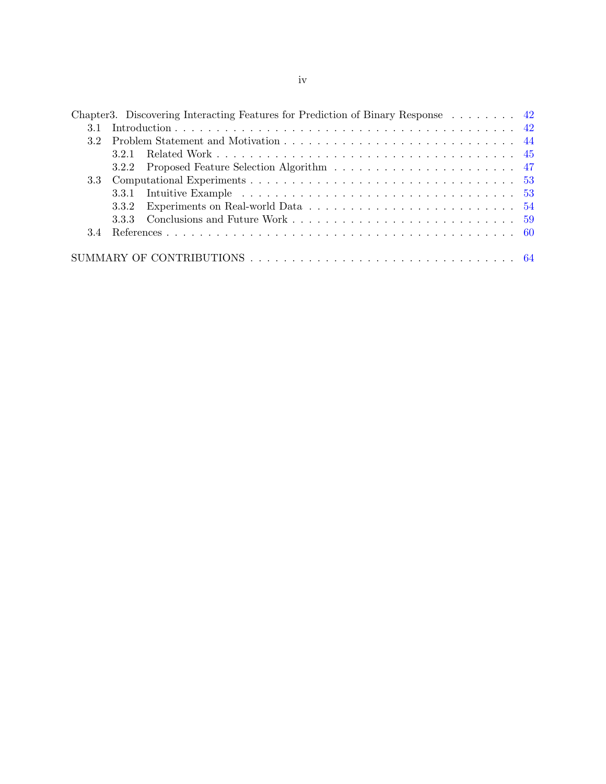|     |     | Chapter 3. Discovering Interacting Features for Prediction of Binary Response 42 |
|-----|-----|----------------------------------------------------------------------------------|
|     |     |                                                                                  |
| 32  |     |                                                                                  |
|     | 321 |                                                                                  |
|     |     |                                                                                  |
|     |     |                                                                                  |
|     |     |                                                                                  |
|     | 332 |                                                                                  |
|     | 333 |                                                                                  |
| 3.4 |     |                                                                                  |
|     |     |                                                                                  |
|     |     |                                                                                  |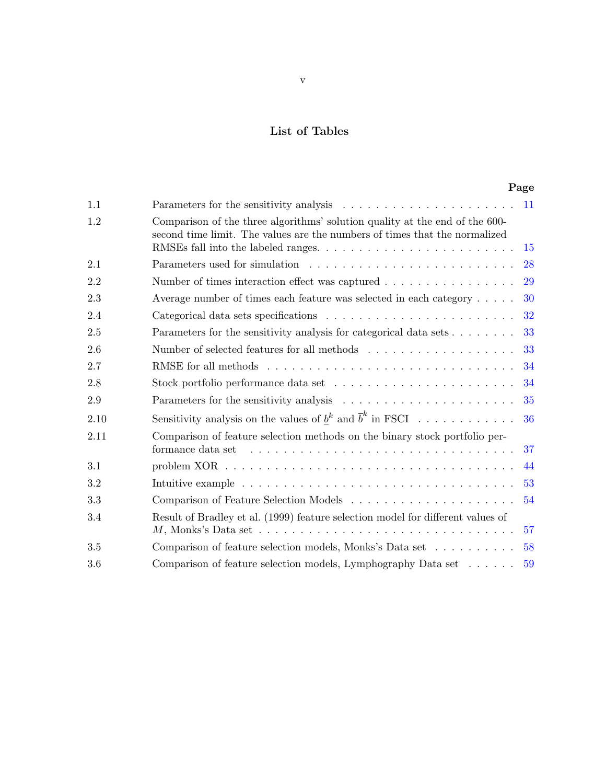# List of Tables

# Page

<span id="page-4-0"></span>

| 1.1  |                                                                                                                                                                                           |           |
|------|-------------------------------------------------------------------------------------------------------------------------------------------------------------------------------------------|-----------|
| 1.2  | Comparison of the three algorithms' solution quality at the end of the 600-<br>second time limit. The values are the numbers of times that the normalized                                 | <b>15</b> |
| 2.1  |                                                                                                                                                                                           | 28        |
| 2.2  |                                                                                                                                                                                           | 29        |
| 2.3  | Average number of times each feature was selected in each category $\dots$ .                                                                                                              | 30        |
| 2.4  |                                                                                                                                                                                           | 32        |
| 2.5  | Parameters for the sensitivity analysis for categorical data sets                                                                                                                         | 33        |
| 2.6  |                                                                                                                                                                                           | 33        |
| 2.7  | RMSE for all methods $\ldots \ldots \ldots \ldots \ldots \ldots \ldots \ldots \ldots \ldots$                                                                                              | 34        |
| 2.8  |                                                                                                                                                                                           | 34        |
| 2.9  |                                                                                                                                                                                           | 35        |
| 2.10 | Sensitivity analysis on the values of $b^k$ and $\overline{b}^k$ in FSCI                                                                                                                  | 36        |
| 2.11 | Comparison of feature selection methods on the binary stock portfolio per-                                                                                                                |           |
|      |                                                                                                                                                                                           | 37        |
| 3.1  |                                                                                                                                                                                           | 44        |
| 3.2  |                                                                                                                                                                                           | 53        |
| 3.3  |                                                                                                                                                                                           | 54        |
| 3.4  | Result of Bradley et al. (1999) feature selection model for different values of<br>$M$ , Monks's Data set $\dots \dots \dots \dots \dots \dots \dots \dots \dots \dots \dots \dots \dots$ | 57        |
| 3.5  | Comparison of feature selection models, Monks's Data set                                                                                                                                  | 58        |
| 3.6  | Comparison of feature selection models, Lymphography Data set                                                                                                                             | 59        |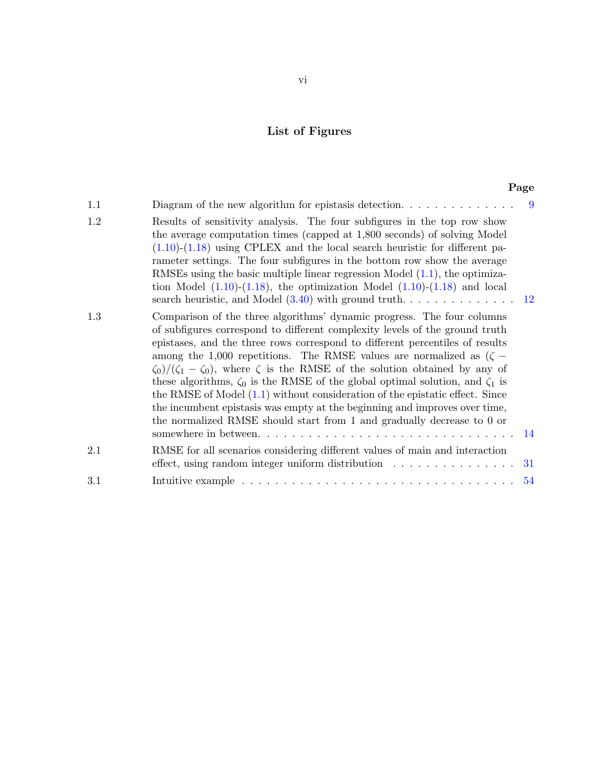# List of Figures

# Page

<span id="page-5-0"></span>

| 1.1 |                                                                                                                                                                                                                                                                                                                                                                                                                                                                                                                                                                                                                                                                                                                                                            |    |
|-----|------------------------------------------------------------------------------------------------------------------------------------------------------------------------------------------------------------------------------------------------------------------------------------------------------------------------------------------------------------------------------------------------------------------------------------------------------------------------------------------------------------------------------------------------------------------------------------------------------------------------------------------------------------------------------------------------------------------------------------------------------------|----|
| 1.2 | Results of sensitivity analysis. The four subfigures in the top row show<br>the average computation times (capped at 1,800 seconds) of solving Model<br>$(1.10)-(1.18)$ using CPLEX and the local search heuristic for different pa-<br>rameter settings. The four subfigures in the bottom row show the average<br>RMSEs using the basic multiple linear regression Model $(1.1)$ , the optimiza-<br>tion Model $(1.10)$ - $(1.18)$ , the optimization Model $(1.10)$ - $(1.18)$ and local                                                                                                                                                                                                                                                                |    |
| 1.3 | Comparison of the three algorithms' dynamic progress. The four columns<br>of subfigures correspond to different complexity levels of the ground truth<br>epistases, and the three rows correspond to different percentiles of results<br>among the 1,000 repetitions. The RMSE values are normalized as $(\zeta - )$<br>$\zeta_0/(\zeta_1 - \zeta_0)$ , where $\zeta$ is the RMSE of the solution obtained by any of<br>these algorithms, $\zeta_0$ is the RMSE of the global optimal solution, and $\zeta_1$ is<br>the RMSE of Model $(1.1)$ without consideration of the epistatic effect. Since<br>the incumbent epistasis was empty at the beginning and improves over time,<br>the normalized RMSE should start from 1 and gradually decrease to 0 or | 14 |
| 2.1 | RMSE for all scenarios considering different values of main and interaction<br>effect, using random integer uniform distribution $\dots \dots \dots \dots \dots$                                                                                                                                                                                                                                                                                                                                                                                                                                                                                                                                                                                           | 31 |
| 3.1 | Intuitive example $\ldots \ldots \ldots \ldots \ldots \ldots \ldots \ldots \ldots \ldots \ldots$                                                                                                                                                                                                                                                                                                                                                                                                                                                                                                                                                                                                                                                           |    |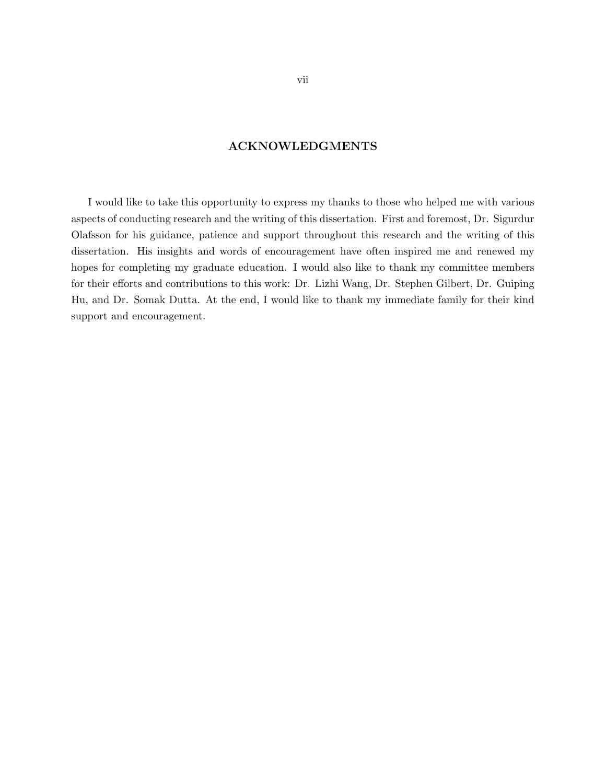### ACKNOWLEDGMENTS

<span id="page-6-0"></span>I would like to take this opportunity to express my thanks to those who helped me with various aspects of conducting research and the writing of this dissertation. First and foremost, Dr. Sigurdur Olafsson for his guidance, patience and support throughout this research and the writing of this dissertation. His insights and words of encouragement have often inspired me and renewed my hopes for completing my graduate education. I would also like to thank my committee members for their efforts and contributions to this work: Dr. Lizhi Wang, Dr. Stephen Gilbert, Dr. Guiping Hu, and Dr. Somak Dutta. At the end, I would like to thank my immediate family for their kind support and encouragement.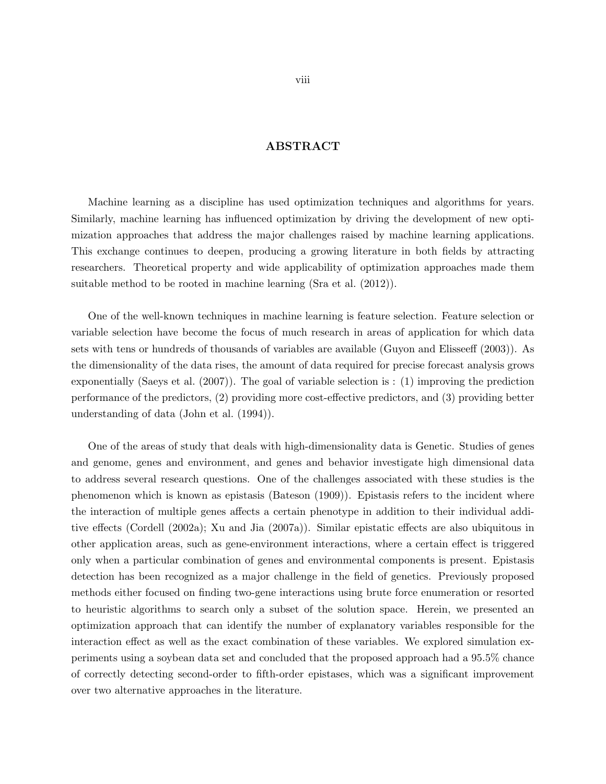### ABSTRACT

<span id="page-7-0"></span>Machine learning as a discipline has used optimization techniques and algorithms for years. Similarly, machine learning has influenced optimization by driving the development of new optimization approaches that address the major challenges raised by machine learning applications. This exchange continues to deepen, producing a growing literature in both fields by attracting researchers. Theoretical property and wide applicability of optimization approaches made them suitable method to be rooted in machine learning (Sra et al. (2012)).

One of the well-known techniques in machine learning is feature selection. Feature selection or variable selection have become the focus of much research in areas of application for which data sets with tens or hundreds of thousands of variables are available (Guyon and Elisseeff (2003)). As the dimensionality of the data rises, the amount of data required for precise forecast analysis grows exponentially (Saeys et al. (2007)). The goal of variable selection is : (1) improving the prediction performance of the predictors, (2) providing more cost-effective predictors, and (3) providing better understanding of data (John et al. (1994)).

One of the areas of study that deals with high-dimensionality data is Genetic. Studies of genes and genome, genes and environment, and genes and behavior investigate high dimensional data to address several research questions. One of the challenges associated with these studies is the phenomenon which is known as epistasis (Bateson (1909)). Epistasis refers to the incident where the interaction of multiple genes affects a certain phenotype in addition to their individual additive effects (Cordell (2002a); Xu and Jia (2007a)). Similar epistatic effects are also ubiquitous in other application areas, such as gene-environment interactions, where a certain effect is triggered only when a particular combination of genes and environmental components is present. Epistasis detection has been recognized as a major challenge in the field of genetics. Previously proposed methods either focused on finding two-gene interactions using brute force enumeration or resorted to heuristic algorithms to search only a subset of the solution space. Herein, we presented an optimization approach that can identify the number of explanatory variables responsible for the interaction effect as well as the exact combination of these variables. We explored simulation experiments using a soybean data set and concluded that the proposed approach had a 95.5% chance of correctly detecting second-order to fifth-order epistases, which was a significant improvement over two alternative approaches in the literature.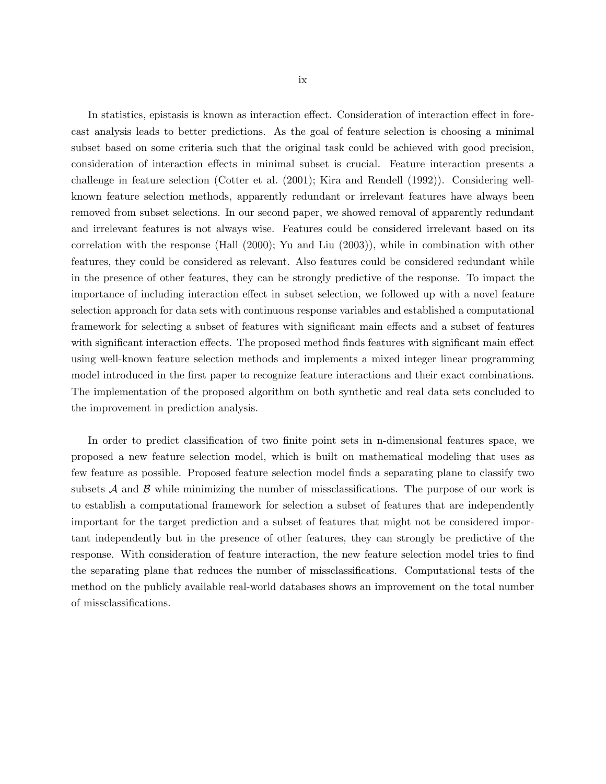In statistics, epistasis is known as interaction effect. Consideration of interaction effect in forecast analysis leads to better predictions. As the goal of feature selection is choosing a minimal subset based on some criteria such that the original task could be achieved with good precision, consideration of interaction effects in minimal subset is crucial. Feature interaction presents a challenge in feature selection (Cotter et al. (2001); Kira and Rendell (1992)). Considering wellknown feature selection methods, apparently redundant or irrelevant features have always been removed from subset selections. In our second paper, we showed removal of apparently redundant and irrelevant features is not always wise. Features could be considered irrelevant based on its correlation with the response (Hall (2000); Yu and Liu (2003)), while in combination with other features, they could be considered as relevant. Also features could be considered redundant while in the presence of other features, they can be strongly predictive of the response. To impact the importance of including interaction effect in subset selection, we followed up with a novel feature selection approach for data sets with continuous response variables and established a computational framework for selecting a subset of features with significant main effects and a subset of features with significant interaction effects. The proposed method finds features with significant main effect using well-known feature selection methods and implements a mixed integer linear programming model introduced in the first paper to recognize feature interactions and their exact combinations. The implementation of the proposed algorithm on both synthetic and real data sets concluded to the improvement in prediction analysis.

In order to predict classification of two finite point sets in n-dimensional features space, we proposed a new feature selection model, which is built on mathematical modeling that uses as few feature as possible. Proposed feature selection model finds a separating plane to classify two subsets  $A$  and  $B$  while minimizing the number of missclassifications. The purpose of our work is to establish a computational framework for selection a subset of features that are independently important for the target prediction and a subset of features that might not be considered important independently but in the presence of other features, they can strongly be predictive of the response. With consideration of feature interaction, the new feature selection model tries to find the separating plane that reduces the number of missclassifications. Computational tests of the method on the publicly available real-world databases shows an improvement on the total number of missclassifications.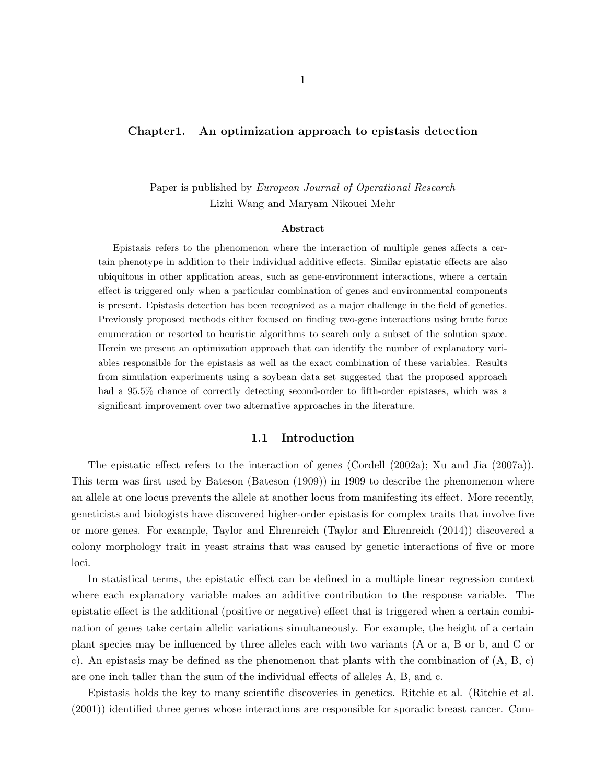### <span id="page-9-0"></span>Chapter1. An optimization approach to epistasis detection

Paper is published by European Journal of Operational Research Lizhi Wang and Maryam Nikouei Mehr

#### Abstract

Epistasis refers to the phenomenon where the interaction of multiple genes affects a certain phenotype in addition to their individual additive effects. Similar epistatic effects are also ubiquitous in other application areas, such as gene-environment interactions, where a certain effect is triggered only when a particular combination of genes and environmental components is present. Epistasis detection has been recognized as a major challenge in the field of genetics. Previously proposed methods either focused on finding two-gene interactions using brute force enumeration or resorted to heuristic algorithms to search only a subset of the solution space. Herein we present an optimization approach that can identify the number of explanatory variables responsible for the epistasis as well as the exact combination of these variables. Results from simulation experiments using a soybean data set suggested that the proposed approach had a  $95.5\%$  chance of correctly detecting second-order to fifth-order epistases, which was a significant improvement over two alternative approaches in the literature.

### 1.1 Introduction

The epistatic effect refers to the interaction of genes (Cordell (2002a); Xu and Jia (2007a)). This term was first used by Bateson (Bateson (1909)) in 1909 to describe the phenomenon where an allele at one locus prevents the allele at another locus from manifesting its effect. More recently, geneticists and biologists have discovered higher-order epistasis for complex traits that involve five or more genes. For example, Taylor and Ehrenreich (Taylor and Ehrenreich (2014)) discovered a colony morphology trait in yeast strains that was caused by genetic interactions of five or more loci.

In statistical terms, the epistatic effect can be defined in a multiple linear regression context where each explanatory variable makes an additive contribution to the response variable. The epistatic effect is the additional (positive or negative) effect that is triggered when a certain combination of genes take certain allelic variations simultaneously. For example, the height of a certain plant species may be influenced by three alleles each with two variants (A or a, B or b, and C or c). An epistasis may be defined as the phenomenon that plants with the combination of (A, B, c) are one inch taller than the sum of the individual effects of alleles A, B, and c.

Epistasis holds the key to many scientific discoveries in genetics. Ritchie et al. (Ritchie et al. (2001)) identified three genes whose interactions are responsible for sporadic breast cancer. Com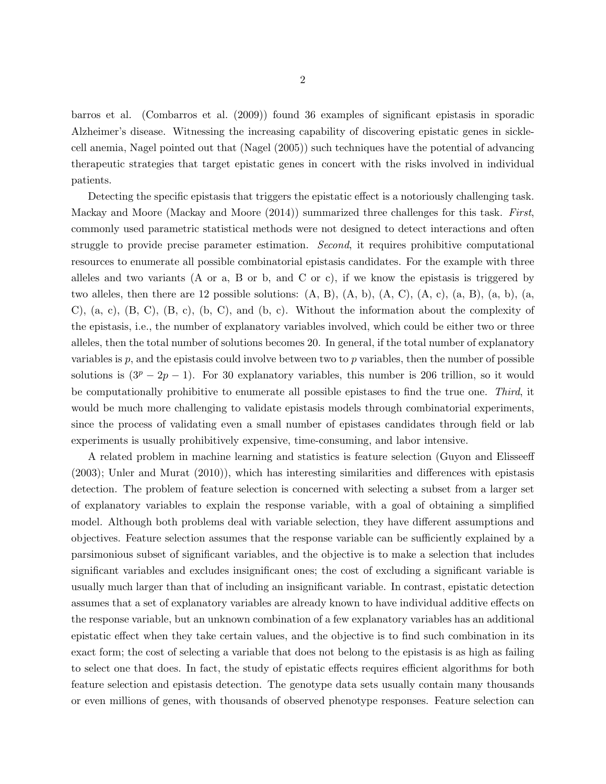barros et al. (Combarros et al. (2009)) found 36 examples of significant epistasis in sporadic Alzheimer's disease. Witnessing the increasing capability of discovering epistatic genes in sicklecell anemia, Nagel pointed out that (Nagel (2005)) such techniques have the potential of advancing therapeutic strategies that target epistatic genes in concert with the risks involved in individual patients.

Detecting the specific epistasis that triggers the epistatic effect is a notoriously challenging task. Mackay and Moore (Mackay and Moore (2014)) summarized three challenges for this task. First, commonly used parametric statistical methods were not designed to detect interactions and often struggle to provide precise parameter estimation. Second, it requires prohibitive computational resources to enumerate all possible combinatorial epistasis candidates. For the example with three alleles and two variants  $(A \text{ or } a, B \text{ or } b, \text{ and } C \text{ or } c)$ , if we know the epistasis is triggered by two alleles, then there are 12 possible solutions:  $(A, B), (A, b), (A, C), (A, c), (a, B), (a, b), (a, c)$ C),  $(a, c), (B, C), (B, c), (b, C),$  and  $(b, c)$ . Without the information about the complexity of the epistasis, i.e., the number of explanatory variables involved, which could be either two or three alleles, then the total number of solutions becomes 20. In general, if the total number of explanatory variables is  $p$ , and the epistasis could involve between two to  $p$  variables, then the number of possible solutions is  $(3^p - 2p - 1)$ . For 30 explanatory variables, this number is 206 trillion, so it would be computationally prohibitive to enumerate all possible epistases to find the true one. Third, it would be much more challenging to validate epistasis models through combinatorial experiments, since the process of validating even a small number of epistases candidates through field or lab experiments is usually prohibitively expensive, time-consuming, and labor intensive.

A related problem in machine learning and statistics is feature selection (Guyon and Elisseeff (2003); Unler and Murat (2010)), which has interesting similarities and differences with epistasis detection. The problem of feature selection is concerned with selecting a subset from a larger set of explanatory variables to explain the response variable, with a goal of obtaining a simplified model. Although both problems deal with variable selection, they have different assumptions and objectives. Feature selection assumes that the response variable can be sufficiently explained by a parsimonious subset of significant variables, and the objective is to make a selection that includes significant variables and excludes insignificant ones; the cost of excluding a significant variable is usually much larger than that of including an insignificant variable. In contrast, epistatic detection assumes that a set of explanatory variables are already known to have individual additive effects on the response variable, but an unknown combination of a few explanatory variables has an additional epistatic effect when they take certain values, and the objective is to find such combination in its exact form; the cost of selecting a variable that does not belong to the epistasis is as high as failing to select one that does. In fact, the study of epistatic effects requires efficient algorithms for both feature selection and epistasis detection. The genotype data sets usually contain many thousands or even millions of genes, with thousands of observed phenotype responses. Feature selection can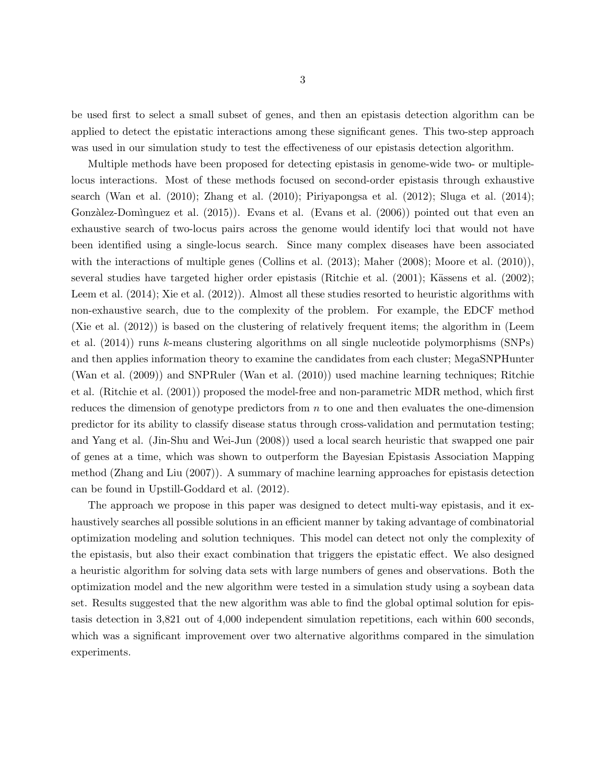be used first to select a small subset of genes, and then an epistasis detection algorithm can be applied to detect the epistatic interactions among these significant genes. This two-step approach was used in our simulation study to test the effectiveness of our epistasis detection algorithm.

Multiple methods have been proposed for detecting epistasis in genome-wide two- or multiplelocus interactions. Most of these methods focused on second-order epistasis through exhaustive search (Wan et al. (2010); Zhang et al. (2010); Piriyapongsa et al. (2012); Sluga et al. (2014); Gonzàlez-Domìnguez et al. (2015)). Evans et al. (Evans et al. (2006)) pointed out that even an exhaustive search of two-locus pairs across the genome would identify loci that would not have been identified using a single-locus search. Since many complex diseases have been associated with the interactions of multiple genes (Collins et al.  $(2013)$ ; Maher  $(2008)$ ; Moore et al.  $(2010)$ ), several studies have targeted higher order epistasis (Ritchie et al.  $(2001)$ ; Kässens et al.  $(2002)$ ; Leem et al. (2014); Xie et al. (2012)). Almost all these studies resorted to heuristic algorithms with non-exhaustive search, due to the complexity of the problem. For example, the EDCF method (Xie et al. (2012)) is based on the clustering of relatively frequent items; the algorithm in (Leem et al. (2014)) runs k-means clustering algorithms on all single nucleotide polymorphisms (SNPs) and then applies information theory to examine the candidates from each cluster; MegaSNPHunter (Wan et al. (2009)) and SNPRuler (Wan et al. (2010)) used machine learning techniques; Ritchie et al. (Ritchie et al. (2001)) proposed the model-free and non-parametric MDR method, which first reduces the dimension of genotype predictors from  $n$  to one and then evaluates the one-dimension predictor for its ability to classify disease status through cross-validation and permutation testing; and Yang et al. (Jin-Shu and Wei-Jun (2008)) used a local search heuristic that swapped one pair of genes at a time, which was shown to outperform the Bayesian Epistasis Association Mapping method (Zhang and Liu (2007)). A summary of machine learning approaches for epistasis detection can be found in Upstill-Goddard et al. (2012).

The approach we propose in this paper was designed to detect multi-way epistasis, and it exhaustively searches all possible solutions in an efficient manner by taking advantage of combinatorial optimization modeling and solution techniques. This model can detect not only the complexity of the epistasis, but also their exact combination that triggers the epistatic effect. We also designed a heuristic algorithm for solving data sets with large numbers of genes and observations. Both the optimization model and the new algorithm were tested in a simulation study using a soybean data set. Results suggested that the new algorithm was able to find the global optimal solution for epistasis detection in 3,821 out of 4,000 independent simulation repetitions, each within 600 seconds, which was a significant improvement over two alternative algorithms compared in the simulation experiments.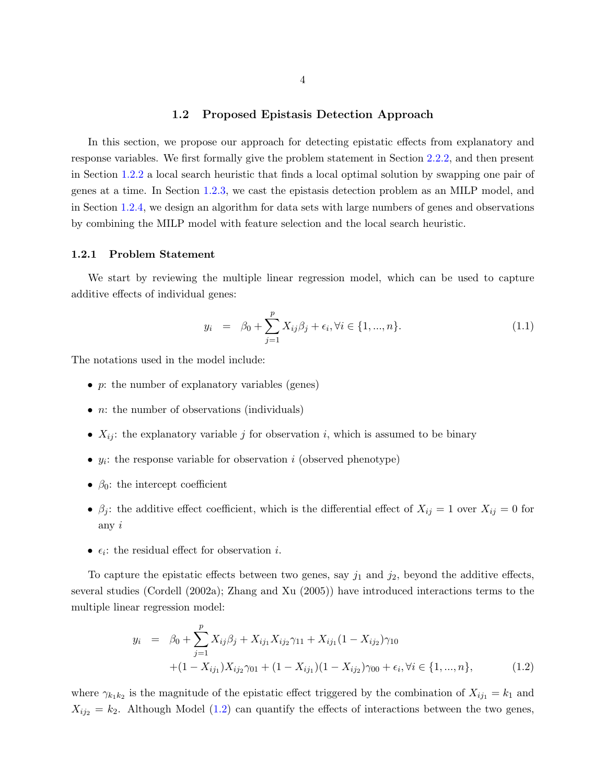### 1.2 Proposed Epistasis Detection Approach

<span id="page-12-0"></span>In this section, we propose our approach for detecting epistatic effects from explanatory and response variables. We first formally give the problem statement in Section [2.2.2,](#page-32-0) and then present in Section [1.2.2](#page-13-0) a local search heuristic that finds a local optimal solution by swapping one pair of genes at a time. In Section [1.2.3,](#page-15-0) we cast the epistasis detection problem as an MILP model, and in Section [1.2.4,](#page-16-0) we design an algorithm for data sets with large numbers of genes and observations by combining the MILP model with feature selection and the local search heuristic.

#### 1.2.1 Problem Statement

We start by reviewing the multiple linear regression model, which can be used to capture additive effects of individual genes:

$$
y_i = \beta_0 + \sum_{j=1}^p X_{ij} \beta_j + \epsilon_i, \forall i \in \{1, ..., n\}.
$$
 (1.1)

The notations used in the model include:

- p: the number of explanatory variables (genes)
- $n:$  the number of observations (individuals)
- $X_{ij}$ : the explanatory variable j for observation i, which is assumed to be binary
- $y_i$ : the response variable for observation i (observed phenotype)
- $\beta_0$ : the intercept coefficient
- $\beta_j$ : the additive effect coefficient, which is the differential effect of  $X_{ij} = 1$  over  $X_{ij} = 0$  for any i
- $\epsilon_i$ : the residual effect for observation *i*.

To capture the epistatic effects between two genes, say  $j_1$  and  $j_2$ , beyond the additive effects, several studies (Cordell (2002a); Zhang and Xu (2005)) have introduced interactions terms to the multiple linear regression model:

$$
y_i = \beta_0 + \sum_{j=1}^p X_{ij}\beta_j + X_{ij_1}X_{ij_2}\gamma_{11} + X_{ij_1}(1 - X_{ij_2})\gamma_{10}
$$
  
 
$$
+ (1 - X_{ij_1})X_{ij_2}\gamma_{01} + (1 - X_{ij_1})(1 - X_{ij_2})\gamma_{00} + \epsilon_i, \forall i \in \{1, ..., n\},
$$
 (1.2)

where  $\gamma_{k_1k_2}$  is the magnitude of the epistatic effect triggered by the combination of  $X_{ij_1} = k_1$  and  $X_{ij_2} = k_2$ . Although Model (1.2) can quantify the effects of interactions between the two genes,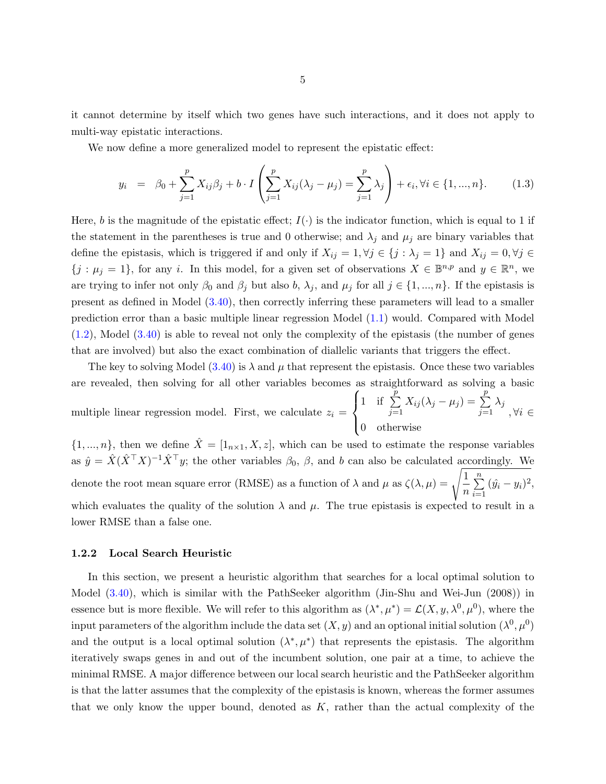<span id="page-13-0"></span>it cannot determine by itself which two genes have such interactions, and it does not apply to multi-way epistatic interactions.

We now define a more generalized model to represent the epistatic effect:

$$
y_i = \beta_0 + \sum_{j=1}^p X_{ij} \beta_j + b \cdot I \left( \sum_{j=1}^p X_{ij} (\lambda_j - \mu_j) = \sum_{j=1}^p \lambda_j \right) + \epsilon_i, \forall i \in \{1, ..., n\}.
$$
 (1.3)

Here, b is the magnitude of the epistatic effect;  $I(\cdot)$  is the indicator function, which is equal to 1 if the statement in the parentheses is true and 0 otherwise; and  $\lambda_j$  and  $\mu_j$  are binary variables that define the epistasis, which is triggered if and only if  $X_{ij} = 1, \forall j \in \{j : \lambda_j = 1\}$  and  $X_{ij} = 0, \forall j \in$  $\{j : \mu_j = 1\}$ , for any i. In this model, for a given set of observations  $X \in \mathbb{B}^{n,p}$  and  $y \in \mathbb{R}^n$ , we are trying to infer not only  $\beta_0$  and  $\beta_j$  but also b,  $\lambda_j$ , and  $\mu_j$  for all  $j \in \{1, ..., n\}$ . If the epistasis is present as defined in Model [\(3.40\)](#page-56-0), then correctly inferring these parameters will lead to a smaller prediction error than a basic multiple linear regression Model [\(1.1\)](#page-12-0) would. Compared with Model [\(1.2\)](#page-12-0), Model [\(3.40\)](#page-56-0) is able to reveal not only the complexity of the epistasis (the number of genes that are involved) but also the exact combination of diallelic variants that triggers the effect.

The key to solving Model  $(3.40)$  is  $\lambda$  and  $\mu$  that represent the epistasis. Once these two variables are revealed, then solving for all other variables becomes as straightforward as solving a basic

multiple linear regression model. First, we calculate

$$
z_i = \begin{cases} 1 & \text{if } \sum_{j=1}^{p} X_{ij} (\lambda_j - \mu_j) = \sum_{j=1}^{p} \lambda_j \\ 0 & \text{otherwise} \end{cases}
$$

,  $\forall i \in$ 

 $\{1, ..., n\}$ , then we define  $\hat{X} = [1_{n \times 1}, X, z]$ , which can be used to estimate the response variables as  $\hat{y} = \hat{X}(\hat{X}^{\top}X)^{-1}\hat{X}^{\top}y$ ; the other variables  $\beta_0$ ,  $\beta$ , and b can also be calculated accordingly. We denote the root mean square error (RMSE) as a function of  $\lambda$  and  $\mu$  as  $\zeta(\lambda,\mu) = \sqrt{\frac{1}{n}}$  $\frac{1}{n} \sum_{i=1}^n$  $i=1$  $(y_i - y_i)^2$ , which evaluates the quality of the solution  $\lambda$  and  $\mu$ . The true epistasis is expected to result in a lower RMSE than a false one.

#### 1.2.2 Local Search Heuristic

In this section, we present a heuristic algorithm that searches for a local optimal solution to Model [\(3.40\)](#page-56-0), which is similar with the PathSeeker algorithm (Jin-Shu and Wei-Jun (2008)) in essence but is more flexible. We will refer to this algorithm as  $(\lambda^*, \mu^*) = \mathcal{L}(X, y, \lambda^0, \mu^0)$ , where the input parameters of the algorithm include the data set  $(X, y)$  and an optional initial solution  $(\lambda^0, \mu^0)$ and the output is a local optimal solution  $(\lambda^*, \mu^*)$  that represents the epistasis. The algorithm iteratively swaps genes in and out of the incumbent solution, one pair at a time, to achieve the minimal RMSE. A major difference between our local search heuristic and the PathSeeker algorithm is that the latter assumes that the complexity of the epistasis is known, whereas the former assumes that we only know the upper bound, denoted as  $K$ , rather than the actual complexity of the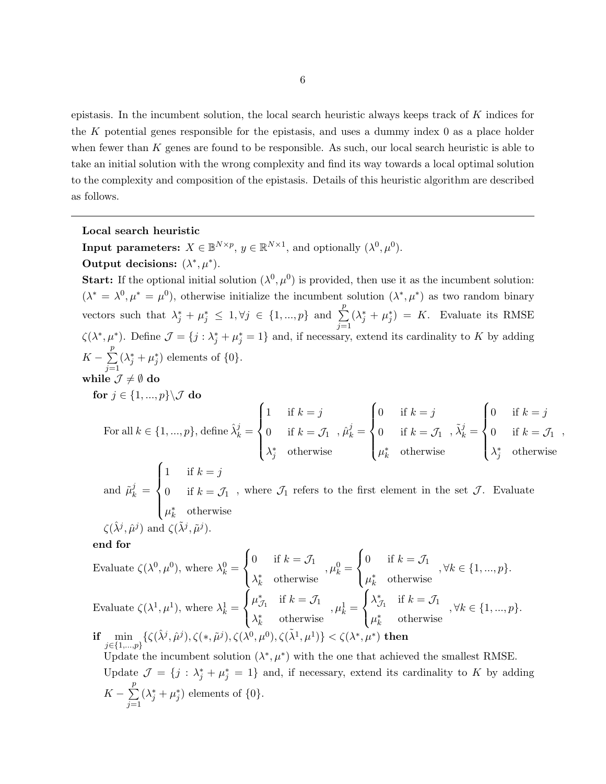epistasis. In the incumbent solution, the local search heuristic always keeps track of  $K$  indices for the K potential genes responsible for the epistasis, and uses a dummy index  $\theta$  as a place holder when fewer than  $K$  genes are found to be responsible. As such, our local search heuristic is able to take an initial solution with the wrong complexity and find its way towards a local optimal solution to the complexity and composition of the epistasis. Details of this heuristic algorithm are described as follows.

### Local search heuristic

**Input parameters:**  $X \in \mathbb{B}^{N \times p}$ ,  $y \in \mathbb{R}^{N \times 1}$ , and optionally  $(\lambda^0, \mu^0)$ . Output decisions:  $(\lambda^*, \mu^*)$ .

**Start:** If the optional initial solution  $(\lambda^0, \mu^0)$  is provided, then use it as the incumbent solution:  $(\lambda^* = \lambda^0, \mu^* = \mu^0)$ , otherwise initialize the incumbent solution  $(\lambda^*, \mu^*)$  as two random binary vectors such that  $\lambda_j^* + \mu_j^* \leq 1, \forall j \in \{1, ..., p\}$  and  $\sum$ p  $j=1$  $(\lambda_j^* + \mu_j^*) = K$ . Evaluate its RMSE  $\zeta(\lambda^*,\mu^*)$ . Define  $\mathcal{J} = \{j : \lambda_j^* + \mu_j^* = 1\}$  and, if necessary, extend its cardinality to K by adding  $K-\sum$ p  $j=1$  $(\lambda_j^* + \mu_j^*)$  elements of  $\{0\}.$ while  $\mathcal{J} \neq \emptyset$  do for  $j \in \{1, ..., p\} \backslash \mathcal{J}$  do  $\epsilon$  $\sqrt{ }$  $\sqrt{ }$ 

For all 
$$
k \in \{1, ..., p\}
$$
, define  $\hat{\lambda}_k^j = \begin{cases} 1 & \text{if } k = j \\ 0 & \text{if } k = \mathcal{J}_1 \\ \lambda_j^* & \text{otherwise} \end{cases}$ ,  $\hat{\mu}_k^j = \begin{cases} 0 & \text{if } k = j \\ 0 & \text{if } k = \mathcal{J}_1 \\ \mu_k^* & \text{otherwise} \end{cases}$ ,  $\tilde{\lambda}_k^j = \begin{cases} 0 & \text{if } k = j \\ 0 & \text{if } k = \mathcal{J}_1 \\ \lambda_j^* & \text{otherwise} \end{cases}$ 

,

and  $\tilde{\mu}_k^j =$  $\int$  $\overline{\mathcal{L}}$ 1 if  $k = j$ 0 if  $k = \mathcal{J}_1$  $\mu_k^*$  otherwise , where  $\mathcal{J}_1$  refers to the first element in the set  $\mathcal{J}$ . Evaluate  $\zeta(\hat{\lambda}^j, \hat{\mu}^j)$  and  $\zeta(\tilde{\lambda}^j, \tilde{\mu}^j)$ .

end for

 $K-\sum$ 

 $j=1$ 

 $(\lambda_j^* + \mu_j^*)$  elements of  $\{0\}.$ 

Evaluate 
$$
\zeta(\lambda^0, \mu^0)
$$
, where  $\lambda_k^0 = \begin{cases} 0 & \text{if } k = \mathcal{J}_1 \\ \lambda_k^* & \text{otherwise} \end{cases}$ ,  $\mu_k^0 = \begin{cases} 0 & \text{if } k = \mathcal{J}_1 \\ \mu_k^* & \text{otherwise} \end{cases}$ ,  $\forall k \in \{1, ..., p\}$ .  
\nEvaluate  $\zeta(\lambda^1, \mu^1)$ , where  $\lambda_k^1 = \begin{cases} \mu_{\mathcal{J}_1}^* & \text{if } k = \mathcal{J}_1 \\ \lambda_k^* & \text{otherwise} \end{cases}$ ,  $\mu_k^1 = \begin{cases} \lambda_{\mathcal{J}_1}^* & \text{if } k = \mathcal{J}_1 \\ \mu_k^* & \text{otherwise} \end{cases}$ ,  $\forall k \in \{1, ..., p\}$ .  
\n**if**  $\min_{j \in \{1, ..., p\}} \{\zeta(\hat{\lambda}^j, \hat{\mu}^j), \zeta(*, \tilde{\mu}^j), \zeta(\lambda^0, \mu^0), \zeta(\tilde{\lambda}^1, \mu^1)\} < \zeta(\lambda^*, \mu^*)$  then  
\nUpdate the incumbent solution  $(\lambda^*, \mu^*)$  with the one that achieved the smallest RMSE.  
\nUpdate  $\mathcal{J} = \{j : \lambda_j^* + \mu_j^* = 1\}$  and, if necessary, extend its cardinality to  $K$  by adding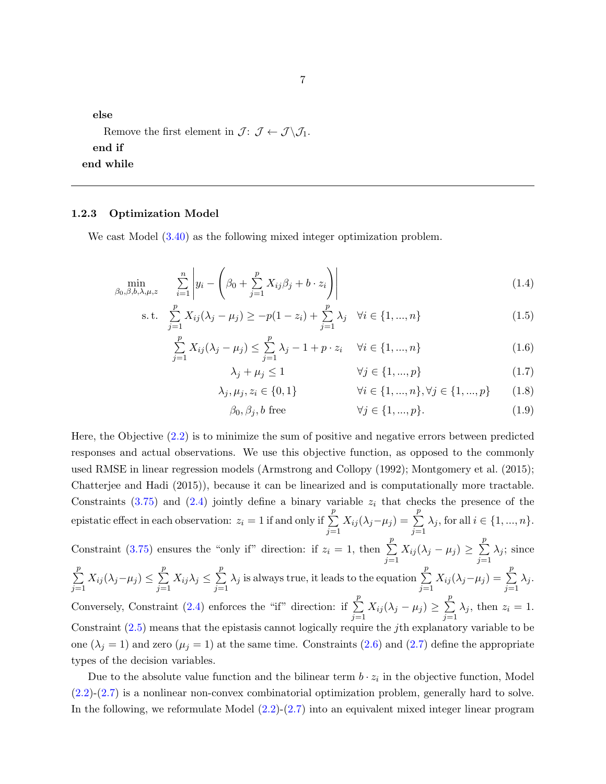<span id="page-15-0"></span>else

Remove the first element in  $\mathcal{J} \colon \mathcal{J} \leftarrow \mathcal{J} \backslash \mathcal{J}_1$ .

end if

end while

#### 1.2.3 Optimization Model

We cast Model [\(3.40\)](#page-56-0) as the following mixed integer optimization problem.

$$
\min_{\beta_0, \beta, b, \lambda, \mu, z} \sum_{i=1}^n \left| y_i - \left( \beta_0 + \sum_{j=1}^p X_{ij} \beta_j + b \cdot z_i \right) \right| \tag{1.4}
$$

s.t. 
$$
\sum_{j=1}^{p} X_{ij}(\lambda_j - \mu_j) \ge -p(1 - z_i) + \sum_{j=1}^{p} \lambda_j \quad \forall i \in \{1, ..., n\}
$$
 (1.5)

$$
\sum_{j=1}^{p} X_{ij}(\lambda_j - \mu_j) \le \sum_{j=1}^{p} \lambda_j - 1 + p \cdot z_i \quad \forall i \in \{1, ..., n\}
$$
\n(1.6)

$$
\lambda_j + \mu_j \le 1 \qquad \forall j \in \{1, ..., p\} \tag{1.7}
$$

$$
\lambda_j, \mu_j, z_i \in \{0, 1\} \qquad \forall i \in \{1, ..., n\}, \forall j \in \{1, ..., p\} \qquad (1.8)
$$

$$
\beta_0, \beta_j, b \text{ free} \qquad \qquad \forall j \in \{1, ..., p\}. \tag{1.9}
$$

Here, the Objective [\(2.2\)](#page-34-0) is to minimize the sum of positive and negative errors between predicted responses and actual observations. We use this objective function, as opposed to the commonly used RMSE in linear regression models (Armstrong and Collopy (1992); Montgomery et al. (2015); Chatterjee and Hadi (2015)), because it can be linearized and is computationally more tractable. Constraints  $(3.75)$  and  $(2.4)$  jointly define a binary variable  $z<sub>i</sub>$  that checks the presence of the epistatic effect in each observation:  $z_i = 1$  if and only if  $\Sigma$ p  $j=1$  $X_{ij}(\lambda_j-\mu_j)=\sum$ p  $j=1$  $\lambda_j$ , for all  $i \in \{1, ..., n\}$ . Constraint [\(3.75\)](#page-59-0) ensures the "only if" direction: if  $z_i = 1$ , then  $\Sigma$ p  $j=1$  $X_{ij}(\lambda_j - \mu_j) \geq \sum$ p  $j=1$  $\lambda_j$ ; since  $\sum$ p  $j=1$  $X_{ij}(\lambda_j-\mu_j)\leq \sum$ p  $j=1$  $X_{ij}\lambda_j \leq \sum$ p  $j=1$  $\lambda_j$  is always true, it leads to the equation  $\Sigma$ p  $j=1$  $X_{ij}(\lambda_j-\mu_j)=\sum$ p  $j=1$  $\lambda_j.$ Conversely, Constraint [\(2.4\)](#page-34-0) enforces the "if" direction: if  $\Sigma$ p  $j=1$  $X_{ij}(\lambda_j - \mu_j) \geq \sum$ p  $j=1$  $\lambda_j$ , then  $z_i = 1$ . Constraint [\(2.5\)](#page-34-0) means that the epistasis cannot logically require the jth explanatory variable to be one  $(\lambda_j = 1)$  and zero  $(\mu_j = 1)$  at the same time. Constraints  $(2.6)$  and  $(2.7)$  define the appropriate types of the decision variables.

Due to the absolute value function and the bilinear term  $b \cdot z_i$  in the objective function, Model [\(2.2\)](#page-34-0)-[\(2.7\)](#page-34-0) is a nonlinear non-convex combinatorial optimization problem, generally hard to solve. In the following, we reformulate Model  $(2.2)-(2.7)$  $(2.2)-(2.7)$  $(2.2)-(2.7)$  into an equivalent mixed integer linear program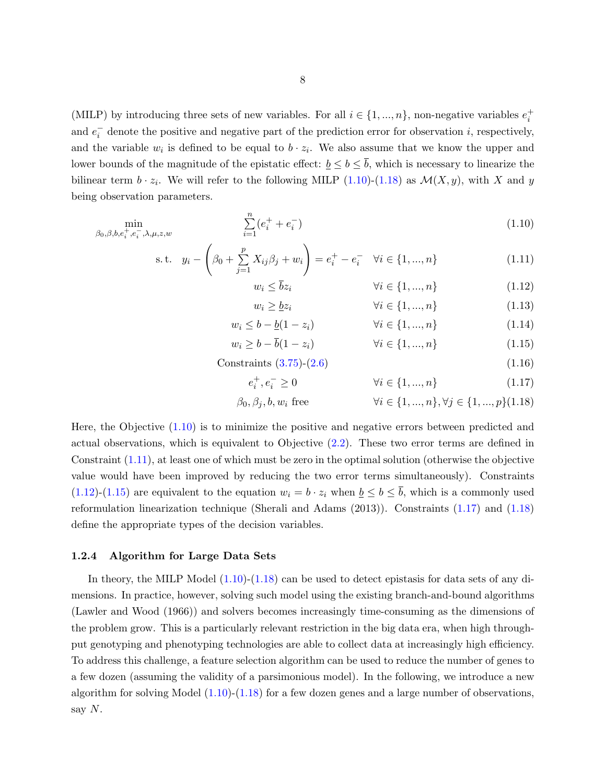<span id="page-16-0"></span>(MILP) by introducing three sets of new variables. For all  $i \in \{1, ..., n\}$ , non-negative variables  $e_i^+$ and  $e_i^-$  denote the positive and negative part of the prediction error for observation i, respectively, and the variable  $w_i$  is defined to be equal to  $b \cdot z_i$ . We also assume that we know the upper and lower bounds of the magnitude of the epistatic effect:  $\underline{b} \leq \overline{b}$ , which is necessary to linearize the bilinear term  $b \cdot z_i$ . We will refer to the following MILP (1.10)-(1.18) as  $\mathcal{M}(X, y)$ , with X and y being observation parameters.

$$
\min_{\beta_0, \beta, b, e_i^+, e_i^-, \lambda, \mu, z, w} \qquad \qquad \sum_{i=1}^n (e_i^+ + e_i^-) \tag{1.10}
$$

s.t. 
$$
y_i - \left(\beta_0 + \sum_{j=1}^p X_{ij}\beta_j + w_i\right) = e_i^+ - e_i^- \quad \forall i \in \{1, ..., n\}
$$
 (1.11)

$$
w_i \le bz_i \qquad \qquad \forall i \in \{1, ..., n\} \tag{1.12}
$$

$$
w_i \ge \underline{b}z_i \qquad \qquad \forall i \in \{1, ..., n\} \tag{1.13}
$$

$$
w_i \le b - \underline{b}(1 - z_i) \qquad \qquad \forall i \in \{1, ..., n\} \tag{1.14}
$$

$$
w_i \ge b - \bar{b}(1 - z_i) \qquad \qquad \forall i \in \{1, ..., n\} \tag{1.15}
$$

### $Constraints (3.75)-(2.6)$  $Constraints (3.75)-(2.6)$  $Constraints (3.75)-(2.6)$  $Constraints (3.75)-(2.6)$  (1.16)

$$
e_i^+, e_i^- \ge 0 \qquad \qquad \forall i \in \{1, ..., n\} \tag{1.17}
$$

$$
\beta_0, \beta_j, b, w_i \text{ free}
$$
  $\forall i \in \{1, ..., n\}, \forall j \in \{1, ..., p\}(1.18)$ 

Here, the Objective (1.10) is to minimize the positive and negative errors between predicted and actual observations, which is equivalent to Objective [\(2.2\)](#page-34-0). These two error terms are defined in Constraint (1.11), at least one of which must be zero in the optimal solution (otherwise the objective value would have been improved by reducing the two error terms simultaneously). Constraints (1.12)-(1.15) are equivalent to the equation  $w_i = b \cdot z_i$  when  $b \leq b \leq \overline{b}$ , which is a commonly used reformulation linearization technique (Sherali and Adams (2013)). Constraints (1.17) and (1.18) define the appropriate types of the decision variables.

### 1.2.4 Algorithm for Large Data Sets

In theory, the MILP Model  $(1.10)-(1.18)$  can be used to detect epistasis for data sets of any dimensions. In practice, however, solving such model using the existing branch-and-bound algorithms (Lawler and Wood (1966)) and solvers becomes increasingly time-consuming as the dimensions of the problem grow. This is a particularly relevant restriction in the big data era, when high throughput genotyping and phenotyping technologies are able to collect data at increasingly high efficiency. To address this challenge, a feature selection algorithm can be used to reduce the number of genes to a few dozen (assuming the validity of a parsimonious model). In the following, we introduce a new algorithm for solving Model  $(1.10)-(1.18)$  for a few dozen genes and a large number of observations, say  $N$ .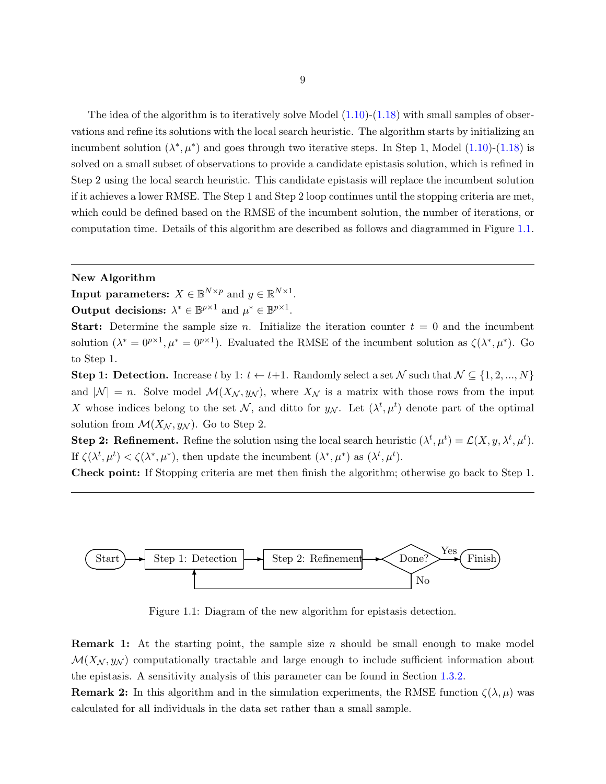<span id="page-17-0"></span>The idea of the algorithm is to iteratively solve Model  $(1.10)-(1.18)$  $(1.10)-(1.18)$  $(1.10)-(1.18)$  with small samples of observations and refine its solutions with the local search heuristic. The algorithm starts by initializing an incumbent solution  $(\lambda^*, \mu^*)$  and goes through two iterative steps. In Step 1, Model  $(1.10)$ - $(1.18)$  is solved on a small subset of observations to provide a candidate epistasis solution, which is refined in Step 2 using the local search heuristic. This candidate epistasis will replace the incumbent solution if it achieves a lower RMSE. The Step 1 and Step 2 loop continues until the stopping criteria are met, which could be defined based on the RMSE of the incumbent solution, the number of iterations, or computation time. Details of this algorithm are described as follows and diagrammed in Figure 1.1.

### New Algorithm

Input parameters:  $X \in \mathbb{B}^{N \times p}$  and  $y \in \mathbb{R}^{N \times 1}$ .

Output decisions:  $\lambda^* \in \mathbb{B}^{p \times 1}$  and  $\mu^* \in \mathbb{B}^{p \times 1}$ .

**Start:** Determine the sample size *n*. Initialize the iteration counter  $t = 0$  and the incumbent solution  $(\lambda^* = 0^{p \times 1}, \mu^* = 0^{p \times 1})$ . Evaluated the RMSE of the incumbent solution as  $\zeta(\lambda^*, \mu^*)$ . Go to Step 1.

Step 1: Detection. Increase t by 1:  $t \leftarrow t+1$ . Randomly select a set N such that  $N \subseteq \{1, 2, ..., N\}$ and  $|\mathcal{N}| = n$ . Solve model  $\mathcal{M}(X_{\mathcal{N}}, y_{\mathcal{N}})$ , where  $X_{\mathcal{N}}$  is a matrix with those rows from the input X whose indices belong to the set  $\mathcal{N}$ , and ditto for  $y_{\mathcal{N}}$ . Let  $(\lambda^t, \mu^t)$  denote part of the optimal solution from  $\mathcal{M}(X_{\mathcal{N}}, y_{\mathcal{N}})$ . Go to Step 2.

**Step 2: Refinement.** Refine the solution using the local search heuristic  $(\lambda^t, \mu^t) = \mathcal{L}(X, y, \lambda^t, \mu^t)$ . If  $\zeta(\lambda^t, \mu^t) < \zeta(\lambda^*, \mu^*)$ , then update the incumbent  $(\lambda^*, \mu^*)$  as  $(\lambda^t, \mu^t)$ .

Check point: If Stopping criteria are met then finish the algorithm; otherwise go back to Step 1.



Figure 1.1: Diagram of the new algorithm for epistasis detection.

**Remark 1:** At the starting point, the sample size n should be small enough to make model  $\mathcal{M}(X_N, y_N)$  computationally tractable and large enough to include sufficient information about the epistasis. A sensitivity analysis of this parameter can be found in Section [1.3.2.](#page-19-0)

**Remark 2:** In this algorithm and in the simulation experiments, the RMSE function  $\zeta(\lambda,\mu)$  was calculated for all individuals in the data set rather than a small sample.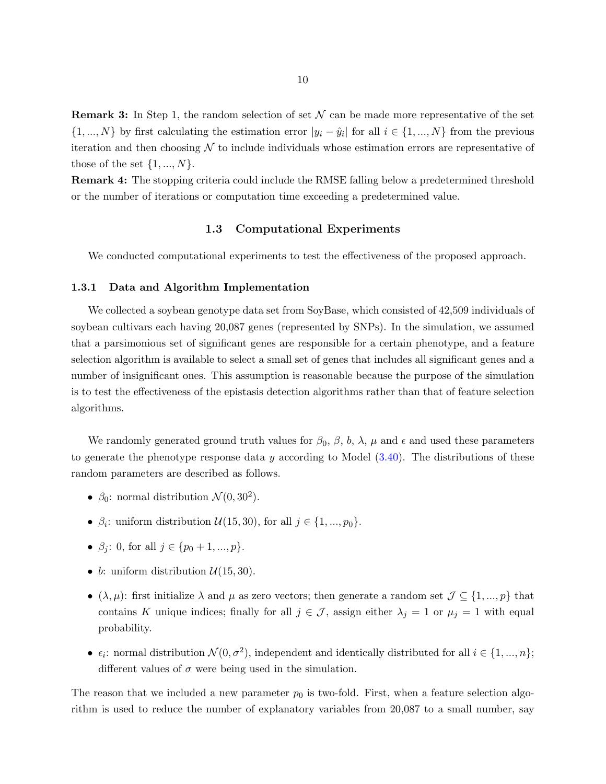<span id="page-18-0"></span>**Remark 3:** In Step 1, the random selection of set  $\mathcal N$  can be made more representative of the set  $\{1, ..., N\}$  by first calculating the estimation error  $|y_i - \hat{y}_i|$  for all  $i \in \{1, ..., N\}$  from the previous iteration and then choosing  $\mathcal N$  to include individuals whose estimation errors are representative of those of the set  $\{1, ..., N\}$ .

Remark 4: The stopping criteria could include the RMSE falling below a predetermined threshold or the number of iterations or computation time exceeding a predetermined value.

### 1.3 Computational Experiments

We conducted computational experiments to test the effectiveness of the proposed approach.

#### 1.3.1 Data and Algorithm Implementation

We collected a soybean genotype data set from SoyBase, which consisted of 42,509 individuals of soybean cultivars each having 20,087 genes (represented by SNPs). In the simulation, we assumed that a parsimonious set of significant genes are responsible for a certain phenotype, and a feature selection algorithm is available to select a small set of genes that includes all significant genes and a number of insignificant ones. This assumption is reasonable because the purpose of the simulation is to test the effectiveness of the epistasis detection algorithms rather than that of feature selection algorithms.

We randomly generated ground truth values for  $\beta_0$ ,  $\beta$ ,  $\delta$ ,  $\lambda$ ,  $\mu$  and  $\epsilon$  and used these parameters to generate the phenotype response data y according to Model  $(3.40)$ . The distributions of these random parameters are described as follows.

- $\beta_0$ : normal distribution  $\mathcal{N}(0, 30^2)$ .
- $\beta_i$ : uniform distribution  $\mathcal{U}(15, 30)$ , for all  $j \in \{1, ..., p_0\}$ .
- $\beta_j$ : 0, for all  $j \in \{p_0 + 1, ..., p\}$ .
- b: uniform distribution  $\mathcal{U}(15, 30)$ .
- ( $\lambda, \mu$ ): first initialize  $\lambda$  and  $\mu$  as zero vectors; then generate a random set  $\mathcal{J} \subseteq \{1, ..., p\}$  that contains K unique indices; finally for all  $j \in \mathcal{J}$ , assign either  $\lambda_j = 1$  or  $\mu_j = 1$  with equal probability.
- $\epsilon_i$ : normal distribution  $\mathcal{N}(0, \sigma^2)$ , independent and identically distributed for all  $i \in \{1, ..., n\}$ ; different values of  $\sigma$  were being used in the simulation.

The reason that we included a new parameter  $p_0$  is two-fold. First, when a feature selection algorithm is used to reduce the number of explanatory variables from 20,087 to a small number, say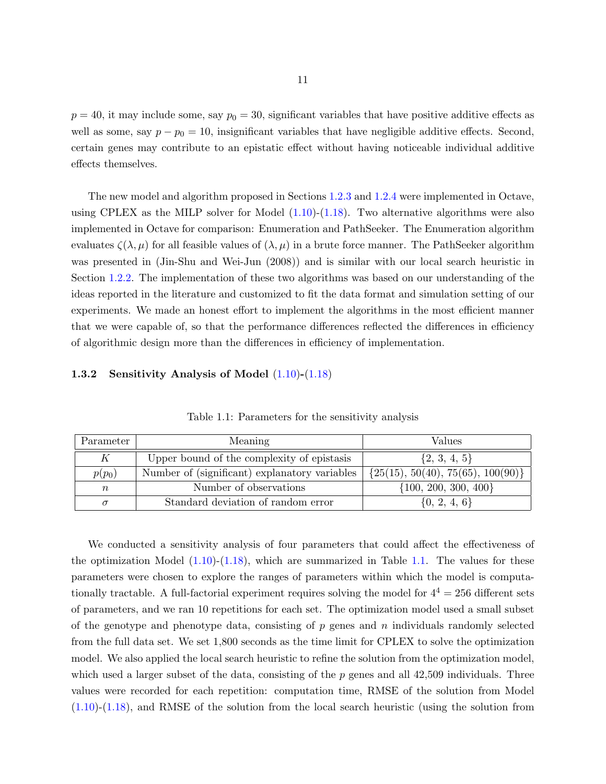<span id="page-19-0"></span> $p = 40$ , it may include some, say  $p_0 = 30$ , significant variables that have positive additive effects as well as some, say  $p - p_0 = 10$ , insignificant variables that have negligible additive effects. Second, certain genes may contribute to an epistatic effect without having noticeable individual additive effects themselves.

The new model and algorithm proposed in Sections [1.2.3](#page-15-0) and [1.2.4](#page-16-0) were implemented in Octave, using CPLEX as the MILP solver for Model  $(1.10)-(1.18)$  $(1.10)-(1.18)$  $(1.10)-(1.18)$ . Two alternative algorithms were also implemented in Octave for comparison: Enumeration and PathSeeker. The Enumeration algorithm evaluates  $\zeta(\lambda,\mu)$  for all feasible values of  $(\lambda,\mu)$  in a brute force manner. The PathSeeker algorithm was presented in (Jin-Shu and Wei-Jun  $(2008)$ ) and is similar with our local search heuristic in Section [1.2.2.](#page-13-0) The implementation of these two algorithms was based on our understanding of the ideas reported in the literature and customized to fit the data format and simulation setting of our experiments. We made an honest effort to implement the algorithms in the most efficient manner that we were capable of, so that the performance differences reflected the differences in efficiency of algorithmic design more than the differences in efficiency of implementation.

### 1.3.2 Sensitivity Analysis of Model [\(1.10\)](#page-16-0)-[\(1.18\)](#page-16-0)

| Parameter | Meaning                                       | Values                                 |  |  |
|-----------|-----------------------------------------------|----------------------------------------|--|--|
| K         | Upper bound of the complexity of epistasis    | $\{2, 3, 4, 5\}$                       |  |  |
| $p(p_0)$  | Number of (significant) explanatory variables | $\{25(15), 50(40), 75(65), 100(90)\}\$ |  |  |
| $\, n$    | Number of observations                        | $\{100, 200, 300, 400\}$               |  |  |
|           | Standard deviation of random error            | $\{0, 2, 4, 6\}$                       |  |  |

Table 1.1: Parameters for the sensitivity analysis

We conducted a sensitivity analysis of four parameters that could affect the effectiveness of the optimization Model  $(1.10)-(1.18)$  $(1.10)-(1.18)$  $(1.10)-(1.18)$ , which are summarized in Table 1.1. The values for these parameters were chosen to explore the ranges of parameters within which the model is computationally tractable. A full-factorial experiment requires solving the model for  $4^4 = 256$  different sets of parameters, and we ran 10 repetitions for each set. The optimization model used a small subset of the genotype and phenotype data, consisting of  $p$  genes and  $n$  individuals randomly selected from the full data set. We set 1,800 seconds as the time limit for CPLEX to solve the optimization model. We also applied the local search heuristic to refine the solution from the optimization model, which used a larger subset of the data, consisting of the  $p$  genes and all 42,509 individuals. Three values were recorded for each repetition: computation time, RMSE of the solution from Model [\(1.10\)](#page-16-0)-[\(1.18\)](#page-16-0), and RMSE of the solution from the local search heuristic (using the solution from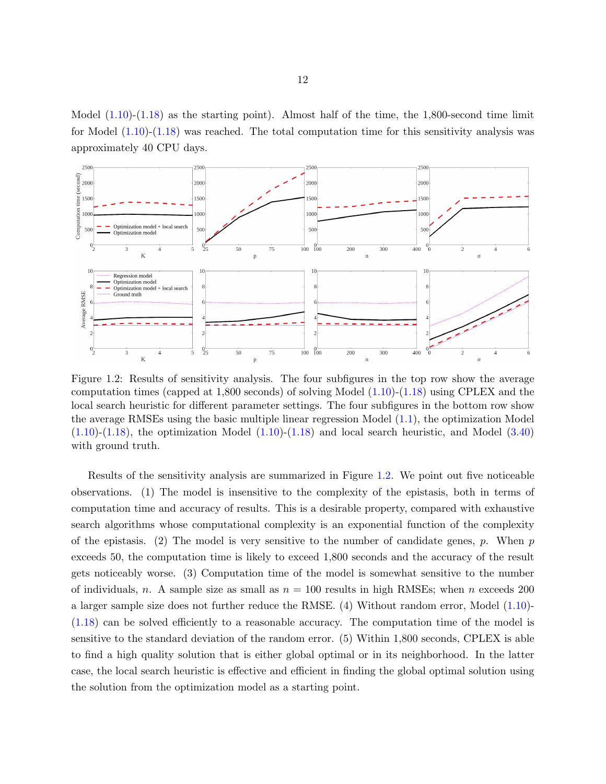<span id="page-20-0"></span>Model  $(1.10)-(1.18)$  $(1.10)-(1.18)$  $(1.10)-(1.18)$  as the starting point). Almost half of the time, the 1,800-second time limit for Model  $(1.10)-(1.18)$  $(1.10)-(1.18)$  $(1.10)-(1.18)$  was reached. The total computation time for this sensitivity analysis was approximately 40 CPU days.



Figure 1.2: Results of sensitivity analysis. The four subfigures in the top row show the average computation times (capped at 1,800 seconds) of solving Model [\(1.10\)](#page-16-0)-[\(1.18\)](#page-16-0) using CPLEX and the local search heuristic for different parameter settings. The four subfigures in the bottom row show the average RMSEs using the basic multiple linear regression Model [\(1.1\)](#page-12-0), the optimization Model  $(1.10)-(1.18)$  $(1.10)-(1.18)$  $(1.10)-(1.18)$ , the optimization Model  $(1.10)-(1.18)$  and local search heuristic, and Model  $(3.40)$ with ground truth.

Results of the sensitivity analysis are summarized in Figure 1.2. We point out five noticeable observations. (1) The model is insensitive to the complexity of the epistasis, both in terms of computation time and accuracy of results. This is a desirable property, compared with exhaustive search algorithms whose computational complexity is an exponential function of the complexity of the epistasis. (2) The model is very sensitive to the number of candidate genes, p. When  $p$ exceeds 50, the computation time is likely to exceed 1,800 seconds and the accuracy of the result gets noticeably worse. (3) Computation time of the model is somewhat sensitive to the number of individuals, n. A sample size as small as  $n = 100$  results in high RMSEs; when n exceeds 200 a larger sample size does not further reduce the RMSE. (4) Without random error, Model [\(1.10\)](#page-16-0)- [\(1.18\)](#page-16-0) can be solved efficiently to a reasonable accuracy. The computation time of the model is sensitive to the standard deviation of the random error. (5) Within 1,800 seconds, CPLEX is able to find a high quality solution that is either global optimal or in its neighborhood. In the latter case, the local search heuristic is effective and efficient in finding the global optimal solution using the solution from the optimization model as a starting point.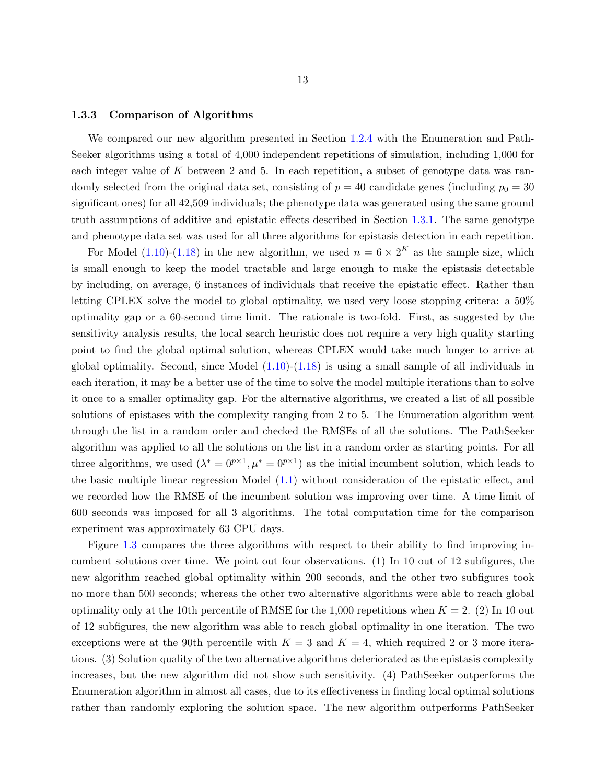#### <span id="page-21-0"></span>1.3.3 Comparison of Algorithms

We compared our new algorithm presented in Section [1.2.4](#page-16-0) with the Enumeration and Path-Seeker algorithms using a total of 4,000 independent repetitions of simulation, including 1,000 for each integer value of  $K$  between 2 and 5. In each repetition, a subset of genotype data was randomly selected from the original data set, consisting of  $p = 40$  candidate genes (including  $p_0 = 30$ significant ones) for all 42,509 individuals; the phenotype data was generated using the same ground truth assumptions of additive and epistatic effects described in Section [1.3.1.](#page-18-0) The same genotype and phenotype data set was used for all three algorithms for epistasis detection in each repetition.

For Model [\(1.10\)](#page-16-0)-[\(1.18\)](#page-16-0) in the new algorithm, we used  $n = 6 \times 2^{K}$  as the sample size, which is small enough to keep the model tractable and large enough to make the epistasis detectable by including, on average, 6 instances of individuals that receive the epistatic effect. Rather than letting CPLEX solve the model to global optimality, we used very loose stopping critera: a 50% optimality gap or a 60-second time limit. The rationale is two-fold. First, as suggested by the sensitivity analysis results, the local search heuristic does not require a very high quality starting point to find the global optimal solution, whereas CPLEX would take much longer to arrive at global optimality. Second, since Model  $(1.10)$ - $(1.18)$  is using a small sample of all individuals in each iteration, it may be a better use of the time to solve the model multiple iterations than to solve it once to a smaller optimality gap. For the alternative algorithms, we created a list of all possible solutions of epistases with the complexity ranging from 2 to 5. The Enumeration algorithm went through the list in a random order and checked the RMSEs of all the solutions. The PathSeeker algorithm was applied to all the solutions on the list in a random order as starting points. For all three algorithms, we used  $(\lambda^* = 0^{p \times 1}, \mu^* = 0^{p \times 1})$  as the initial incumbent solution, which leads to the basic multiple linear regression Model [\(1.1\)](#page-12-0) without consideration of the epistatic effect, and we recorded how the RMSE of the incumbent solution was improving over time. A time limit of 600 seconds was imposed for all 3 algorithms. The total computation time for the comparison experiment was approximately 63 CPU days.

Figure [1.3](#page-22-0) compares the three algorithms with respect to their ability to find improving incumbent solutions over time. We point out four observations. (1) In 10 out of 12 subfigures, the new algorithm reached global optimality within 200 seconds, and the other two subfigures took no more than 500 seconds; whereas the other two alternative algorithms were able to reach global optimality only at the 10th percentile of RMSE for the 1,000 repetitions when  $K = 2$ . (2) In 10 out of 12 subfigures, the new algorithm was able to reach global optimality in one iteration. The two exceptions were at the 90th percentile with  $K = 3$  and  $K = 4$ , which required 2 or 3 more iterations. (3) Solution quality of the two alternative algorithms deteriorated as the epistasis complexity increases, but the new algorithm did not show such sensitivity. (4) PathSeeker outperforms the Enumeration algorithm in almost all cases, due to its effectiveness in finding local optimal solutions rather than randomly exploring the solution space. The new algorithm outperforms PathSeeker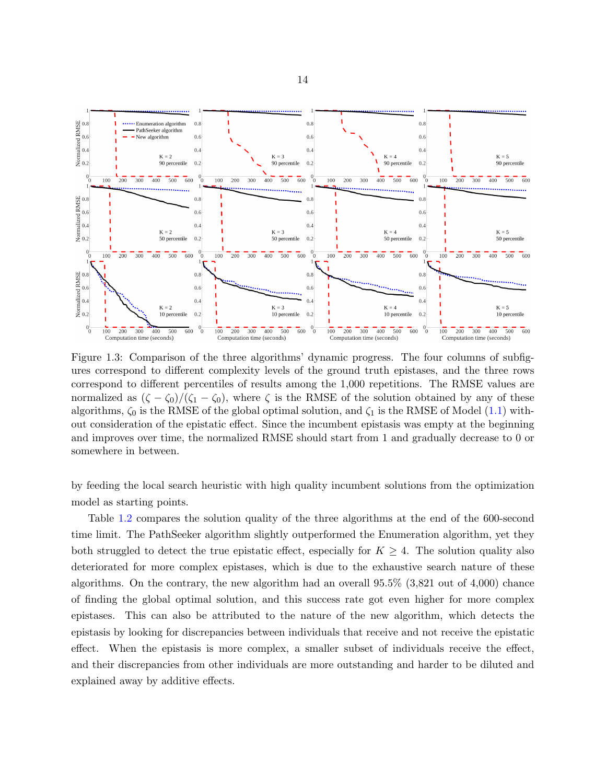<span id="page-22-0"></span>

Figure 1.3: Comparison of the three algorithms' dynamic progress. The four columns of subfigures correspond to different complexity levels of the ground truth epistases, and the three rows correspond to different percentiles of results among the 1,000 repetitions. The RMSE values are normalized as  $(\zeta - \zeta_0)/(\zeta_1 - \zeta_0)$ , where  $\zeta$  is the RMSE of the solution obtained by any of these algorithms,  $\zeta_0$  is the RMSE of the global optimal solution, and  $\zeta_1$  is the RMSE of Model [\(1.1\)](#page-12-0) without consideration of the epistatic effect. Since the incumbent epistasis was empty at the beginning and improves over time, the normalized RMSE should start from 1 and gradually decrease to 0 or somewhere in between.

by feeding the local search heuristic with high quality incumbent solutions from the optimization model as starting points.

Table [1.2](#page-23-0) compares the solution quality of the three algorithms at the end of the 600-second time limit. The PathSeeker algorithm slightly outperformed the Enumeration algorithm, yet they both struggled to detect the true epistatic effect, especially for  $K \geq 4$ . The solution quality also deteriorated for more complex epistases, which is due to the exhaustive search nature of these algorithms. On the contrary, the new algorithm had an overall  $95.5\%$   $(3,821$  out of  $4,000)$  chance of finding the global optimal solution, and this success rate got even higher for more complex epistases. This can also be attributed to the nature of the new algorithm, which detects the epistasis by looking for discrepancies between individuals that receive and not receive the epistatic effect. When the epistasis is more complex, a smaller subset of individuals receive the effect, and their discrepancies from other individuals are more outstanding and harder to be diluted and explained away by additive effects.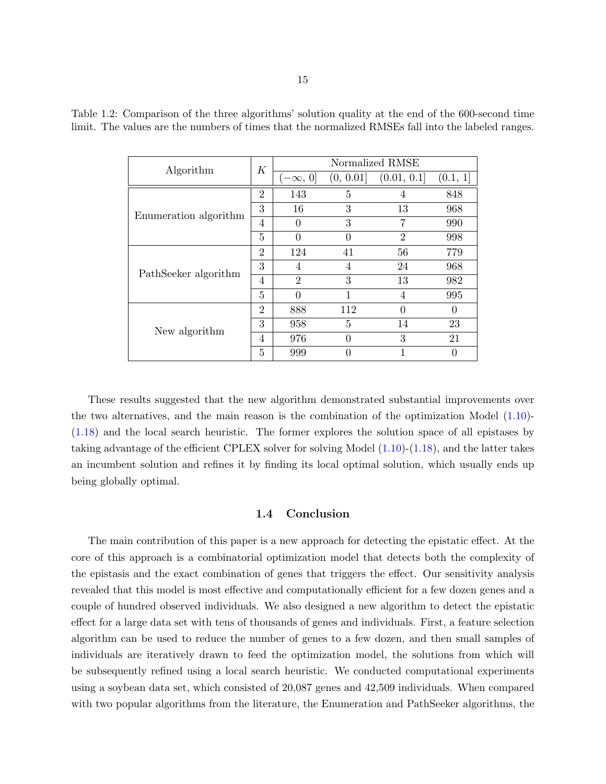| hms' solution: |
|----------------|

| Algorithm             |                | Normalized RMSE |           |                |                  |
|-----------------------|----------------|-----------------|-----------|----------------|------------------|
|                       | K              | $(-\infty, 0]$  | (0, 0.01] | (0.01, 0.1]    | (0.1, 1]         |
|                       | $\overline{2}$ | 143             | 5         | 4              | 848              |
| Enumeration algorithm | 3              | 16              | 3         | 13             | 968              |
|                       | 4              | 0               | 3         | 7              | 990              |
|                       | 5              | 0               | 0         | $\overline{2}$ | 998              |
|                       | $\overline{2}$ | 124             | 41        | 56             | 779              |
| PathSeeker algorithm  | 3              | 4               | 4         | 24             | 968              |
|                       | 4              | $\overline{2}$  | 3         | 13             | 982              |
|                       | 5              | O               |           | 4              | 995              |
|                       | $\overline{2}$ | 888             | 112       | 0              | $\Omega$         |
| New algorithm         | 3              | 958             | 5         | 14             | 23               |
|                       | 4              | 976             | 0         | 3              | 21               |
|                       | 5              | 999             |           |                | $\left( \right)$ |

<span id="page-23-0"></span>Table 1.2: Comparison of the three algorithms' solution quality at the end of the 600-second time limit. The values are the numbers of times that the normalized RMSEs fall into the labeled ranges.

These results suggested that the new algorithm demonstrated substantial improvements over the two alternatives, and the main reason is the combination of the optimization Model [\(1.10\)](#page-16-0)- [\(1.18\)](#page-16-0) and the local search heuristic. The former explores the solution space of all epistases by taking advantage of the efficient CPLEX solver for solving Model  $(1.10)-(1.18)$  $(1.10)-(1.18)$  $(1.10)-(1.18)$ , and the latter takes an incumbent solution and refines it by finding its local optimal solution, which usually ends up being globally optimal.

### 1.4 Conclusion

The main contribution of this paper is a new approach for detecting the epistatic effect. At the core of this approach is a combinatorial optimization model that detects both the complexity of the epistasis and the exact combination of genes that triggers the effect. Our sensitivity analysis revealed that this model is most effective and computationally efficient for a few dozen genes and a couple of hundred observed individuals. We also designed a new algorithm to detect the epistatic effect for a large data set with tens of thousands of genes and individuals. First, a feature selection algorithm can be used to reduce the number of genes to a few dozen, and then small samples of individuals are iteratively drawn to feed the optimization model, the solutions from which will be subsequently refined using a local search heuristic. We conducted computational experiments using a soybean data set, which consisted of 20,087 genes and 42,509 individuals. When compared with two popular algorithms from the literature, the Enumeration and PathSeeker algorithms, the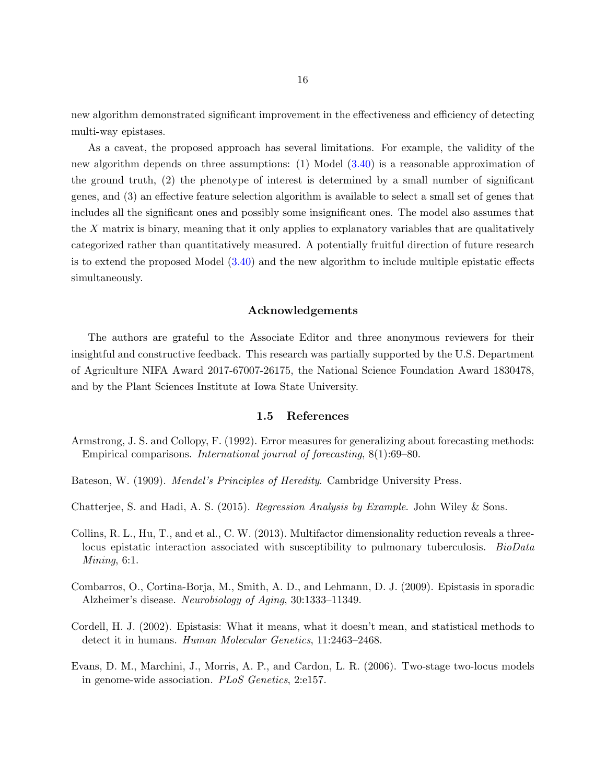<span id="page-24-0"></span>new algorithm demonstrated significant improvement in the effectiveness and efficiency of detecting multi-way epistases.

As a caveat, the proposed approach has several limitations. For example, the validity of the new algorithm depends on three assumptions: (1) Model [\(3.40\)](#page-56-0) is a reasonable approximation of the ground truth, (2) the phenotype of interest is determined by a small number of significant genes, and (3) an effective feature selection algorithm is available to select a small set of genes that includes all the significant ones and possibly some insignificant ones. The model also assumes that the  $X$  matrix is binary, meaning that it only applies to explanatory variables that are qualitatively categorized rather than quantitatively measured. A potentially fruitful direction of future research is to extend the proposed Model [\(3.40\)](#page-56-0) and the new algorithm to include multiple epistatic effects simultaneously.

### Acknowledgements

The authors are grateful to the Associate Editor and three anonymous reviewers for their insightful and constructive feedback. This research was partially supported by the U.S. Department of Agriculture NIFA Award 2017-67007-26175, the National Science Foundation Award 1830478, and by the Plant Sciences Institute at Iowa State University.

### 1.5 References

- Armstrong, J. S. and Collopy, F. (1992). Error measures for generalizing about forecasting methods: Empirical comparisons. International journal of forecasting, 8(1):69–80.
- Bateson, W. (1909). Mendel's Principles of Heredity. Cambridge University Press.
- Chatterjee, S. and Hadi, A. S. (2015). Regression Analysis by Example. John Wiley & Sons.
- Collins, R. L., Hu, T., and et al., C. W. (2013). Multifactor dimensionality reduction reveals a threelocus epistatic interaction associated with susceptibility to pulmonary tuberculosis. BioData Mining, 6:1.
- Combarros, O., Cortina-Borja, M., Smith, A. D., and Lehmann, D. J. (2009). Epistasis in sporadic Alzheimer's disease. Neurobiology of Aging, 30:1333–11349.
- Cordell, H. J. (2002). Epistasis: What it means, what it doesn't mean, and statistical methods to detect it in humans. Human Molecular Genetics, 11:2463–2468.
- Evans, D. M., Marchini, J., Morris, A. P., and Cardon, L. R. (2006). Two-stage two-locus models in genome-wide association. PLoS Genetics, 2:e157.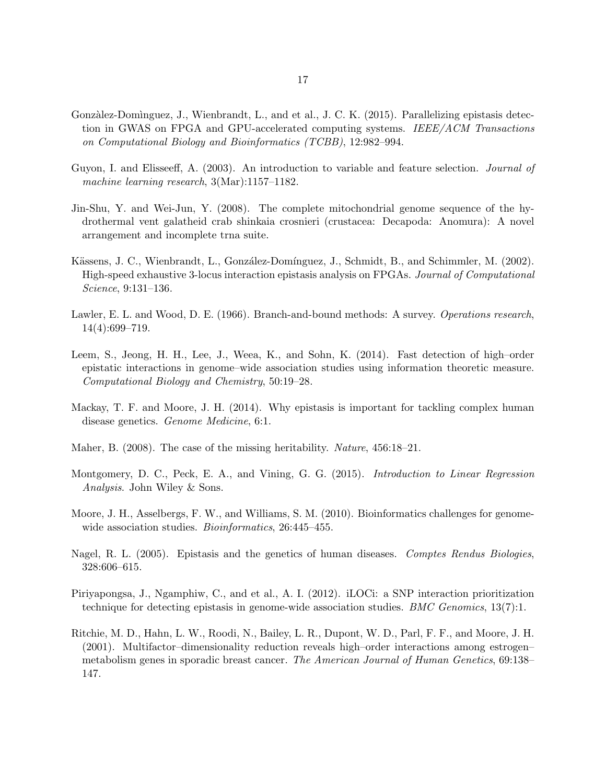- Gonzàlez-Domìnguez, J., Wienbrandt, L., and et al., J. C. K. (2015). Parallelizing epistasis detection in GWAS on FPGA and GPU-accelerated computing systems. IEEE/ACM Transactions on Computational Biology and Bioinformatics (TCBB), 12:982–994.
- Guyon, I. and Elisseeff, A. (2003). An introduction to variable and feature selection. Journal of machine learning research, 3(Mar):1157–1182.
- Jin-Shu, Y. and Wei-Jun, Y. (2008). The complete mitochondrial genome sequence of the hydrothermal vent galatheid crab shinkaia crosnieri (crustacea: Decapoda: Anomura): A novel arrangement and incomplete trna suite.
- Kässens, J. C., Wienbrandt, L., González-Domínguez, J., Schmidt, B., and Schimmler, M. (2002). High-speed exhaustive 3-locus interaction epistasis analysis on FPGAs. Journal of Computational Science, 9:131–136.
- Lawler, E. L. and Wood, D. E. (1966). Branch-and-bound methods: A survey. *Operations research*, 14(4):699–719.
- Leem, S., Jeong, H. H., Lee, J., Weea, K., and Sohn, K. (2014). Fast detection of high–order epistatic interactions in genome–wide association studies using information theoretic measure. Computational Biology and Chemistry, 50:19–28.
- Mackay, T. F. and Moore, J. H. (2014). Why epistasis is important for tackling complex human disease genetics. Genome Medicine, 6:1.
- Maher, B. (2008). The case of the missing heritability. *Nature*, 456:18–21.
- Montgomery, D. C., Peck, E. A., and Vining, G. G. (2015). Introduction to Linear Regression Analysis. John Wiley & Sons.
- Moore, J. H., Asselbergs, F. W., and Williams, S. M. (2010). Bioinformatics challenges for genomewide association studies. Bioinformatics, 26:445–455.
- Nagel, R. L. (2005). Epistasis and the genetics of human diseases. Comptes Rendus Biologies, 328:606–615.
- Piriyapongsa, J., Ngamphiw, C., and et al., A. I. (2012). iLOCi: a SNP interaction prioritization technique for detecting epistasis in genome-wide association studies. BMC Genomics, 13(7):1.
- Ritchie, M. D., Hahn, L. W., Roodi, N., Bailey, L. R., Dupont, W. D., Parl, F. F., and Moore, J. H. (2001). Multifactor–dimensionality reduction reveals high–order interactions among estrogen– metabolism genes in sporadic breast cancer. The American Journal of Human Genetics, 69:138– 147.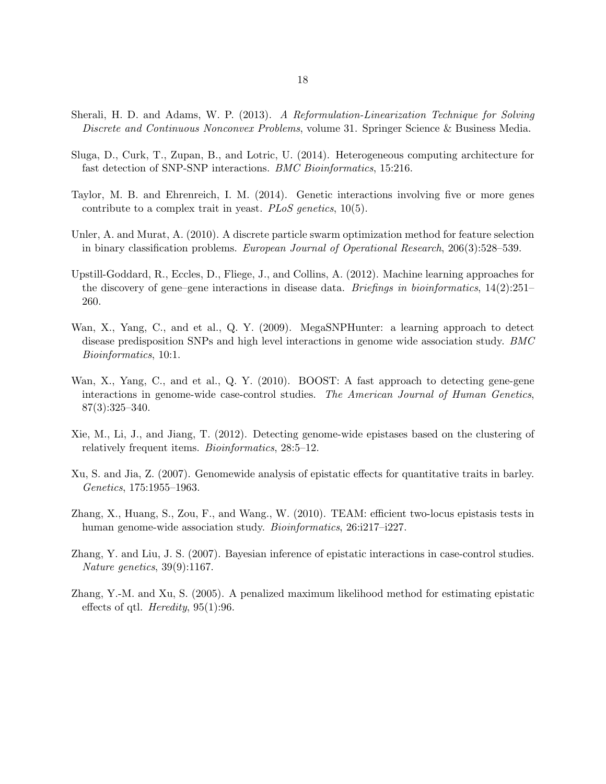- Sherali, H. D. and Adams, W. P. (2013). A Reformulation-Linearization Technique for Solving Discrete and Continuous Nonconvex Problems, volume 31. Springer Science & Business Media.
- Sluga, D., Curk, T., Zupan, B., and Lotric, U. (2014). Heterogeneous computing architecture for fast detection of SNP-SNP interactions. BMC Bioinformatics, 15:216.
- Taylor, M. B. and Ehrenreich, I. M. (2014). Genetic interactions involving five or more genes contribute to a complex trait in yeast. *PLoS genetics*,  $10(5)$ .
- Unler, A. and Murat, A. (2010). A discrete particle swarm optimization method for feature selection in binary classification problems. European Journal of Operational Research, 206(3):528–539.
- Upstill-Goddard, R., Eccles, D., Fliege, J., and Collins, A. (2012). Machine learning approaches for the discovery of gene–gene interactions in disease data. Briefings in bioinformatics,  $14(2):251-$ 260.
- Wan, X., Yang, C., and et al., Q. Y. (2009). MegaSNPHunter: a learning approach to detect disease predisposition SNPs and high level interactions in genome wide association study. BMC Bioinformatics, 10:1.
- Wan, X., Yang, C., and et al., Q. Y. (2010). BOOST: A fast approach to detecting gene-gene interactions in genome-wide case-control studies. The American Journal of Human Genetics, 87(3):325–340.
- Xie, M., Li, J., and Jiang, T. (2012). Detecting genome-wide epistases based on the clustering of relatively frequent items. Bioinformatics, 28:5–12.
- Xu, S. and Jia, Z. (2007). Genomewide analysis of epistatic effects for quantitative traits in barley. Genetics, 175:1955–1963.
- Zhang, X., Huang, S., Zou, F., and Wang., W. (2010). TEAM: efficient two-locus epistasis tests in human genome-wide association study. *Bioinformatics*, 26:i217–i227.
- Zhang, Y. and Liu, J. S. (2007). Bayesian inference of epistatic interactions in case-control studies. Nature genetics, 39(9):1167.
- Zhang, Y.-M. and Xu, S. (2005). A penalized maximum likelihood method for estimating epistatic effects of qtl. Heredity,  $95(1):96$ .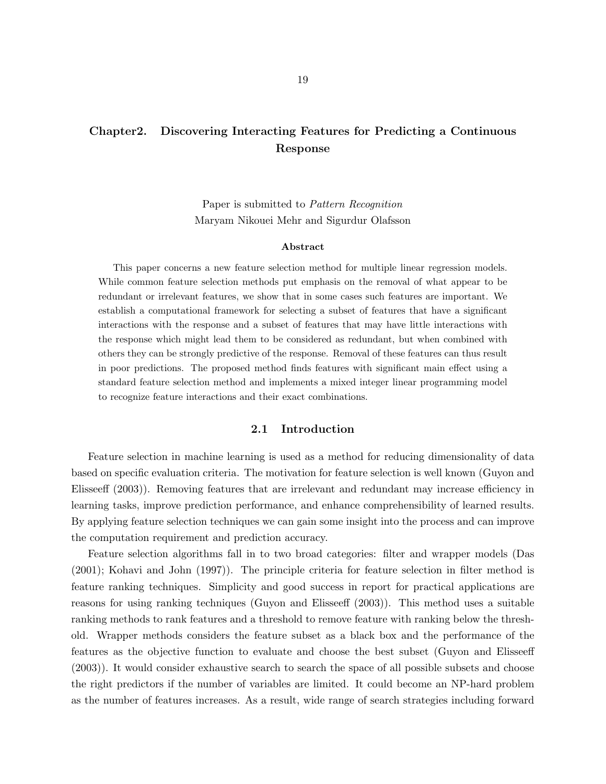# <span id="page-27-0"></span>Chapter2. Discovering Interacting Features for Predicting a Continuous Response

Paper is submitted to Pattern Recognition Maryam Nikouei Mehr and Sigurdur Olafsson

#### Abstract

This paper concerns a new feature selection method for multiple linear regression models. While common feature selection methods put emphasis on the removal of what appear to be redundant or irrelevant features, we show that in some cases such features are important. We establish a computational framework for selecting a subset of features that have a significant interactions with the response and a subset of features that may have little interactions with the response which might lead them to be considered as redundant, but when combined with others they can be strongly predictive of the response. Removal of these features can thus result in poor predictions. The proposed method finds features with significant main effect using a standard feature selection method and implements a mixed integer linear programming model to recognize feature interactions and their exact combinations.

### 2.1 Introduction

Feature selection in machine learning is used as a method for reducing dimensionality of data based on specific evaluation criteria. The motivation for feature selection is well known (Guyon and Elisseeff (2003)). Removing features that are irrelevant and redundant may increase efficiency in learning tasks, improve prediction performance, and enhance comprehensibility of learned results. By applying feature selection techniques we can gain some insight into the process and can improve the computation requirement and prediction accuracy.

Feature selection algorithms fall in to two broad categories: filter and wrapper models (Das (2001); Kohavi and John (1997)). The principle criteria for feature selection in filter method is feature ranking techniques. Simplicity and good success in report for practical applications are reasons for using ranking techniques (Guyon and Elisseeff (2003)). This method uses a suitable ranking methods to rank features and a threshold to remove feature with ranking below the threshold. Wrapper methods considers the feature subset as a black box and the performance of the features as the objective function to evaluate and choose the best subset (Guyon and Elisseeff (2003)). It would consider exhaustive search to search the space of all possible subsets and choose the right predictors if the number of variables are limited. It could become an NP-hard problem as the number of features increases. As a result, wide range of search strategies including forward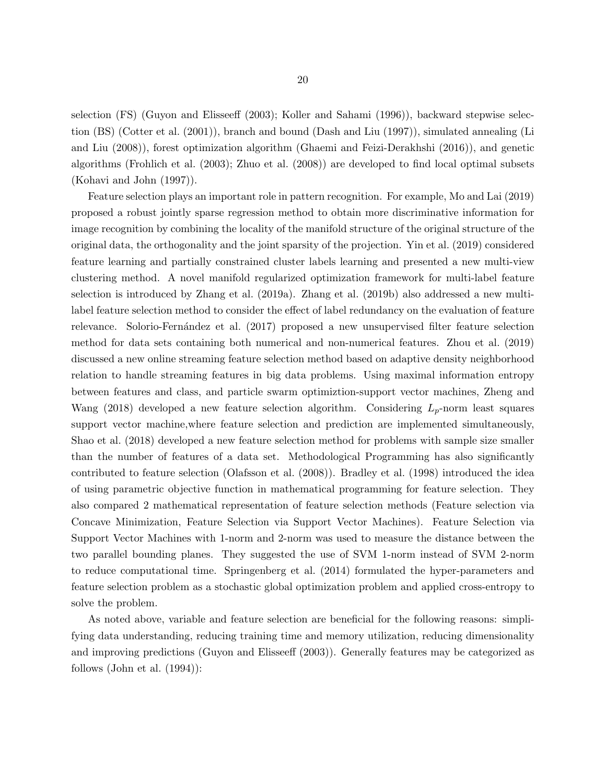selection (FS) (Guyon and Elisseeff (2003); Koller and Sahami (1996)), backward stepwise selection (BS) (Cotter et al. (2001)), branch and bound (Dash and Liu (1997)), simulated annealing (Li and Liu (2008)), forest optimization algorithm (Ghaemi and Feizi-Derakhshi (2016)), and genetic algorithms (Frohlich et al. (2003); Zhuo et al. (2008)) are developed to find local optimal subsets (Kohavi and John (1997)).

Feature selection plays an important role in pattern recognition. For example, Mo and Lai (2019) proposed a robust jointly sparse regression method to obtain more discriminative information for image recognition by combining the locality of the manifold structure of the original structure of the original data, the orthogonality and the joint sparsity of the projection. Yin et al. (2019) considered feature learning and partially constrained cluster labels learning and presented a new multi-view clustering method. A novel manifold regularized optimization framework for multi-label feature selection is introduced by Zhang et al. (2019a). Zhang et al. (2019b) also addressed a new multilabel feature selection method to consider the effect of label redundancy on the evaluation of feature relevance. Solorio-Fernández et al. (2017) proposed a new unsupervised filter feature selection method for data sets containing both numerical and non-numerical features. Zhou et al. (2019) discussed a new online streaming feature selection method based on adaptive density neighborhood relation to handle streaming features in big data problems. Using maximal information entropy between features and class, and particle swarm optimiztion-support vector machines, Zheng and Wang (2018) developed a new feature selection algorithm. Considering  $L_p$ -norm least squares support vector machine,where feature selection and prediction are implemented simultaneously, Shao et al. (2018) developed a new feature selection method for problems with sample size smaller than the number of features of a data set. Methodological Programming has also significantly contributed to feature selection (Olafsson et al. (2008)). Bradley et al. (1998) introduced the idea of using parametric objective function in mathematical programming for feature selection. They also compared 2 mathematical representation of feature selection methods (Feature selection via Concave Minimization, Feature Selection via Support Vector Machines). Feature Selection via Support Vector Machines with 1-norm and 2-norm was used to measure the distance between the two parallel bounding planes. They suggested the use of SVM 1-norm instead of SVM 2-norm to reduce computational time. Springenberg et al. (2014) formulated the hyper-parameters and feature selection problem as a stochastic global optimization problem and applied cross-entropy to solve the problem.

As noted above, variable and feature selection are beneficial for the following reasons: simplifying data understanding, reducing training time and memory utilization, reducing dimensionality and improving predictions (Guyon and Elisseeff (2003)). Generally features may be categorized as follows (John et al. (1994)):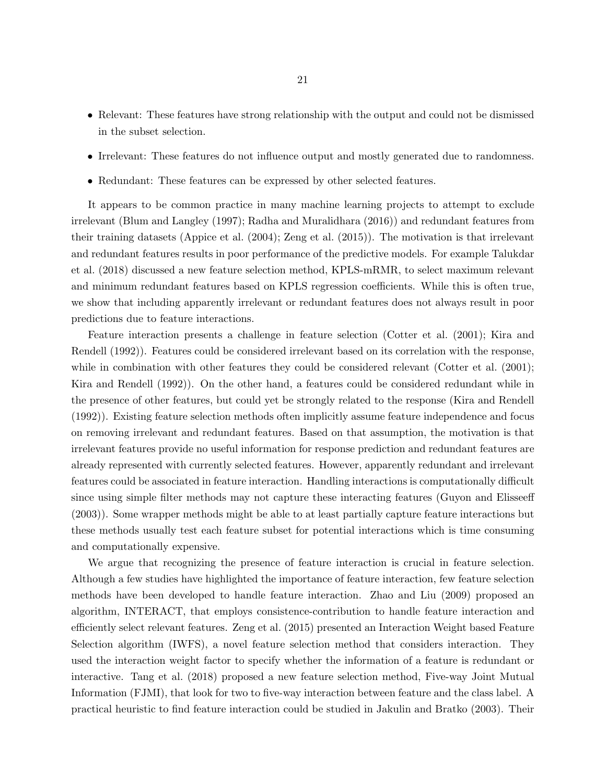- Relevant: These features have strong relationship with the output and could not be dismissed in the subset selection.
- Irrelevant: These features do not influence output and mostly generated due to randomness.
- Redundant: These features can be expressed by other selected features.

It appears to be common practice in many machine learning projects to attempt to exclude irrelevant (Blum and Langley (1997); Radha and Muralidhara (2016)) and redundant features from their training datasets (Appice et al. (2004); Zeng et al. (2015)). The motivation is that irrelevant and redundant features results in poor performance of the predictive models. For example Talukdar et al. (2018) discussed a new feature selection method, KPLS-mRMR, to select maximum relevant and minimum redundant features based on KPLS regression coefficients. While this is often true, we show that including apparently irrelevant or redundant features does not always result in poor predictions due to feature interactions.

Feature interaction presents a challenge in feature selection (Cotter et al. (2001); Kira and Rendell (1992)). Features could be considered irrelevant based on its correlation with the response, while in combination with other features they could be considered relevant (Cotter et al. (2001); Kira and Rendell (1992)). On the other hand, a features could be considered redundant while in the presence of other features, but could yet be strongly related to the response (Kira and Rendell (1992)). Existing feature selection methods often implicitly assume feature independence and focus on removing irrelevant and redundant features. Based on that assumption, the motivation is that irrelevant features provide no useful information for response prediction and redundant features are already represented with currently selected features. However, apparently redundant and irrelevant features could be associated in feature interaction. Handling interactions is computationally difficult since using simple filter methods may not capture these interacting features (Guyon and Elisseeff (2003)). Some wrapper methods might be able to at least partially capture feature interactions but these methods usually test each feature subset for potential interactions which is time consuming and computationally expensive.

We argue that recognizing the presence of feature interaction is crucial in feature selection. Although a few studies have highlighted the importance of feature interaction, few feature selection methods have been developed to handle feature interaction. Zhao and Liu (2009) proposed an algorithm, INTERACT, that employs consistence-contribution to handle feature interaction and efficiently select relevant features. Zeng et al. (2015) presented an Interaction Weight based Feature Selection algorithm (IWFS), a novel feature selection method that considers interaction. They used the interaction weight factor to specify whether the information of a feature is redundant or interactive. Tang et al. (2018) proposed a new feature selection method, Five-way Joint Mutual Information (FJMI), that look for two to five-way interaction between feature and the class label. A practical heuristic to find feature interaction could be studied in Jakulin and Bratko (2003). Their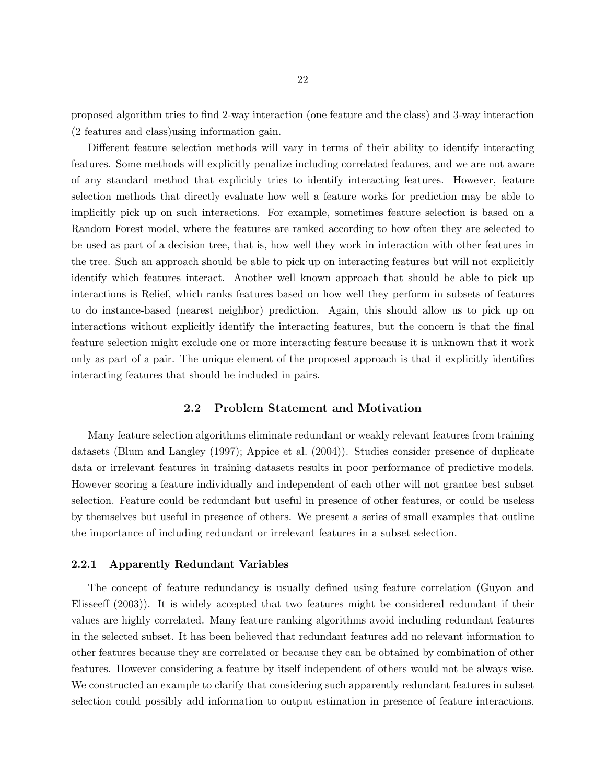<span id="page-30-0"></span>proposed algorithm tries to find 2-way interaction (one feature and the class) and 3-way interaction (2 features and class)using information gain.

Different feature selection methods will vary in terms of their ability to identify interacting features. Some methods will explicitly penalize including correlated features, and we are not aware of any standard method that explicitly tries to identify interacting features. However, feature selection methods that directly evaluate how well a feature works for prediction may be able to implicitly pick up on such interactions. For example, sometimes feature selection is based on a Random Forest model, where the features are ranked according to how often they are selected to be used as part of a decision tree, that is, how well they work in interaction with other features in the tree. Such an approach should be able to pick up on interacting features but will not explicitly identify which features interact. Another well known approach that should be able to pick up interactions is Relief, which ranks features based on how well they perform in subsets of features to do instance-based (nearest neighbor) prediction. Again, this should allow us to pick up on interactions without explicitly identify the interacting features, but the concern is that the final feature selection might exclude one or more interacting feature because it is unknown that it work only as part of a pair. The unique element of the proposed approach is that it explicitly identifies interacting features that should be included in pairs.

### 2.2 Problem Statement and Motivation

Many feature selection algorithms eliminate redundant or weakly relevant features from training datasets (Blum and Langley (1997); Appice et al. (2004)). Studies consider presence of duplicate data or irrelevant features in training datasets results in poor performance of predictive models. However scoring a feature individually and independent of each other will not grantee best subset selection. Feature could be redundant but useful in presence of other features, or could be useless by themselves but useful in presence of others. We present a series of small examples that outline the importance of including redundant or irrelevant features in a subset selection.

#### 2.2.1 Apparently Redundant Variables

The concept of feature redundancy is usually defined using feature correlation (Guyon and Elisseeff (2003)). It is widely accepted that two features might be considered redundant if their values are highly correlated. Many feature ranking algorithms avoid including redundant features in the selected subset. It has been believed that redundant features add no relevant information to other features because they are correlated or because they can be obtained by combination of other features. However considering a feature by itself independent of others would not be always wise. We constructed an example to clarify that considering such apparently redundant features in subset selection could possibly add information to output estimation in presence of feature interactions.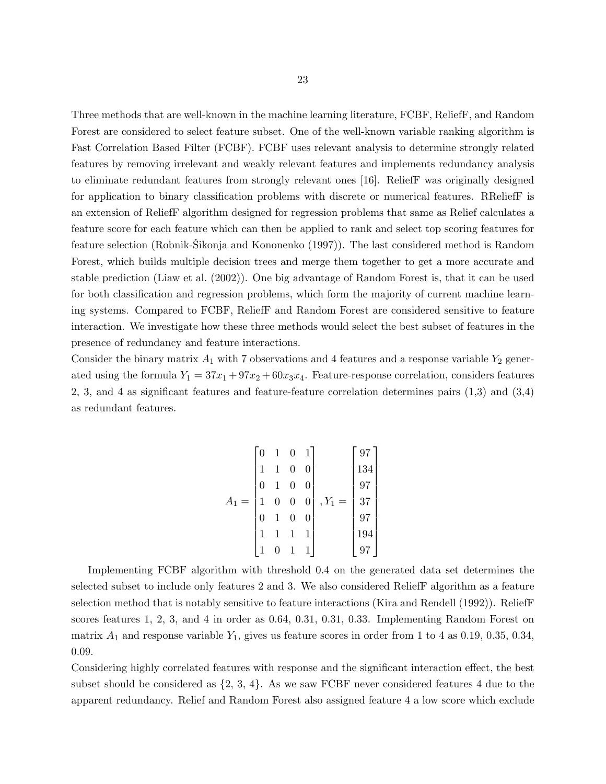Three methods that are well-known in the machine learning literature, FCBF, ReliefF, and Random Forest are considered to select feature subset. One of the well-known variable ranking algorithm is Fast Correlation Based Filter (FCBF). FCBF uses relevant analysis to determine strongly related features by removing irrelevant and weakly relevant features and implements redundancy analysis to eliminate redundant features from strongly relevant ones [16]. ReliefF was originally designed for application to binary classification problems with discrete or numerical features. RReliefF is an extension of ReliefF algorithm designed for regression problems that same as Relief calculates a feature score for each feature which can then be applied to rank and select top scoring features for feature selection (Robnik-Šikonja and Kononenko (1997)). The last considered method is Random Forest, which builds multiple decision trees and merge them together to get a more accurate and stable prediction (Liaw et al. (2002)). One big advantage of Random Forest is, that it can be used for both classification and regression problems, which form the majority of current machine learning systems. Compared to FCBF, ReliefF and Random Forest are considered sensitive to feature interaction. We investigate how these three methods would select the best subset of features in the presence of redundancy and feature interactions.

Consider the binary matrix  $A_1$  with 7 observations and 4 features and a response variable  $Y_2$  generated using the formula  $Y_1 = 37x_1 + 97x_2 + 60x_3x_4$ . Feature-response correlation, considers features 2, 3, and 4 as significant features and feature-feature correlation determines pairs (1,3) and (3,4) as redundant features.

$$
A_1 = \begin{bmatrix} 0 & 1 & 0 & 1 \\ 1 & 1 & 0 & 0 \\ 0 & 1 & 0 & 0 \\ 1 & 0 & 0 & 0 \\ 0 & 1 & 0 & 0 \\ 1 & 1 & 1 & 1 \\ 1 & 0 & 1 & 1 \end{bmatrix}, Y_1 = \begin{bmatrix} 97 \\ 134 \\ 97 \\ 37 \\ 97 \\ 194 \\ 97 \\ 194 \\ 97 \end{bmatrix}
$$

Implementing FCBF algorithm with threshold 0.4 on the generated data set determines the selected subset to include only features 2 and 3. We also considered ReliefF algorithm as a feature selection method that is notably sensitive to feature interactions (Kira and Rendell (1992)). ReliefF scores features 1, 2, 3, and 4 in order as 0.64, 0.31, 0.31, 0.33. Implementing Random Forest on matrix  $A_1$  and response variable  $Y_1$ , gives us feature scores in order from 1 to 4 as 0.19, 0.35, 0.34, 0.09.

Considering highly correlated features with response and the significant interaction effect, the best subset should be considered as  $\{2, 3, 4\}$ . As we saw FCBF never considered features 4 due to the apparent redundancy. Relief and Random Forest also assigned feature 4 a low score which exclude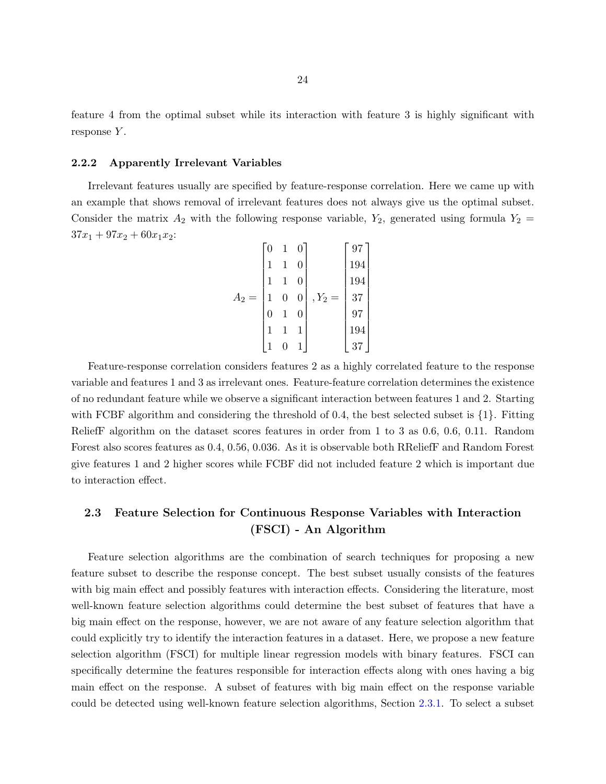<span id="page-32-0"></span>feature 4 from the optimal subset while its interaction with feature 3 is highly significant with response  $Y$ .

### 2.2.2 Apparently Irrelevant Variables

Irrelevant features usually are specified by feature-response correlation. Here we came up with an example that shows removal of irrelevant features does not always give us the optimal subset. Consider the matrix  $A_2$  with the following response variable,  $Y_2$ , generated using formula  $Y_2 =$  $37x_1 + 97x_2 + 60x_1x_2$ :

$$
A_2 = \begin{bmatrix} 0 & 1 & 0 \\ 1 & 1 & 0 \\ 1 & 1 & 0 \\ 1 & 0 & 0 \\ 0 & 1 & 0 \\ 1 & 1 & 1 \\ 1 & 0 & 1 \end{bmatrix}, Y_2 = \begin{bmatrix} 97 \\ 194 \\ 194 \\ 97 \\ 194 \\ 194 \\ 37 \end{bmatrix}
$$

Feature-response correlation considers features 2 as a highly correlated feature to the response variable and features 1 and 3 as irrelevant ones. Feature-feature correlation determines the existence of no redundant feature while we observe a significant interaction between features 1 and 2. Starting with FCBF algorithm and considering the threshold of 0.4, the best selected subset is  $\{1\}$ . Fitting ReliefF algorithm on the dataset scores features in order from 1 to 3 as 0.6, 0.6, 0.11. Random Forest also scores features as 0.4, 0.56, 0.036. As it is observable both RReliefF and Random Forest give features 1 and 2 higher scores while FCBF did not included feature 2 which is important due to interaction effect.

## 2.3 Feature Selection for Continuous Response Variables with Interaction (FSCI) - An Algorithm

Feature selection algorithms are the combination of search techniques for proposing a new feature subset to describe the response concept. The best subset usually consists of the features with big main effect and possibly features with interaction effects. Considering the literature, most well-known feature selection algorithms could determine the best subset of features that have a big main effect on the response, however, we are not aware of any feature selection algorithm that could explicitly try to identify the interaction features in a dataset. Here, we propose a new feature selection algorithm (FSCI) for multiple linear regression models with binary features. FSCI can specifically determine the features responsible for interaction effects along with ones having a big main effect on the response. A subset of features with big main effect on the response variable could be detected using well-known feature selection algorithms, Section [2.3.1.](#page-33-0) To select a subset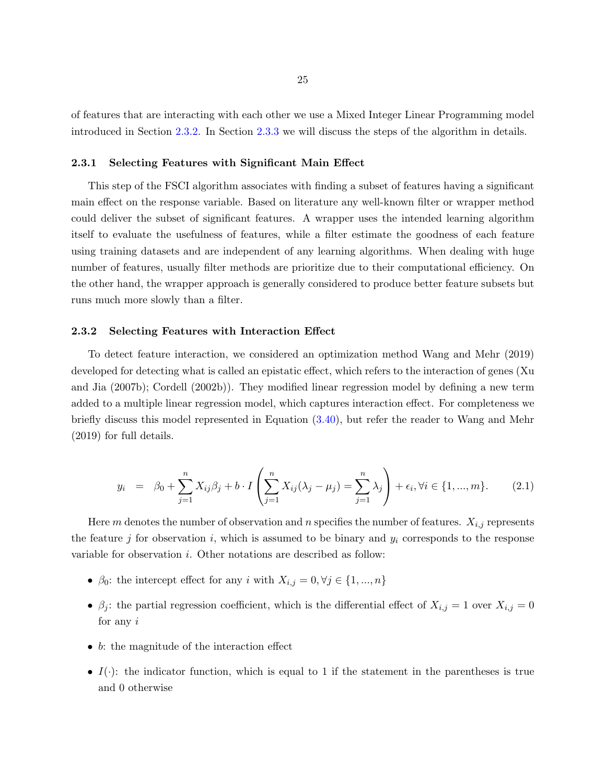<span id="page-33-0"></span>of features that are interacting with each other we use a Mixed Integer Linear Programming model introduced in Section 2.3.2. In Section [2.3.3](#page-34-0) we will discuss the steps of the algorithm in details.

### 2.3.1 Selecting Features with Significant Main Effect

This step of the FSCI algorithm associates with finding a subset of features having a significant main effect on the response variable. Based on literature any well-known filter or wrapper method could deliver the subset of significant features. A wrapper uses the intended learning algorithm itself to evaluate the usefulness of features, while a filter estimate the goodness of each feature using training datasets and are independent of any learning algorithms. When dealing with huge number of features, usually filter methods are prioritize due to their computational efficiency. On the other hand, the wrapper approach is generally considered to produce better feature subsets but runs much more slowly than a filter.

#### 2.3.2 Selecting Features with Interaction Effect

To detect feature interaction, we considered an optimization method Wang and Mehr (2019) developed for detecting what is called an epistatic effect, which refers to the interaction of genes (Xu and Jia (2007b); Cordell (2002b)). They modified linear regression model by defining a new term added to a multiple linear regression model, which captures interaction effect. For completeness we briefly discuss this model represented in Equation [\(3.40\)](#page-56-0), but refer the reader to Wang and Mehr (2019) for full details.

$$
y_i = \beta_0 + \sum_{j=1}^n X_{ij} \beta_j + b \cdot I \left( \sum_{j=1}^n X_{ij} (\lambda_j - \mu_j) = \sum_{j=1}^n \lambda_j \right) + \epsilon_i, \forall i \in \{1, ..., m\}. \tag{2.1}
$$

Here m denotes the number of observation and n specifies the number of features.  $X_{i,j}$  represents the feature j for observation i, which is assumed to be binary and  $y_i$  corresponds to the response variable for observation  $i$ . Other notations are described as follow:

- $\beta_0$ : the intercept effect for any i with  $X_{i,j} = 0, \forall j \in \{1, ..., n\}$
- $\beta_j$ : the partial regression coefficient, which is the differential effect of  $X_{i,j} = 1$  over  $X_{i,j} = 0$ for any i
- b: the magnitude of the interaction effect
- $I(\cdot)$ : the indicator function, which is equal to 1 if the statement in the parentheses is true and 0 otherwise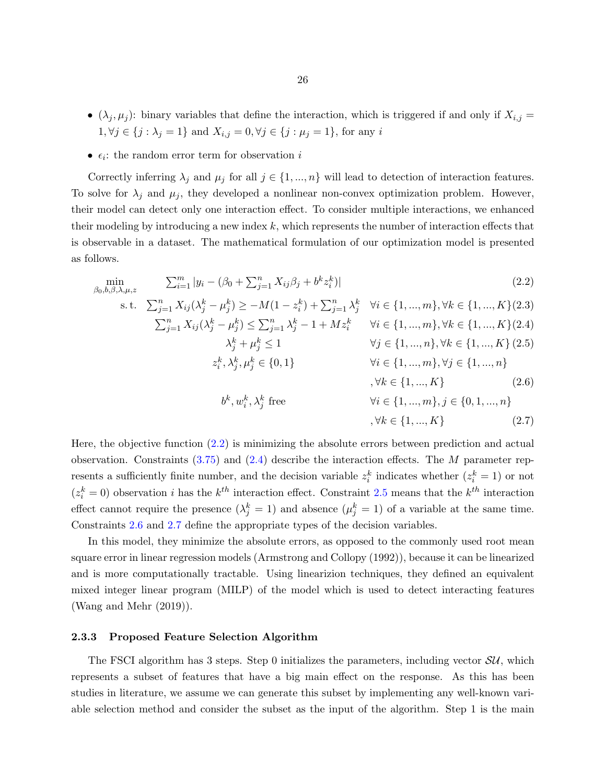- <span id="page-34-0"></span>•  $(\lambda_j, \mu_j)$ : binary variables that define the interaction, which is triggered if and only if  $X_{i,j} =$  $1, \forall j \in \{j : \lambda_j = 1\}$  and  $X_{i,j} = 0, \forall j \in \{j : \mu_j = 1\}$ , for any i
- $\epsilon_i$ : the random error term for observation i

Correctly inferring  $\lambda_j$  and  $\mu_j$  for all  $j \in \{1, ..., n\}$  will lead to detection of interaction features. To solve for  $\lambda_j$  and  $\mu_j$ , they developed a nonlinear non-convex optimization problem. However, their model can detect only one interaction effect. To consider multiple interactions, we enhanced their modeling by introducing a new index  $k$ , which represents the number of interaction effects that is observable in a dataset. The mathematical formulation of our optimization model is presented as follows.

$$
\min_{\beta_0, b, \beta, \lambda, \mu, z} \qquad \sum_{i=1}^m |y_i - (\beta_0 + \sum_{j=1}^n X_{ij}\beta_j + b^k z_i^k)| \tag{2.2}
$$

s.t. 
$$
\sum_{j=1}^{n} X_{ij}(\lambda_j^k - \mu_j^k) \ge -M(1 - z_i^k) + \sum_{j=1}^{n} \lambda_j^k \quad \forall i \in \{1, ..., m\}, \forall k \in \{1, ..., K\}(2.3)
$$

$$
\sum_{j=1}^{n} X_{ij}(\lambda_j^k - \mu_j^k) \le \sum_{j=1}^{n} \lambda_j^k - 1 + Mz_i^k \quad \forall i \in \{1, ..., m\}, \forall k \in \{1, ..., K\}(2.4)
$$

$$
\lambda_j^k + \mu_j^k \le 1 \qquad \forall j \in \{1, ..., n\}, \forall k \in \{1, ..., K\}(2.5)
$$

$$
z_i^k, \lambda_j^k, \mu_j^k \in \{0, 1\} \qquad \forall i \in \{1, ..., m\}, \forall j \in \{1, ..., n\}
$$

$$
\forall k \in \{1, ..., K\} \qquad (2.6)
$$

$$
b^k, w_i^k, \lambda_i^k \text{ free} \qquad \forall i \in \{1, ..., m\}, j \in \{0, 1, ..., n\}
$$

$$
k, w_i^k, \lambda_j^k \text{ free} \qquad \qquad \forall i \in \{1, ..., m\}, j \in \{0, 1, ..., n\}
$$

$$
,\forall k \in \{1, ..., K\} \tag{2.7}
$$

Here, the objective function (2.2) is minimizing the absolute errors between prediction and actual observation. Constraints  $(3.75)$  and  $(2.4)$  describe the interaction effects. The M parameter represents a sufficiently finite number, and the decision variable  $z_i^k$  indicates whether  $(z_i^k = 1)$  or not  $(z_i^k = 0)$  observation i has the  $k^{th}$  interaction effect. Constraint 2.5 means that the  $k^{th}$  interaction effect cannot require the presence  $(\lambda_j^k = 1)$  and absence  $(\mu_j^k = 1)$  of a variable at the same time. Constraints 2.6 and 2.7 define the appropriate types of the decision variables.

In this model, they minimize the absolute errors, as opposed to the commonly used root mean square error in linear regression models (Armstrong and Collopy (1992)), because it can be linearized and is more computationally tractable. Using linearizion techniques, they defined an equivalent mixed integer linear program (MILP) of the model which is used to detect interacting features (Wang and Mehr (2019)).

### 2.3.3 Proposed Feature Selection Algorithm

The FSCI algorithm has 3 steps. Step 0 initializes the parameters, including vector  $\mathcal{S}\mathcal{U}$ , which represents a subset of features that have a big main effect on the response. As this has been studies in literature, we assume we can generate this subset by implementing any well-known variable selection method and consider the subset as the input of the algorithm. Step 1 is the main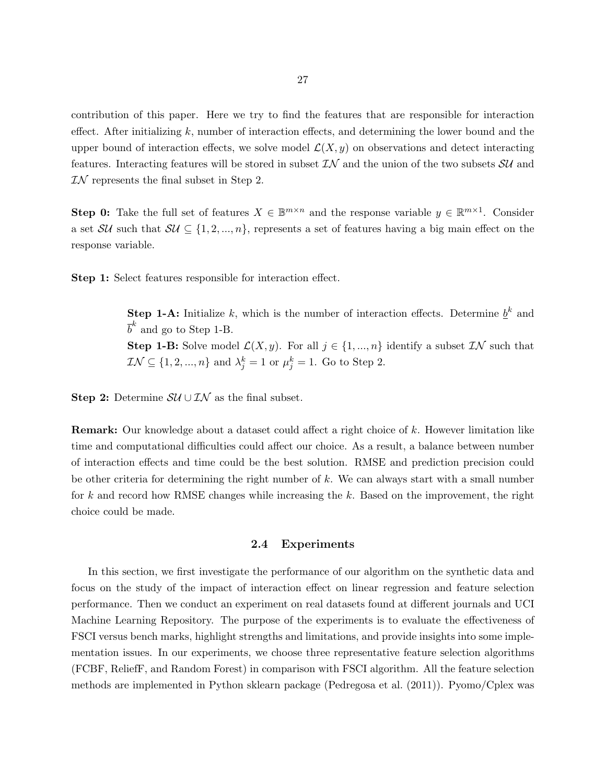<span id="page-35-0"></span>contribution of this paper. Here we try to find the features that are responsible for interaction effect. After initializing  $k$ , number of interaction effects, and determining the lower bound and the upper bound of interaction effects, we solve model  $\mathcal{L}(X, y)$  on observations and detect interacting features. Interacting features will be stored in subset  $\mathcal{IN}$  and the union of the two subsets  $\mathcal{SU}$  and IN represents the final subset in Step 2.

Step 0: Take the full set of features  $X \in \mathbb{B}^{m \times n}$  and the response variable  $y \in \mathbb{R}^{m \times 1}$ . Consider a set  $\mathcal{S}U$  such that  $\mathcal{S}U \subseteq \{1, 2, ..., n\}$ , represents a set of features having a big main effect on the response variable.

Step 1: Select features responsible for interaction effect.

**Step 1-A:** Initialize k, which is the number of interaction effects. Determine  $\underline{b}^k$  and  $\overline{b}^k$  and go to Step 1-B. **Step 1-B:** Solve model  $\mathcal{L}(X, y)$ . For all  $j \in \{1, ..., n\}$  identify a subset  $\mathcal{IN}$  such that  $\mathcal{IN} \subseteq \{1, 2, ..., n\}$  and  $\lambda_j^k = 1$  or  $\mu_j^k = 1$ . Go to Step 2.

Step 2: Determine  $\mathcal{S} \mathcal{U} \cup \mathcal{I} \mathcal{N}$  as the final subset.

Remark: Our knowledge about a dataset could affect a right choice of k. However limitation like time and computational difficulties could affect our choice. As a result, a balance between number of interaction effects and time could be the best solution. RMSE and prediction precision could be other criteria for determining the right number of k. We can always start with a small number for k and record how RMSE changes while increasing the k. Based on the improvement, the right choice could be made.

### 2.4 Experiments

In this section, we first investigate the performance of our algorithm on the synthetic data and focus on the study of the impact of interaction effect on linear regression and feature selection performance. Then we conduct an experiment on real datasets found at different journals and UCI Machine Learning Repository. The purpose of the experiments is to evaluate the effectiveness of FSCI versus bench marks, highlight strengths and limitations, and provide insights into some implementation issues. In our experiments, we choose three representative feature selection algorithms (FCBF, ReliefF, and Random Forest) in comparison with FSCI algorithm. All the feature selection methods are implemented in Python sklearn package (Pedregosa et al. (2011)). Pyomo/Cplex was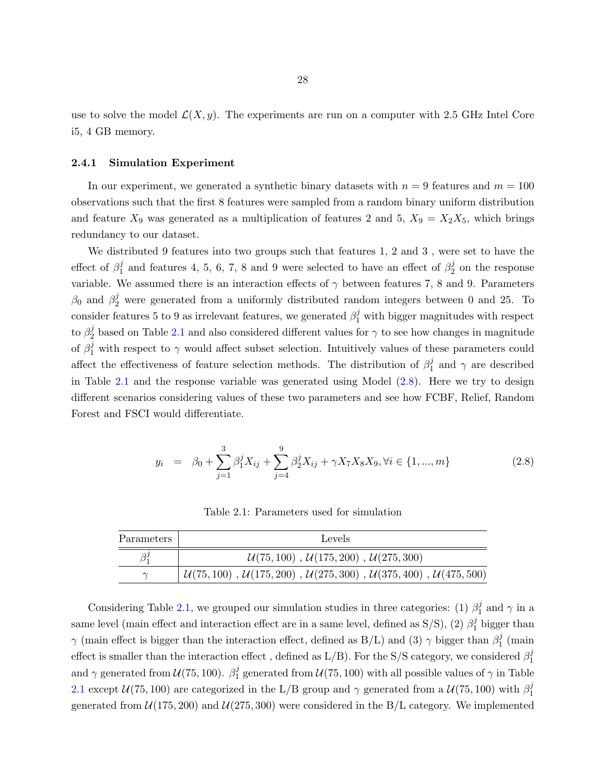use to solve the model  $\mathcal{L}(X, y)$ . The experiments are run on a computer with 2.5 GHz Intel Core i5, 4 GB memory.

## 2.4.1 Simulation Experiment

In our experiment, we generated a synthetic binary datasets with  $n = 9$  features and  $m = 100$ observations such that the first 8 features were sampled from a random binary uniform distribution and feature  $X_9$  was generated as a multiplication of features 2 and 5,  $X_9 = X_2 X_5$ , which brings redundancy to our dataset.

We distributed 9 features into two groups such that features 1, 2 and 3 , were set to have the effect of  $\beta_1^j$  $j<sub>1</sub>$  and features 4, 5, 6, 7, 8 and 9 were selected to have an effect of  $\beta_2^j$  $2<sup>j</sup>$  on the response variable. We assumed there is an interaction effects of  $\gamma$  between features 7, 8 and 9. Parameters  $\beta_0$  and  $\beta_2^j$  were generated from a uniformly distributed random integers between 0 and 25. To consider features 5 to 9 as irrelevant features, we generated  $\beta_1^j$  with bigger magnitudes with respect  $\mathrm{to}~\beta_2^j$ <sup>2</sup>/<sub>2</sub> based on Table 2.1 and also considered different values for  $\gamma$  to see how changes in magnitude of  $\beta_1^j$  with respect to  $\gamma$  would affect subset selection. Intuitively values of these parameters could affect the effectiveness of feature selection methods. The distribution of  $\beta_1^j$  $_1^j$  and  $\gamma$  are described in Table 2.1 and the response variable was generated using Model (2.8). Here we try to design different scenarios considering values of these two parameters and see how FCBF, Relief, Random Forest and FSCI would differentiate.

$$
y_i = \beta_0 + \sum_{j=1}^3 \beta_1^j X_{ij} + \sum_{j=4}^9 \beta_2^j X_{ij} + \gamma X_7 X_8 X_9, \forall i \in \{1, ..., m\}
$$
 (2.8)

Table 2.1: Parameters used for simulation

| Parameters | Levels                                                                                                                         |
|------------|--------------------------------------------------------------------------------------------------------------------------------|
|            | $\mathcal{U}(75, 100)$ , $\mathcal{U}(175, 200)$ , $\mathcal{U}(275, 300)$                                                     |
| $\sim$     | $\mathcal{U}(75, 100)$ , $\mathcal{U}(175, 200)$ , $\mathcal{U}(275, 300)$ , $\mathcal{U}(375, 400)$ , $\mathcal{U}(475, 500)$ |

Considering Table 2.1, we grouped our simulation studies in three categories: (1)  $\beta_1^j$  $\frac{J}{1}$  and  $\gamma$  in a same level (main effect and interaction effect are in a same level, defined as  $S/S$ ), (2)  $\beta_1^j$  $j_1^j$  bigger than  $\gamma$  (main effect is bigger than the interaction effect, defined as B/L) and (3)  $\gamma$  bigger than  $\beta_1^j$  $j_1$  (main effect is smaller than the interaction effect, defined as L/B). For the S/S category, we considered  $\beta_1^j$ 1 and  $\gamma$  generated from  $\mathcal{U}(75, 100)$ .  $\beta_1^j$ <sup>*f*</sup></sup> generated from  $\mathcal{U}(75, 100)$  with all possible values of  $\gamma$  in Table 2.1 except  $\mathcal{U}(75, 100)$  are categorized in the L/B group and  $\gamma$  generated from a  $\mathcal{U}(75, 100)$  with  $\beta_1^j$ 1 generated from  $U(175, 200)$  and  $U(275, 300)$  were considered in the B/L category. We implemented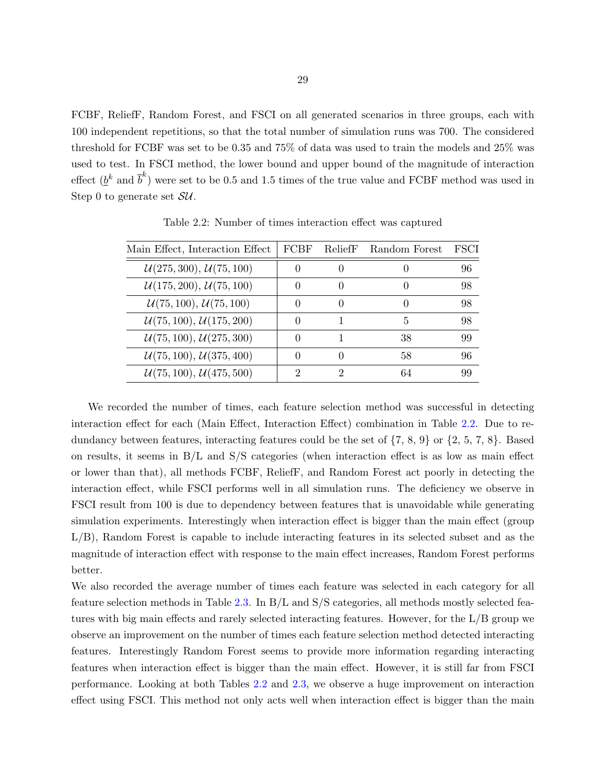FCBF, ReliefF, Random Forest, and FSCI on all generated scenarios in three groups, each with 100 independent repetitions, so that the total number of simulation runs was 700. The considered threshold for FCBF was set to be 0.35 and 75% of data was used to train the models and 25% was used to test. In FSCI method, the lower bound and upper bound of the magnitude of interaction effect  $(\underline{b}^k$  and  $\overline{b}^k)$  were set to be 0.5 and 1.5 times of the true value and FCBF method was used in Step 0 to generate set  $\mathcal{S}U$ .

| Main Effect, Interaction Effect | FCBF         | ReliefF | Random Forest | FSCI |
|---------------------------------|--------------|---------|---------------|------|
| U(275, 300), U(75, 100)         |              |         |               | 96   |
| U(175, 200), U(75, 100)         |              |         |               | 98   |
| U(75, 100), U(75, 100)          |              |         |               | 98   |
| U(75, 100), U(175, 200)         | $\mathbf{0}$ |         | 5             | 98   |
| U(75, 100), U(275, 300)         | $\mathbf{0}$ |         | 38            | 99   |
| U(75, 100), U(375, 400)         |              |         | 58            | 96   |
| U(75, 100), U(475, 500)         |              |         |               | 99   |

Table 2.2: Number of times interaction effect was captured

We recorded the number of times, each feature selection method was successful in detecting interaction effect for each (Main Effect, Interaction Effect) combination in Table 2.2. Due to redundancy between features, interacting features could be the set of {7, 8, 9} or {2, 5, 7, 8}. Based on results, it seems in B/L and S/S categories (when interaction effect is as low as main effect or lower than that), all methods FCBF, ReliefF, and Random Forest act poorly in detecting the interaction effect, while FSCI performs well in all simulation runs. The deficiency we observe in FSCI result from 100 is due to dependency between features that is unavoidable while generating simulation experiments. Interestingly when interaction effect is bigger than the main effect (group L/B), Random Forest is capable to include interacting features in its selected subset and as the magnitude of interaction effect with response to the main effect increases, Random Forest performs better.

We also recorded the average number of times each feature was selected in each category for all feature selection methods in Table [2.3.](#page-38-0) In B/L and S/S categories, all methods mostly selected features with big main effects and rarely selected interacting features. However, for the L/B group we observe an improvement on the number of times each feature selection method detected interacting features. Interestingly Random Forest seems to provide more information regarding interacting features when interaction effect is bigger than the main effect. However, it is still far from FSCI performance. Looking at both Tables 2.2 and [2.3,](#page-38-0) we observe a huge improvement on interaction effect using FSCI. This method not only acts well when interaction effect is bigger than the main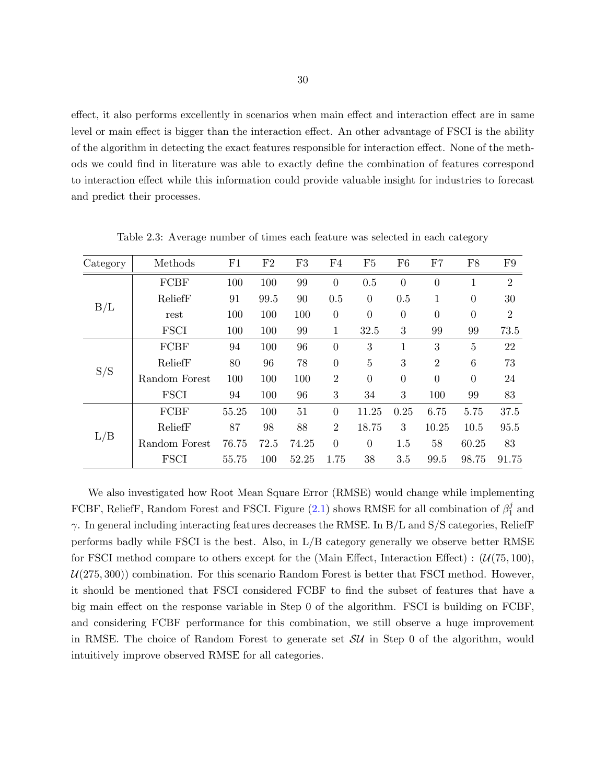<span id="page-38-0"></span>effect, it also performs excellently in scenarios when main effect and interaction effect are in same level or main effect is bigger than the interaction effect. An other advantage of FSCI is the ability of the algorithm in detecting the exact features responsible for interaction effect. None of the methods we could find in literature was able to exactly define the combination of features correspond to interaction effect while this information could provide valuable insight for industries to forecast and predict their processes.

| Category | Methods       | F1    | F2   | F3    | F <sub>4</sub> | F5             | F <sub>6</sub> | F7               | F8               | F9             |
|----------|---------------|-------|------|-------|----------------|----------------|----------------|------------------|------------------|----------------|
|          | FCBF          | 100   | 100  | 99    | $\theta$       | 0.5            | $\theta$       | $\overline{0}$   | 1                | $\overline{2}$ |
|          | ReliefF       | 91    | 99.5 | 90    | 0.5            | $\overline{0}$ | 0.5            | 1                | $\boldsymbol{0}$ | 30             |
| B/L      | rest          | 100   | 100  | 100   | $\theta$       | $\theta$       | $\theta$       | $\boldsymbol{0}$ | $\boldsymbol{0}$ | $\overline{2}$ |
|          | <b>FSCI</b>   | 100   | 100  | 99    | 1              | 32.5           | 3              | 99               | 99               | 73.5           |
|          | FCBF          | 94    | 100  | 96    | $\theta$       | 3              | 1              | 3                | 5                | 22             |
|          | ReliefF       | 80    | 96   | 78    | $\theta$       | $\overline{5}$ | 3              | $\overline{2}$   | 6                | 73             |
| S/S      | Random Forest | 100   | 100  | 100   | $\overline{2}$ | $\Omega$       | $\overline{0}$ | $\overline{0}$   | $\overline{0}$   | 24             |
|          | <b>FSCI</b>   | 94    | 100  | 96    | 3              | 34             | 3              | 100              | 99               | 83             |
| L/B      | FCBF          | 55.25 | 100  | 51    | $\theta$       | 11.25          | 0.25           | 6.75             | 5.75             | 37.5           |
|          | ReliefF       | 87    | 98   | 88    | $\overline{2}$ | 18.75          | 3              | 10.25            | 10.5             | 95.5           |
|          | Random Forest | 76.75 | 72.5 | 74.25 | $\theta$       | $\overline{0}$ | 1.5            | 58               | 60.25            | 83             |
|          | <b>FSCI</b>   | 55.75 | 100  | 52.25 | 1.75           | 38             | 3.5            | 99.5             | 98.75            | 91.75          |

Table 2.3: Average number of times each feature was selected in each category

We also investigated how Root Mean Square Error (RMSE) would change while implementing FCBF, ReliefF, Random Forest and FSCI. Figure [\(2.1\)](#page-39-0) shows RMSE for all combination of  $\beta_1^j$  $\frac{J}{1}$  and  $\gamma$ . In general including interacting features decreases the RMSE. In B/L and S/S categories, ReliefF performs badly while FSCI is the best. Also, in L/B category generally we observe better RMSE for FSCI method compare to others except for the (Main Effect, Interaction Effect) :  $(\mathcal{U}(75, 100),$  $U(275, 300)$  combination. For this scenario Random Forest is better that FSCI method. However, it should be mentioned that FSCI considered FCBF to find the subset of features that have a big main effect on the response variable in Step 0 of the algorithm. FSCI is building on FCBF, and considering FCBF performance for this combination, we still observe a huge improvement in RMSE. The choice of Random Forest to generate set  $\mathcal{S}U$  in Step 0 of the algorithm, would intuitively improve observed RMSE for all categories.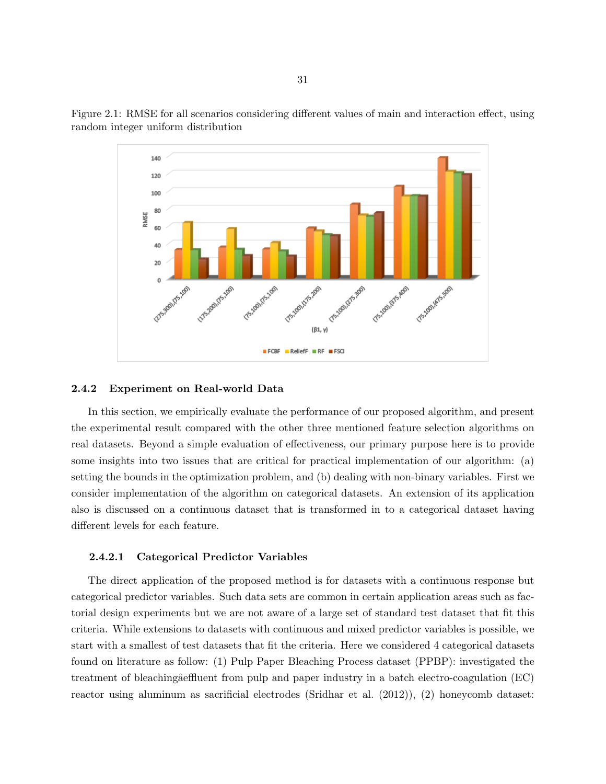

<span id="page-39-0"></span>Figure 2.1: RMSE for all scenarios considering different values of main and interaction effect, using random integer uniform distribution

# 2.4.2 Experiment on Real-world Data

In this section, we empirically evaluate the performance of our proposed algorithm, and present the experimental result compared with the other three mentioned feature selection algorithms on real datasets. Beyond a simple evaluation of effectiveness, our primary purpose here is to provide some insights into two issues that are critical for practical implementation of our algorithm: (a) setting the bounds in the optimization problem, and (b) dealing with non-binary variables. First we consider implementation of the algorithm on categorical datasets. An extension of its application also is discussed on a continuous dataset that is transformed in to a categorical dataset having different levels for each feature.

## 2.4.2.1 Categorical Predictor Variables

The direct application of the proposed method is for datasets with a continuous response but categorical predictor variables. Such data sets are common in certain application areas such as factorial design experiments but we are not aware of a large set of standard test dataset that fit this criteria. While extensions to datasets with continuous and mixed predictor variables is possible, we start with a smallest of test datasets that fit the criteria. Here we considered 4 categorical datasets found on literature as follow: (1) Pulp Paper Bleaching Process dataset (PPBP): investigated the treatment of bleachingåeffluent from pulp and paper industry in a batch electro-coagulation (EC) reactor using aluminum as sacrificial electrodes (Sridhar et al. (2012)), (2) honeycomb dataset: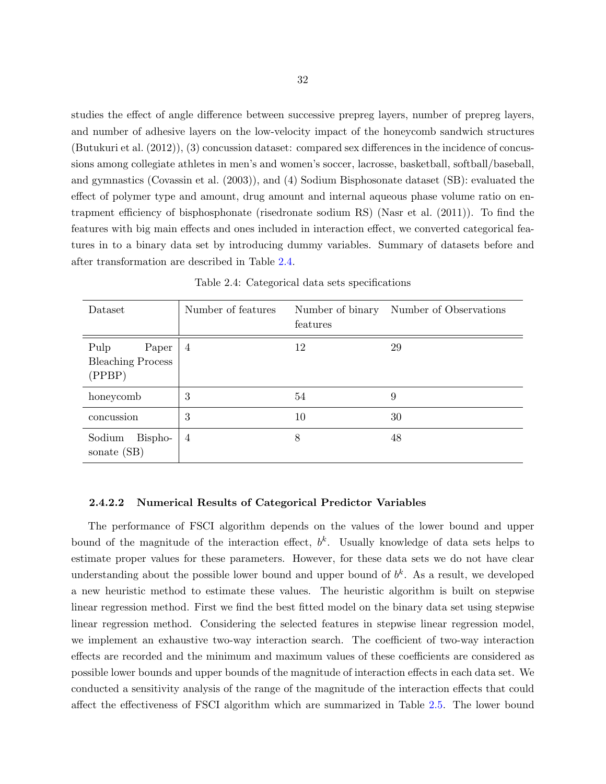studies the effect of angle difference between successive prepreg layers, number of prepreg layers, and number of adhesive layers on the low-velocity impact of the honeycomb sandwich structures (Butukuri et al. (2012)), (3) concussion dataset: compared sex differences in the incidence of concussions among collegiate athletes in men's and women's soccer, lacrosse, basketball, softball/baseball, and gymnastics (Covassin et al. (2003)), and (4) Sodium Bisphosonate dataset (SB): evaluated the effect of polymer type and amount, drug amount and internal aqueous phase volume ratio on entrapment efficiency of bisphosphonate (risedronate sodium RS) (Nasr et al. (2011)). To find the features with big main effects and ones included in interaction effect, we converted categorical features in to a binary data set by introducing dummy variables. Summary of datasets before and after transformation are described in Table 2.4.

| Dataset                                             | Number of features | Number of binary<br>features | Number of Observations |
|-----------------------------------------------------|--------------------|------------------------------|------------------------|
| Pulp<br>Paper<br><b>Bleaching Process</b><br>(PPBP) | 4                  | 12                           | 29                     |
| honeycomb                                           | 3                  | 54                           | 9                      |
| concussion                                          | 3                  | 10                           | 30                     |
| Bispho-<br>Sodium<br>sonate (SB)                    | $\overline{4}$     | 8                            | 48                     |

Table 2.4: Categorical data sets specifications

#### 2.4.2.2 Numerical Results of Categorical Predictor Variables

The performance of FSCI algorithm depends on the values of the lower bound and upper bound of the magnitude of the interaction effect,  $b^k$ . Usually knowledge of data sets helps to estimate proper values for these parameters. However, for these data sets we do not have clear understanding about the possible lower bound and upper bound of  $b^k$ . As a result, we developed a new heuristic method to estimate these values. The heuristic algorithm is built on stepwise linear regression method. First we find the best fitted model on the binary data set using stepwise linear regression method. Considering the selected features in stepwise linear regression model, we implement an exhaustive two-way interaction search. The coefficient of two-way interaction effects are recorded and the minimum and maximum values of these coefficients are considered as possible lower bounds and upper bounds of the magnitude of interaction effects in each data set. We conducted a sensitivity analysis of the range of the magnitude of the interaction effects that could affect the effectiveness of FSCI algorithm which are summarized in Table [2.5.](#page-41-0) The lower bound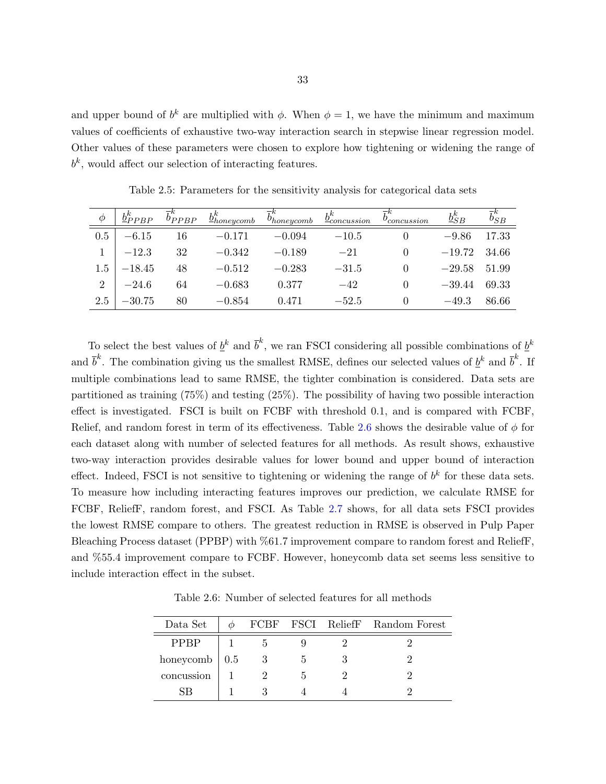<span id="page-41-0"></span>and upper bound of  $b^k$  are multiplied with  $\phi$ . When  $\phi = 1$ , we have the minimum and maximum values of coefficients of exhaustive two-way interaction search in stepwise linear regression model. Other values of these parameters were chosen to explore how tightening or widening the range of  $b<sup>k</sup>$ , would affect our selection of interacting features.

| $\phi$         | $b_{PPBP}^k$ |    | $\bar{b}^{\kappa}_{PPBP}$ $b^k_{honeycomb}$ |          | $\overline{b}_{honeycomb}^{\kappa}$ $\underline{b}_{concussion}^{\kappa}$ | $\overline{b}_{concussion}^k$ | $b_{SB}^k$     | $v_{SB}$ |
|----------------|--------------|----|---------------------------------------------|----------|---------------------------------------------------------------------------|-------------------------------|----------------|----------|
| $0.5\,$        | $-6.15$      | 16 | $-0.171$                                    | $-0.094$ | $-10.5$                                                                   |                               | $-9.86$        | 17.33    |
|                | $-12.3$      | 32 | $-0.342$                                    | $-0.189$ | $-21$                                                                     |                               | $-19.72$ 34.66 |          |
| 1.5            | $-18.45$     | 48 | $-0.512$                                    | $-0.283$ | $-31.5$                                                                   |                               | $-29.58$ 51.99 |          |
| $\overline{2}$ | $-24.6$      | 64 | $-0.683$                                    | 0.377    | $-42$                                                                     |                               | $-39.44$ 69.33 |          |
| $2.5\,$        | $-30.75$     | 80 | $-0.854$                                    | 0.471    | $-52.5$                                                                   | $\Omega$                      | $-49.3$        | 86.66    |

Table 2.5: Parameters for the sensitivity analysis for categorical data sets

To select the best values of  $\underline{b}^k$  and  $\overline{b}^k$ , we ran FSCI considering all possible combinations of  $\underline{b}^k$ and  $\bar{b}^k$ . The combination giving us the smallest RMSE, defines our selected values of  $\underline{b}^k$  and  $\bar{b}^k$ . If multiple combinations lead to same RMSE, the tighter combination is considered. Data sets are partitioned as training (75%) and testing (25%). The possibility of having two possible interaction effect is investigated. FSCI is built on FCBF with threshold 0.1, and is compared with FCBF, Relief, and random forest in term of its effectiveness. Table 2.6 shows the desirable value of  $\phi$  for each dataset along with number of selected features for all methods. As result shows, exhaustive two-way interaction provides desirable values for lower bound and upper bound of interaction effect. Indeed, FSCI is not sensitive to tightening or widening the range of  $b<sup>k</sup>$  for these data sets. To measure how including interacting features improves our prediction, we calculate RMSE for FCBF, ReliefF, random forest, and FSCI. As Table [2.7](#page-42-0) shows, for all data sets FSCI provides the lowest RMSE compare to others. The greatest reduction in RMSE is observed in Pulp Paper Bleaching Process dataset (PPBP) with %61.7 improvement compare to random forest and ReliefF, and %55.4 improvement compare to FCBF. However, honeycomb data set seems less sensitive to include interaction effect in the subset.

Table 2.6: Number of selected features for all methods

| Data Set                    |  |  | FCBF FSCI ReliefF Random Forest |
|-----------------------------|--|--|---------------------------------|
| <b>PPBP</b>                 |  |  |                                 |
| honeycomb $\vert 0.5 \vert$ |  |  |                                 |
| concussion                  |  |  |                                 |
| SR                          |  |  |                                 |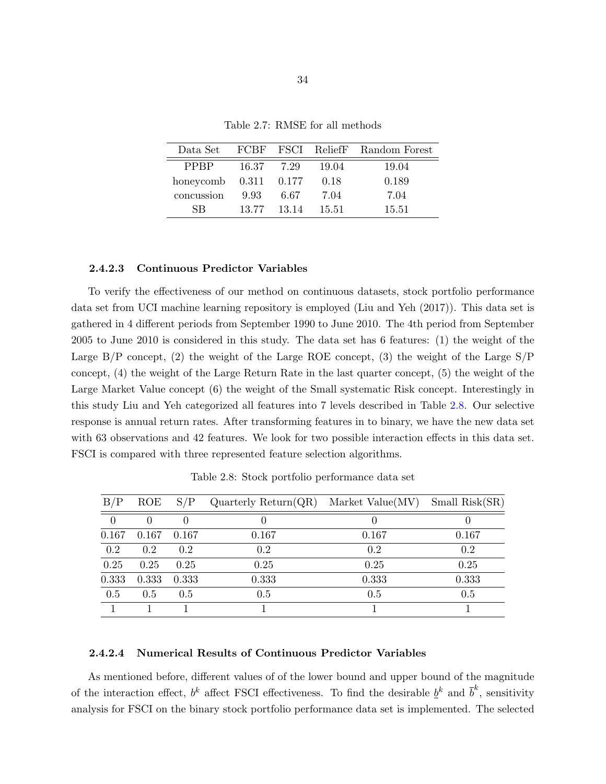Table 2.7: RMSE for all methods

<span id="page-42-0"></span>

| Data Set                  |       |       |       | FCBF FSCI ReliefF Random Forest |
|---------------------------|-------|-------|-------|---------------------------------|
| <b>PPRP</b>               | 16.37 | 7.29  | 19.04 | 19.04                           |
| honeycomb $0.311$ $0.177$ |       |       | 0.18  | 0.189                           |
| concussion                | 9.93  | 6.67  | 7.04  | 7.04                            |
| SB.                       | 13.77 | 13.14 | 15.51 | 15.51                           |

#### 2.4.2.3 Continuous Predictor Variables

To verify the effectiveness of our method on continuous datasets, stock portfolio performance data set from UCI machine learning repository is employed (Liu and Yeh (2017)). This data set is gathered in 4 different periods from September 1990 to June 2010. The 4th period from September 2005 to June 2010 is considered in this study. The data set has 6 features: (1) the weight of the Large B/P concept, (2) the weight of the Large ROE concept, (3) the weight of the Large S/P concept, (4) the weight of the Large Return Rate in the last quarter concept, (5) the weight of the Large Market Value concept (6) the weight of the Small systematic Risk concept. Interestingly in this study Liu and Yeh categorized all features into 7 levels described in Table 2.8. Our selective response is annual return rates. After transforming features in to binary, we have the new data set with 63 observations and 42 features. We look for two possible interaction effects in this data set. FSCI is compared with three represented feature selection algorithms.

| B/P            | ROE   | S/P   | Quarterly Return(QR) | Market Value(MV) | Small Risk(SR) |
|----------------|-------|-------|----------------------|------------------|----------------|
| $\overline{0}$ |       |       |                      | O                |                |
| 0.167          | 0.167 | 0.167 | 0.167                | 0.167            | 0.167          |
| 0.2            | 0.2   | 0.2   | 0.2                  | 0.2              | 0.2            |
| 0.25           | 0.25  | 0.25  | 0.25                 | 0.25             | 0.25           |
| 0.333          | 0.333 | 0.333 | 0.333                | 0.333            | 0.333          |
| 0.5            | 0.5   | 0.5   | 0.5                  | 0.5              | 0.5            |
|                |       |       |                      |                  |                |

Table 2.8: Stock portfolio performance data set

# 2.4.2.4 Numerical Results of Continuous Predictor Variables

As mentioned before, different values of of the lower bound and upper bound of the magnitude of the interaction effect,  $b^k$  affect FSCI effectiveness. To find the desirable  $\underline{b}^k$  and  $\overline{b}^k$ , sensitivity analysis for FSCI on the binary stock portfolio performance data set is implemented. The selected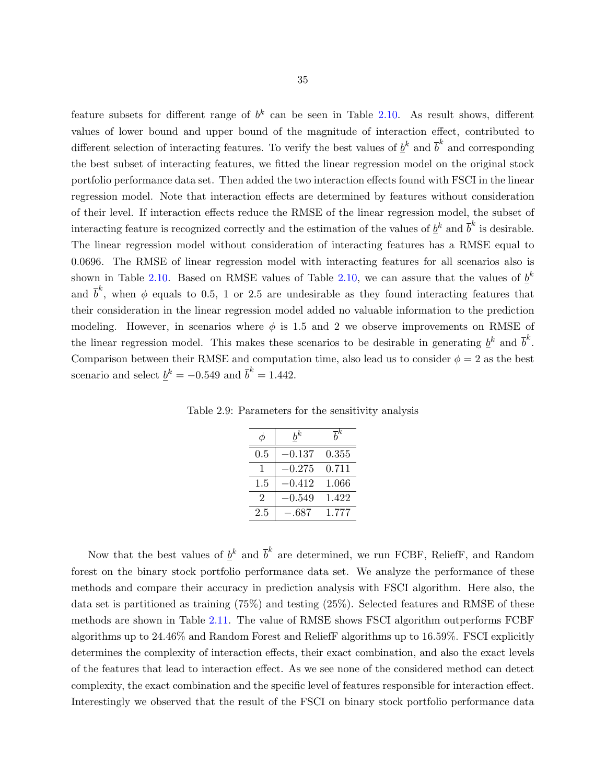feature subsets for different range of  $b^k$  can be seen in Table [2.10.](#page-44-0) As result shows, different values of lower bound and upper bound of the magnitude of interaction effect, contributed to different selection of interacting features. To verify the best values of  $\underline{b}^k$  and  $\overline{b}^k$  and corresponding the best subset of interacting features, we fitted the linear regression model on the original stock portfolio performance data set. Then added the two interaction effects found with FSCI in the linear regression model. Note that interaction effects are determined by features without consideration of their level. If interaction effects reduce the RMSE of the linear regression model, the subset of interacting feature is recognized correctly and the estimation of the values of  $\underline{b}^k$  and  $\overline{b}^k$  is desirable. The linear regression model without consideration of interacting features has a RMSE equal to 0.0696. The RMSE of linear regression model with interacting features for all scenarios also is shown in Table [2.10.](#page-44-0) Based on RMSE values of Table [2.10,](#page-44-0) we can assure that the values of  $\underline{b}^k$ and  $\bar{b}^k$ , when  $\phi$  equals to 0.5, 1 or 2.5 are undesirable as they found interacting features that their consideration in the linear regression model added no valuable information to the prediction modeling. However, in scenarios where  $\phi$  is 1.5 and 2 we observe improvements on RMSE of the linear regression model. This makes these scenarios to be desirable in generating  $\underline{b}^k$  and  $\overline{b}^k$ . Comparison between their RMSE and computation time, also lead us to consider  $\phi = 2$  as the best scenario and select  $\underline{b}^k = -0.549$  and  $\overline{b}^k = 1.442$ .

Table 2.9: Parameters for the sensitivity analysis

| ¢       | $b^k$      |       |
|---------|------------|-------|
| $0.5\,$ | $-0.137\,$ | 0.355 |
| 1       | $-0.275\,$ | 0.711 |
| $1.5\,$ | $-0.412\,$ | 1.066 |
| 2       | $-0.549\,$ | 1.422 |
| 2.5     | $-.687$    | 1.777 |

Now that the best values of  $\underline{b}^k$  and  $\overline{b}^k$  are determined, we run FCBF, ReliefF, and Random forest on the binary stock portfolio performance data set. We analyze the performance of these methods and compare their accuracy in prediction analysis with FSCI algorithm. Here also, the data set is partitioned as training (75%) and testing (25%). Selected features and RMSE of these methods are shown in Table [2.11.](#page-45-0) The value of RMSE shows FSCI algorithm outperforms FCBF algorithms up to 24.46% and Random Forest and ReliefF algorithms up to 16.59%. FSCI explicitly determines the complexity of interaction effects, their exact combination, and also the exact levels of the features that lead to interaction effect. As we see none of the considered method can detect complexity, the exact combination and the specific level of features responsible for interaction effect. Interestingly we observed that the result of the FSCI on binary stock portfolio performance data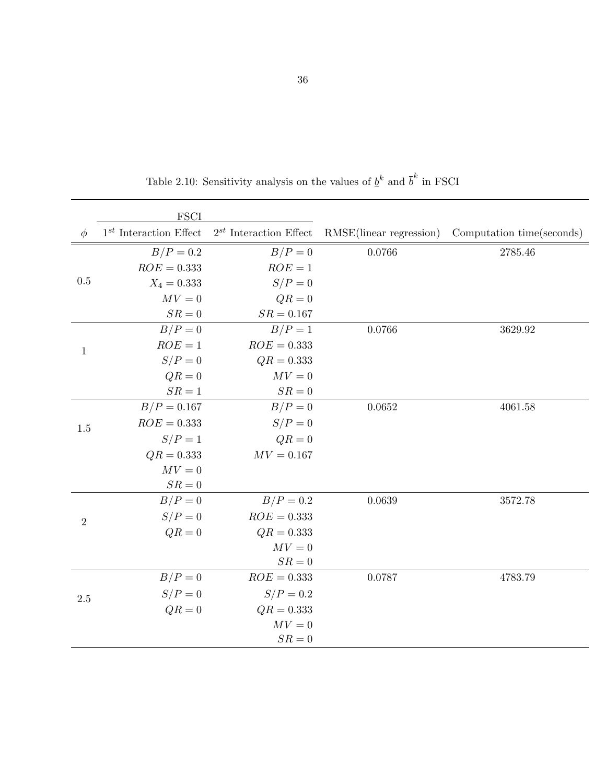<span id="page-44-0"></span>

|                | <b>FSCI</b>                 |                             |        |                                                   |
|----------------|-----------------------------|-----------------------------|--------|---------------------------------------------------|
| $\phi$         | $1^{st}$ Interaction Effect | $2^{st}$ Interaction Effect |        | RMSE(linear regression) Computation time(seconds) |
|                | $B/P = 0.2$                 | $B/P=0$                     | 0.0766 | 2785.46                                           |
|                | $ROE = 0.333$               | $ROE = 1$                   |        |                                                   |
| 0.5            | $X_4 = 0.333$               | $S/P=0$                     |        |                                                   |
|                | $MV = 0$                    | $QR = 0$                    |        |                                                   |
|                | $SR = 0$                    | $SR = 0.167$                |        |                                                   |
|                | $B/P=0$                     | $B/P=1$                     | 0.0766 | 3629.92                                           |
| $\mathbf 1$    | $ROE = 1$                   | $ROE = 0.333$               |        |                                                   |
|                | $S/P=0$                     | $QR = 0.333$                |        |                                                   |
|                | $QR = 0$                    | $MV = 0$                    |        |                                                   |
|                | ${\cal SR}=1$               | ${\cal SR}=0$               |        |                                                   |
|                | $B/P = 0.167$               | $B/P=0$                     | 0.0652 | 4061.58                                           |
| 1.5            | $ROE = 0.333$               | $S/P=0$                     |        |                                                   |
|                | $S/P=1$                     | $QR = 0$                    |        |                                                   |
|                | $QR = 0.333$                | $MV = 0.167$                |        |                                                   |
|                | $MV = 0$                    |                             |        |                                                   |
|                | ${\cal SR}=0$               |                             |        |                                                   |
|                | $B/P=0$                     | $B/P = 0.2$                 | 0.0639 | 3572.78                                           |
| $\overline{2}$ | $S/P=0$                     | $ROE = 0.333$               |        |                                                   |
|                | $QR = 0$                    | $QR = 0.333$                |        |                                                   |
|                |                             | $MV = 0$                    |        |                                                   |
|                |                             | $SR = 0$                    |        |                                                   |
|                | $B/P=0$                     | $ROE = 0.333$               | 0.0787 | 4783.79                                           |
| 2.5            | $S/P=0$                     | $S/P = 0.2$                 |        |                                                   |
|                | $QR = 0$                    | $QR = 0.333$                |        |                                                   |
|                |                             | $MV = 0$                    |        |                                                   |
|                |                             | $SR = 0$                    |        |                                                   |

Table 2.10: Sensitivity analysis on the values of  $\underline{b}^k$  and  $\overline{b}^k$  in FSCI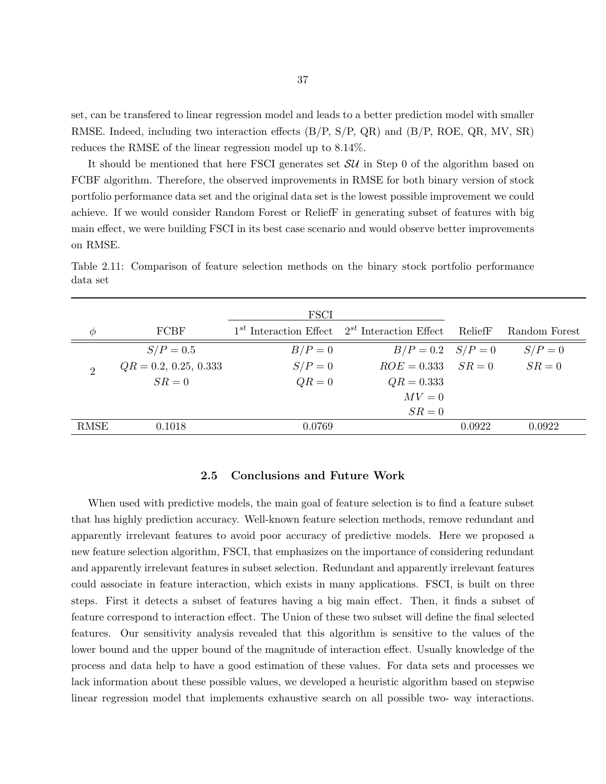<span id="page-45-0"></span>set, can be transfered to linear regression model and leads to a better prediction model with smaller RMSE. Indeed, including two interaction effects (B/P, S/P, QR) and (B/P, ROE, QR, MV, SR) reduces the RMSE of the linear regression model up to 8.14%.

It should be mentioned that here FSCI generates set  $\mathcal{S}U$  in Step 0 of the algorithm based on FCBF algorithm. Therefore, the observed improvements in RMSE for both binary version of stock portfolio performance data set and the original data set is the lowest possible improvement we could achieve. If we would consider Random Forest or ReliefF in generating subset of features with big main effect, we were building FSCI in its best case scenario and would observe better improvements on RMSE.

Table 2.11: Comparison of feature selection methods on the binary stock portfolio performance data set

|                |                         | <b>FSCI</b> |                                                         |         |               |
|----------------|-------------------------|-------------|---------------------------------------------------------|---------|---------------|
| $\phi$         | <b>FCBF</b>             |             | $1^{st}$ Interaction Effect $2^{st}$ Interaction Effect | ReliefF | Random Forest |
|                | $S/P = 0.5$             | $B/P=0$     | $B/P = 0.2$ $S/P = 0$                                   |         | $S/P=0$       |
| $\overline{2}$ | $QR = 0.2, 0.25, 0.333$ | $S/P=0$     | $ROE = 0.333$ $SR = 0$                                  |         | $SR = 0$      |
|                | $SR = 0$                | $QR = 0$    | $QR = 0.333$                                            |         |               |
|                |                         |             | $MV = 0$                                                |         |               |
|                |                         |             | $SR = 0$                                                |         |               |
| <b>RMSE</b>    | 0.1018                  | 0.0769      |                                                         | 0.0922  | 0.0922        |

# 2.5 Conclusions and Future Work

When used with predictive models, the main goal of feature selection is to find a feature subset that has highly prediction accuracy. Well-known feature selection methods, remove redundant and apparently irrelevant features to avoid poor accuracy of predictive models. Here we proposed a new feature selection algorithm, FSCI, that emphasizes on the importance of considering redundant and apparently irrelevant features in subset selection. Redundant and apparently irrelevant features could associate in feature interaction, which exists in many applications. FSCI, is built on three steps. First it detects a subset of features having a big main effect. Then, it finds a subset of feature correspond to interaction effect. The Union of these two subset will define the final selected features. Our sensitivity analysis revealed that this algorithm is sensitive to the values of the lower bound and the upper bound of the magnitude of interaction effect. Usually knowledge of the process and data help to have a good estimation of these values. For data sets and processes we lack information about these possible values, we developed a heuristic algorithm based on stepwise linear regression model that implements exhaustive search on all possible two- way interactions.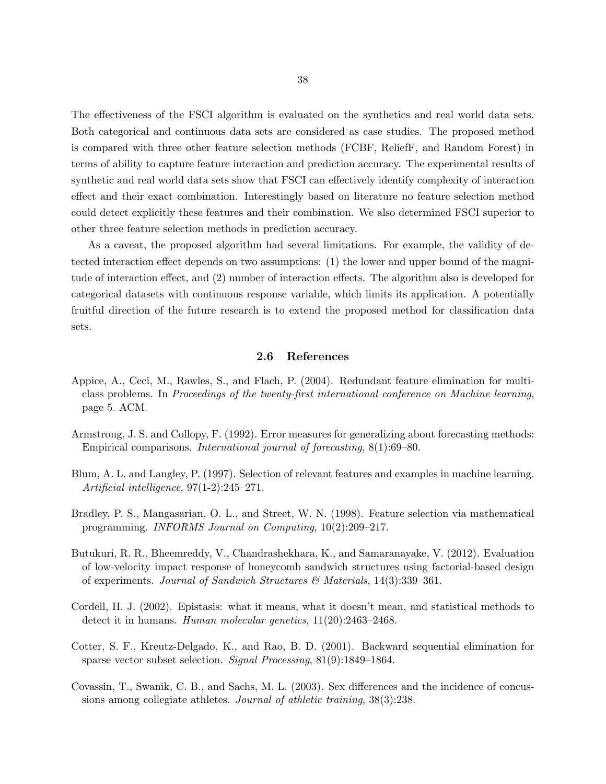The effectiveness of the FSCI algorithm is evaluated on the synthetics and real world data sets. Both categorical and continuous data sets are considered as case studies. The proposed method is compared with three other feature selection methods (FCBF, ReliefF, and Random Forest) in terms of ability to capture feature interaction and prediction accuracy. The experimental results of synthetic and real world data sets show that FSCI can effectively identify complexity of interaction effect and their exact combination. Interestingly based on literature no feature selection method could detect explicitly these features and their combination. We also determined FSCI superior to other three feature selection methods in prediction accuracy.

As a caveat, the proposed algorithm had several limitations. For example, the validity of detected interaction effect depends on two assumptions: (1) the lower and upper bound of the magnitude of interaction effect, and (2) number of interaction effects. The algorithm also is developed for categorical datasets with continuous response variable, which limits its application. A potentially fruitful direction of the future research is to extend the proposed method for classification data sets.

# 2.6 References

- Appice, A., Ceci, M., Rawles, S., and Flach, P. (2004). Redundant feature elimination for multiclass problems. In Proceedings of the twenty-first international conference on Machine learning, page 5. ACM.
- Armstrong, J. S. and Collopy, F. (1992). Error measures for generalizing about forecasting methods: Empirical comparisons. International journal of forecasting, 8(1):69–80.
- Blum, A. L. and Langley, P. (1997). Selection of relevant features and examples in machine learning. Artificial intelligence, 97(1-2):245–271.
- Bradley, P. S., Mangasarian, O. L., and Street, W. N. (1998). Feature selection via mathematical programming. INFORMS Journal on Computing, 10(2):209–217.
- Butukuri, R. R., Bheemreddy, V., Chandrashekhara, K., and Samaranayake, V. (2012). Evaluation of low-velocity impact response of honeycomb sandwich structures using factorial-based design of experiments. Journal of Sandwich Structures  $\mathscr B$  Materials, 14(3):339–361.
- Cordell, H. J. (2002). Epistasis: what it means, what it doesn't mean, and statistical methods to detect it in humans. Human molecular genetics, 11(20):2463–2468.
- Cotter, S. F., Kreutz-Delgado, K., and Rao, B. D. (2001). Backward sequential elimination for sparse vector subset selection. Signal Processing, 81(9):1849–1864.
- Covassin, T., Swanik, C. B., and Sachs, M. L. (2003). Sex differences and the incidence of concussions among collegiate athletes. Journal of athletic training,  $38(3):238$ .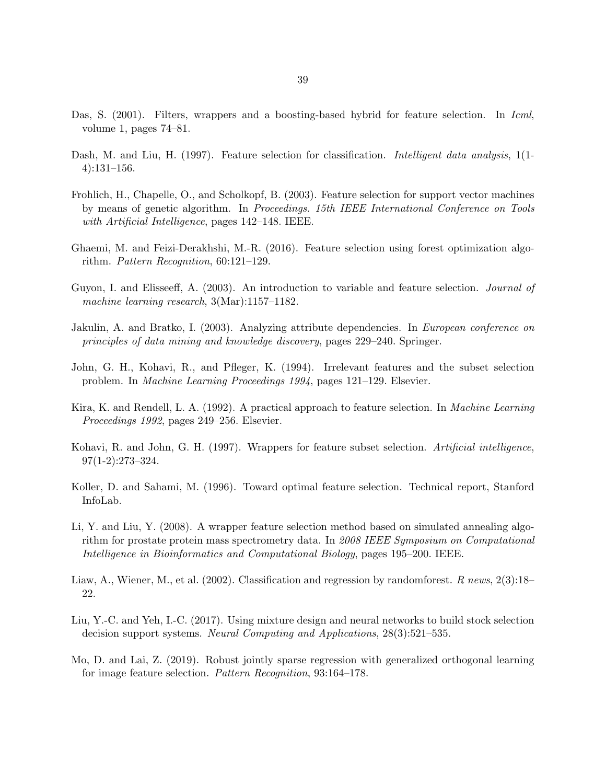- Das, S. (2001). Filters, wrappers and a boosting-based hybrid for feature selection. In *Icml*, volume 1, pages 74–81.
- Dash, M. and Liu, H. (1997). Feature selection for classification. *Intelligent data analysis*, 1(1-4):131–156.
- Frohlich, H., Chapelle, O., and Scholkopf, B. (2003). Feature selection for support vector machines by means of genetic algorithm. In Proceedings. 15th IEEE International Conference on Tools with Artificial Intelligence, pages 142–148. IEEE.
- Ghaemi, M. and Feizi-Derakhshi, M.-R. (2016). Feature selection using forest optimization algorithm. Pattern Recognition, 60:121–129.
- Guyon, I. and Elisseeff, A. (2003). An introduction to variable and feature selection. Journal of machine learning research, 3(Mar):1157–1182.
- Jakulin, A. and Bratko, I. (2003). Analyzing attribute dependencies. In European conference on principles of data mining and knowledge discovery, pages 229–240. Springer.
- John, G. H., Kohavi, R., and Pfleger, K. (1994). Irrelevant features and the subset selection problem. In Machine Learning Proceedings 1994, pages 121–129. Elsevier.
- Kira, K. and Rendell, L. A. (1992). A practical approach to feature selection. In Machine Learning Proceedings 1992, pages 249–256. Elsevier.
- Kohavi, R. and John, G. H. (1997). Wrappers for feature subset selection. Artificial intelligence,  $97(1-2):273-324.$
- Koller, D. and Sahami, M. (1996). Toward optimal feature selection. Technical report, Stanford InfoLab.
- Li, Y. and Liu, Y. (2008). A wrapper feature selection method based on simulated annealing algorithm for prostate protein mass spectrometry data. In 2008 IEEE Symposium on Computational Intelligence in Bioinformatics and Computational Biology, pages 195–200. IEEE.
- Liaw, A., Wiener, M., et al. (2002). Classification and regression by randomforest. R news, 2(3):18– 22.
- Liu, Y.-C. and Yeh, I.-C. (2017). Using mixture design and neural networks to build stock selection decision support systems. Neural Computing and Applications, 28(3):521–535.
- Mo, D. and Lai, Z. (2019). Robust jointly sparse regression with generalized orthogonal learning for image feature selection. Pattern Recognition, 93:164–178.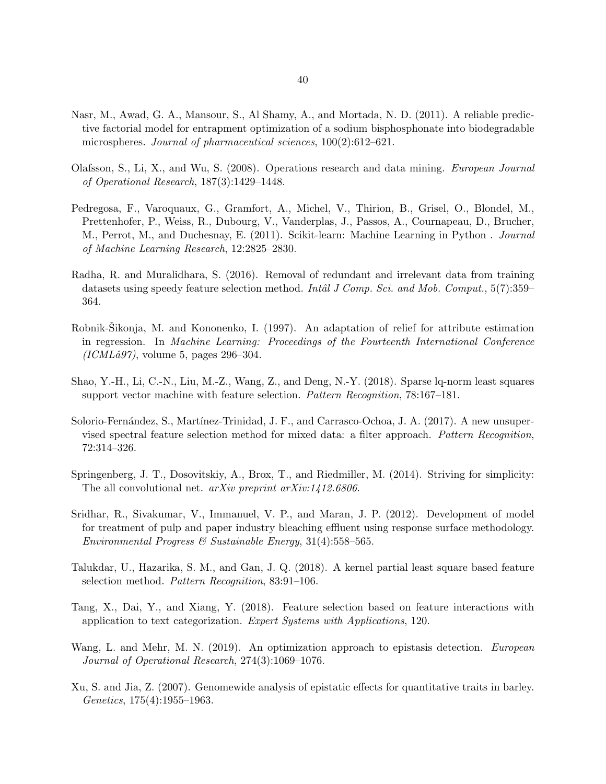- Nasr, M., Awad, G. A., Mansour, S., Al Shamy, A., and Mortada, N. D. (2011). A reliable predictive factorial model for entrapment optimization of a sodium bisphosphonate into biodegradable microspheres. Journal of pharmaceutical sciences,  $100(2):612-621$ .
- Olafsson, S., Li, X., and Wu, S. (2008). Operations research and data mining. European Journal of Operational Research, 187(3):1429–1448.
- Pedregosa, F., Varoquaux, G., Gramfort, A., Michel, V., Thirion, B., Grisel, O., Blondel, M., Prettenhofer, P., Weiss, R., Dubourg, V., Vanderplas, J., Passos, A., Cournapeau, D., Brucher, M., Perrot, M., and Duchesnay, E. (2011). Scikit-learn: Machine Learning in Python . Journal of Machine Learning Research, 12:2825–2830.
- Radha, R. and Muralidhara, S. (2016). Removal of redundant and irrelevant data from training datasets using speedy feature selection method. Intâl J Comp. Sci. and Mob. Comput.,  $5(7)$ :359– 364.
- Robnik-Sikonja, M. and Kononenko, I. (1997). An adaptation of relief for attribute estimation in regression. In Machine Learning: Proceedings of the Fourteenth International Conference  $(ICML\hat{a}97)$ , volume 5, pages 296–304.
- Shao, Y.-H., Li, C.-N., Liu, M.-Z., Wang, Z., and Deng, N.-Y. (2018). Sparse lq-norm least squares support vector machine with feature selection. Pattern Recognition, 78:167–181.
- Solorio-Fernández, S., Martínez-Trinidad, J. F., and Carrasco-Ochoa, J. A. (2017). A new unsupervised spectral feature selection method for mixed data: a filter approach. Pattern Recognition, 72:314–326.
- Springenberg, J. T., Dosovitskiy, A., Brox, T., and Riedmiller, M. (2014). Striving for simplicity: The all convolutional net. *arXiv preprint arXiv:1412.6806*.
- Sridhar, R., Sivakumar, V., Immanuel, V. P., and Maran, J. P. (2012). Development of model for treatment of pulp and paper industry bleaching effluent using response surface methodology. Environmental Progress & Sustainable Energy, 31(4):558–565.
- Talukdar, U., Hazarika, S. M., and Gan, J. Q. (2018). A kernel partial least square based feature selection method. Pattern Recognition, 83:91–106.
- Tang, X., Dai, Y., and Xiang, Y. (2018). Feature selection based on feature interactions with application to text categorization. Expert Systems with Applications, 120.
- Wang, L. and Mehr, M. N. (2019). An optimization approach to epistasis detection. *European* Journal of Operational Research, 274(3):1069–1076.
- Xu, S. and Jia, Z. (2007). Genomewide analysis of epistatic effects for quantitative traits in barley. Genetics, 175(4):1955–1963.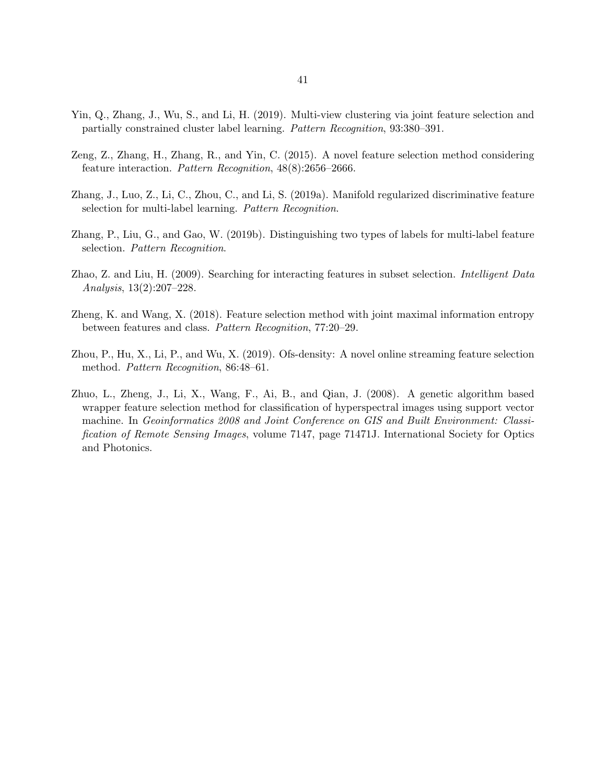- Yin, Q., Zhang, J., Wu, S., and Li, H. (2019). Multi-view clustering via joint feature selection and partially constrained cluster label learning. Pattern Recognition, 93:380–391.
- Zeng, Z., Zhang, H., Zhang, R., and Yin, C. (2015). A novel feature selection method considering feature interaction. Pattern Recognition, 48(8):2656–2666.
- Zhang, J., Luo, Z., Li, C., Zhou, C., and Li, S. (2019a). Manifold regularized discriminative feature selection for multi-label learning. Pattern Recognition.
- Zhang, P., Liu, G., and Gao, W. (2019b). Distinguishing two types of labels for multi-label feature selection. Pattern Recognition.
- Zhao, Z. and Liu, H. (2009). Searching for interacting features in subset selection. *Intelligent Data* Analysis, 13(2):207–228.
- Zheng, K. and Wang, X. (2018). Feature selection method with joint maximal information entropy between features and class. Pattern Recognition, 77:20–29.
- Zhou, P., Hu, X., Li, P., and Wu, X. (2019). Ofs-density: A novel online streaming feature selection method. Pattern Recognition, 86:48–61.
- Zhuo, L., Zheng, J., Li, X., Wang, F., Ai, B., and Qian, J. (2008). A genetic algorithm based wrapper feature selection method for classification of hyperspectral images using support vector machine. In Geoinformatics 2008 and Joint Conference on GIS and Built Environment: Classification of Remote Sensing Images, volume 7147, page 71471J. International Society for Optics and Photonics.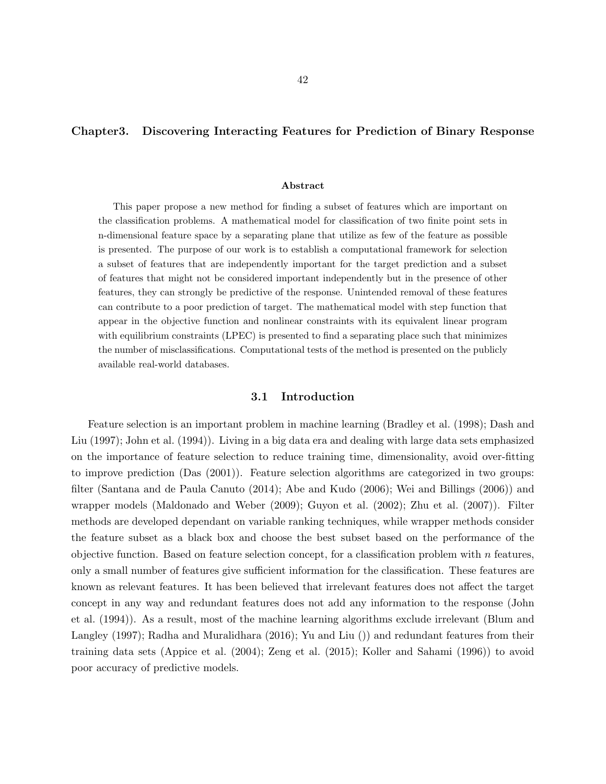# Chapter3. Discovering Interacting Features for Prediction of Binary Response

#### Abstract

This paper propose a new method for finding a subset of features which are important on the classification problems. A mathematical model for classification of two finite point sets in n-dimensional feature space by a separating plane that utilize as few of the feature as possible is presented. The purpose of our work is to establish a computational framework for selection a subset of features that are independently important for the target prediction and a subset of features that might not be considered important independently but in the presence of other features, they can strongly be predictive of the response. Unintended removal of these features can contribute to a poor prediction of target. The mathematical model with step function that appear in the objective function and nonlinear constraints with its equivalent linear program with equilibrium constraints (LPEC) is presented to find a separating place such that minimizes the number of misclassifications. Computational tests of the method is presented on the publicly available real-world databases.

# 3.1 Introduction

Feature selection is an important problem in machine learning (Bradley et al. (1998); Dash and Liu (1997); John et al. (1994)). Living in a big data era and dealing with large data sets emphasized on the importance of feature selection to reduce training time, dimensionality, avoid over-fitting to improve prediction (Das (2001)). Feature selection algorithms are categorized in two groups: filter (Santana and de Paula Canuto (2014); Abe and Kudo (2006); Wei and Billings (2006)) and wrapper models (Maldonado and Weber (2009); Guyon et al. (2002); Zhu et al. (2007)). Filter methods are developed dependant on variable ranking techniques, while wrapper methods consider the feature subset as a black box and choose the best subset based on the performance of the objective function. Based on feature selection concept, for a classification problem with  $n$  features, only a small number of features give sufficient information for the classification. These features are known as relevant features. It has been believed that irrelevant features does not affect the target concept in any way and redundant features does not add any information to the response (John et al. (1994)). As a result, most of the machine learning algorithms exclude irrelevant (Blum and Langley (1997); Radha and Muralidhara (2016); Yu and Liu ()) and redundant features from their training data sets (Appice et al. (2004); Zeng et al. (2015); Koller and Sahami (1996)) to avoid poor accuracy of predictive models.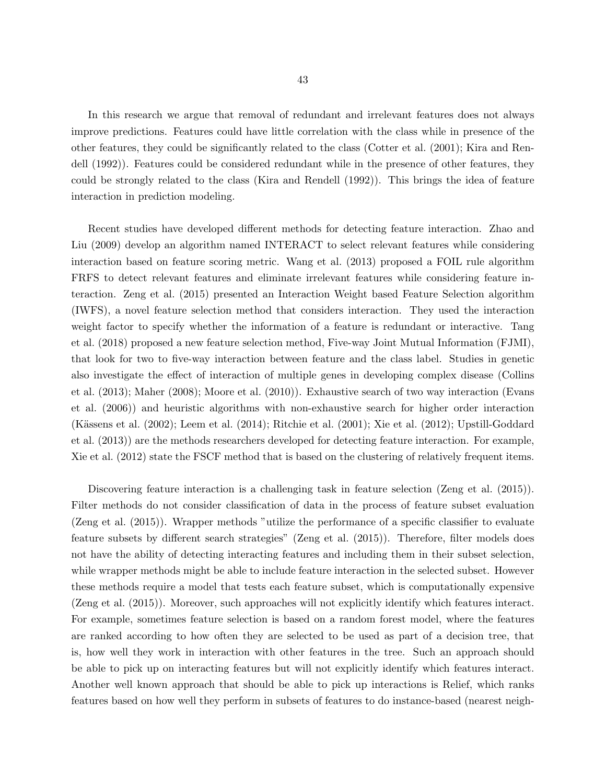In this research we argue that removal of redundant and irrelevant features does not always improve predictions. Features could have little correlation with the class while in presence of the other features, they could be significantly related to the class (Cotter et al. (2001); Kira and Rendell (1992)). Features could be considered redundant while in the presence of other features, they could be strongly related to the class (Kira and Rendell (1992)). This brings the idea of feature interaction in prediction modeling.

Recent studies have developed different methods for detecting feature interaction. Zhao and Liu (2009) develop an algorithm named INTERACT to select relevant features while considering interaction based on feature scoring metric. Wang et al. (2013) proposed a FOIL rule algorithm FRFS to detect relevant features and eliminate irrelevant features while considering feature interaction. Zeng et al. (2015) presented an Interaction Weight based Feature Selection algorithm (IWFS), a novel feature selection method that considers interaction. They used the interaction weight factor to specify whether the information of a feature is redundant or interactive. Tang et al. (2018) proposed a new feature selection method, Five-way Joint Mutual Information (FJMI), that look for two to five-way interaction between feature and the class label. Studies in genetic also investigate the effect of interaction of multiple genes in developing complex disease (Collins et al. (2013); Maher (2008); Moore et al. (2010)). Exhaustive search of two way interaction (Evans et al. (2006)) and heuristic algorithms with non-exhaustive search for higher order interaction (K¨assens et al. (2002); Leem et al. (2014); Ritchie et al. (2001); Xie et al. (2012); Upstill-Goddard et al. (2013)) are the methods researchers developed for detecting feature interaction. For example, Xie et al. (2012) state the FSCF method that is based on the clustering of relatively frequent items.

Discovering feature interaction is a challenging task in feature selection (Zeng et al. (2015)). Filter methods do not consider classification of data in the process of feature subset evaluation (Zeng et al. (2015)). Wrapper methods "utilize the performance of a specific classifier to evaluate feature subsets by different search strategies" (Zeng et al. (2015)). Therefore, filter models does not have the ability of detecting interacting features and including them in their subset selection, while wrapper methods might be able to include feature interaction in the selected subset. However these methods require a model that tests each feature subset, which is computationally expensive (Zeng et al. (2015)). Moreover, such approaches will not explicitly identify which features interact. For example, sometimes feature selection is based on a random forest model, where the features are ranked according to how often they are selected to be used as part of a decision tree, that is, how well they work in interaction with other features in the tree. Such an approach should be able to pick up on interacting features but will not explicitly identify which features interact. Another well known approach that should be able to pick up interactions is Relief, which ranks features based on how well they perform in subsets of features to do instance-based (nearest neigh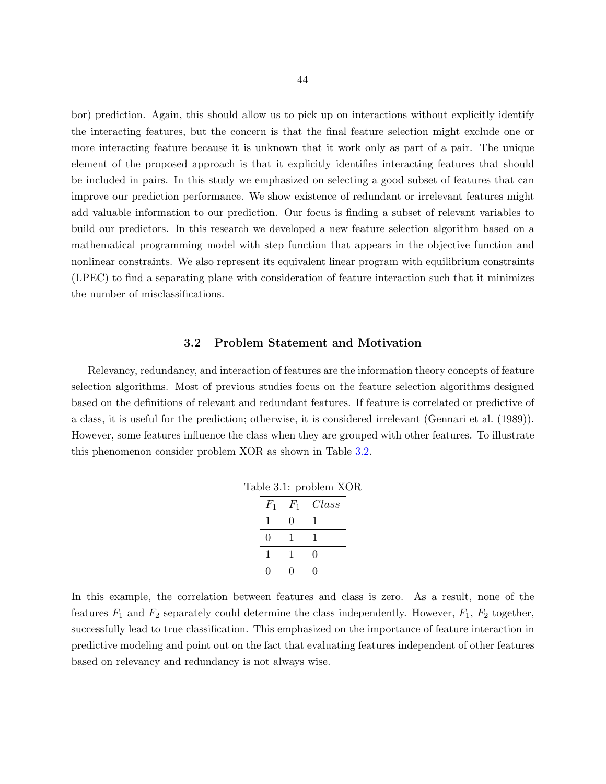bor) prediction. Again, this should allow us to pick up on interactions without explicitly identify the interacting features, but the concern is that the final feature selection might exclude one or more interacting feature because it is unknown that it work only as part of a pair. The unique element of the proposed approach is that it explicitly identifies interacting features that should be included in pairs. In this study we emphasized on selecting a good subset of features that can improve our prediction performance. We show existence of redundant or irrelevant features might add valuable information to our prediction. Our focus is finding a subset of relevant variables to build our predictors. In this research we developed a new feature selection algorithm based on a mathematical programming model with step function that appears in the objective function and nonlinear constraints. We also represent its equivalent linear program with equilibrium constraints (LPEC) to find a separating plane with consideration of feature interaction such that it minimizes the number of misclassifications.

# 3.2 Problem Statement and Motivation

Relevancy, redundancy, and interaction of features are the information theory concepts of feature selection algorithms. Most of previous studies focus on the feature selection algorithms designed based on the definitions of relevant and redundant features. If feature is correlated or predictive of a class, it is useful for the prediction; otherwise, it is considered irrelevant (Gennari et al. (1989)). However, some features influence the class when they are grouped with other features. To illustrate this phenomenon consider problem XOR as shown in Table [3.2.](#page-61-0)

|              |       | able 3.1: problem XO |  |
|--------------|-------|----------------------|--|
| $F_1$        | $F_1$ | Class                |  |
|              | 0     |                      |  |
| $\mathbf{0}$ |       |                      |  |
|              |       | $\mathbf{0}$         |  |
|              |       |                      |  |

Table 3.1: problem XOR

In this example, the correlation between features and class is zero. As a result, none of the features  $F_1$  and  $F_2$  separately could determine the class independently. However,  $F_1$ ,  $F_2$  together, successfully lead to true classification. This emphasized on the importance of feature interaction in predictive modeling and point out on the fact that evaluating features independent of other features based on relevancy and redundancy is not always wise.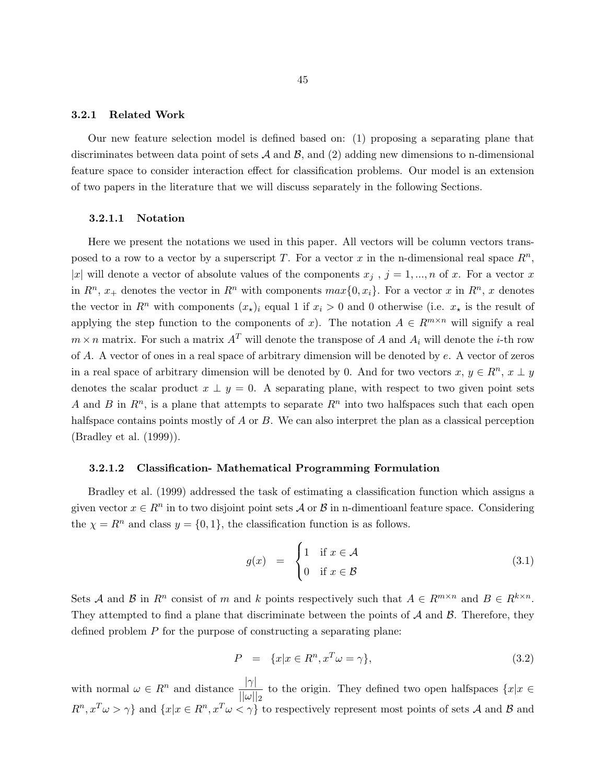#### <span id="page-53-0"></span>3.2.1 Related Work

Our new feature selection model is defined based on: (1) proposing a separating plane that discriminates between data point of sets  $A$  and  $B$ , and (2) adding new dimensions to n-dimensional feature space to consider interaction effect for classification problems. Our model is an extension of two papers in the literature that we will discuss separately in the following Sections.

## 3.2.1.1 Notation

Here we present the notations we used in this paper. All vectors will be column vectors transposed to a row to a vector by a superscript T. For a vector x in the n-dimensional real space  $R^n$ , |x| will denote a vector of absolute values of the components  $x_j$ ,  $j = 1, ..., n$  of x. For a vector x in  $R^n$ ,  $x_+$  denotes the vector in  $R^n$  with components  $max\{0, x_i\}$ . For a vector x in  $R^n$ , x denotes the vector in  $R^n$  with components  $(x_{\star})_i$  equal 1 if  $x_i > 0$  and 0 otherwise (i.e.  $x_{\star}$  is the result of applying the step function to the components of x). The notation  $A \in R^{m \times n}$  will signify a real  $m \times n$  matrix. For such a matrix  $A<sup>T</sup>$  will denote the transpose of A and  $A<sub>i</sub>$  will denote the *i*-th row of A. A vector of ones in a real space of arbitrary dimension will be denoted by e. A vector of zeros in a real space of arbitrary dimension will be denoted by 0. And for two vectors  $x, y \in \mathbb{R}^n$ ,  $x \perp y$ denotes the scalar product  $x \perp y = 0$ . A separating plane, with respect to two given point sets A and B in  $\mathbb{R}^n$ , is a plane that attempts to separate  $\mathbb{R}^n$  into two halfspaces such that each open halfspace contains points mostly of A or B. We can also interpret the plan as a classical perception (Bradley et al. (1999)).

#### 3.2.1.2 Classification- Mathematical Programming Formulation

Bradley et al. (1999) addressed the task of estimating a classification function which assigns a given vector  $x \in R^n$  in to two disjoint point sets A or B in n-dimentioanl feature space. Considering the  $\chi = R^n$  and class  $y = \{0, 1\}$ , the classification function is as follows.

$$
g(x) = \begin{cases} 1 & \text{if } x \in \mathcal{A} \\ 0 & \text{if } x \in \mathcal{B} \end{cases}
$$
 (3.1)

Sets A and B in  $R^n$  consist of m and k points respectively such that  $A \in R^{m \times n}$  and  $B \in R^{k \times n}$ . They attempted to find a plane that discriminate between the points of  $A$  and  $B$ . Therefore, they defined problem  $P$  for the purpose of constructing a separating plane:

$$
P = \{x | x \in R^n, x^T \omega = \gamma\},\tag{3.2}
$$

with normal  $\omega \in R^n$  and distance  $\frac{|\gamma|}{|q|}$  $\frac{||u||_2}{||\omega||_2}$  to the origin. They defined two open halfspaces  $\{x|x \in$  $R^n, x^T \omega > \gamma$  and  $\{x | x \in R^n, x^T \omega < \gamma\}$  to respectively represent most points of sets A and B and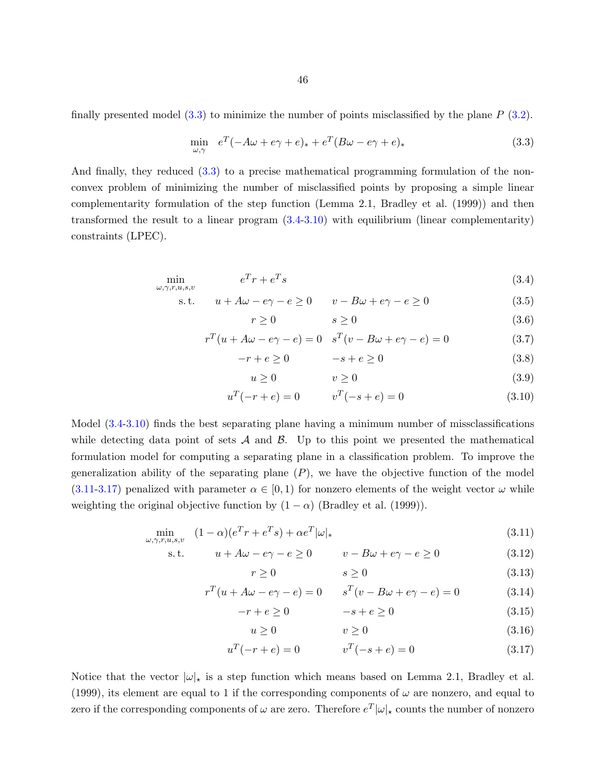<span id="page-54-0"></span>finally presented model  $(3.3)$  to minimize the number of points misclassified by the plane  $P(3.2)$  $P(3.2)$ .

$$
\min_{\omega,\gamma} e^{T}(-A\omega + e\gamma + e)_{*} + e^{T}(B\omega - e\gamma + e)_{*}
$$
\n(3.3)

And finally, they reduced  $(3.3)$  to a precise mathematical programming formulation of the nonconvex problem of minimizing the number of misclassified points by proposing a simple linear complementarity formulation of the step function (Lemma 2.1, Bradley et al. (1999)) and then transformed the result to a linear program (3.4-3.10) with equilibrium (linear complementarity) constraints (LPEC).

$$
\min_{\omega,\gamma,r,u,s,v} e^T r + e^T s \tag{3.4}
$$

s.t. 
$$
u + A\omega - e\gamma - e \ge 0
$$
  $v - B\omega + e\gamma - e \ge 0$  (3.5)

r ≥ 0 s ≥ 0 (3.6)

$$
r^{T}(u + A\omega - e\gamma - e) = 0 \quad s^{T}(v - B\omega + e\gamma - e) = 0 \tag{3.7}
$$

- $-r + e \ge 0$   $-s + e \ge 0$  (3.8)
	- $u \geq 0$  (3.9)

$$
u^{T}(-r+e) = 0 \qquad v^{T}(-s+e) = 0 \qquad (3.10)
$$

Model (3.4-3.10) finds the best separating plane having a minimum number of missclassifications while detecting data point of sets  $A$  and  $B$ . Up to this point we presented the mathematical formulation model for computing a separating plane in a classification problem. To improve the generalization ability of the separating plane  $(P)$ , we have the objective function of the model  $(3.11-3.17)$  penalized with parameter  $\alpha \in [0,1)$  for nonzero elements of the weight vector  $\omega$  while weighting the original objective function by  $(1 - \alpha)$  (Bradley et al. (1999)).

$$
\min_{\omega,\gamma,r,u,s,v} (1-\alpha)(e^T r + e^T s) + \alpha e^T |\omega|_* \tag{3.11}
$$

s.t. 
$$
u + A\omega - e\gamma - e \ge 0 \qquad v - B\omega + e\gamma - e \ge 0 \qquad (3.12)
$$

$$
r \ge 0 \qquad \qquad s \ge 0 \tag{3.13}
$$

$$
r^{T}(u + A\omega - e\gamma - e) = 0 \qquad s^{T}(v - B\omega + e\gamma - e) = 0 \qquad (3.14)
$$

- $-r + e \ge 0$   $-s + e \ge 0$  (3.15)
	- $u \ge 0$  (3.16)

$$
u^{T}(-r+e) = 0 \qquad \qquad v^{T}(-s+e) = 0 \tag{3.17}
$$

Notice that the vector  $|\omega|_{\star}$  is a step function which means based on Lemma 2.1, Bradley et al. (1999), its element are equal to 1 if the corresponding components of  $\omega$  are nonzero, and equal to zero if the corresponding components of  $\omega$  are zero. Therefore  $e^T|\omega|_\star$  counts the number of nonzero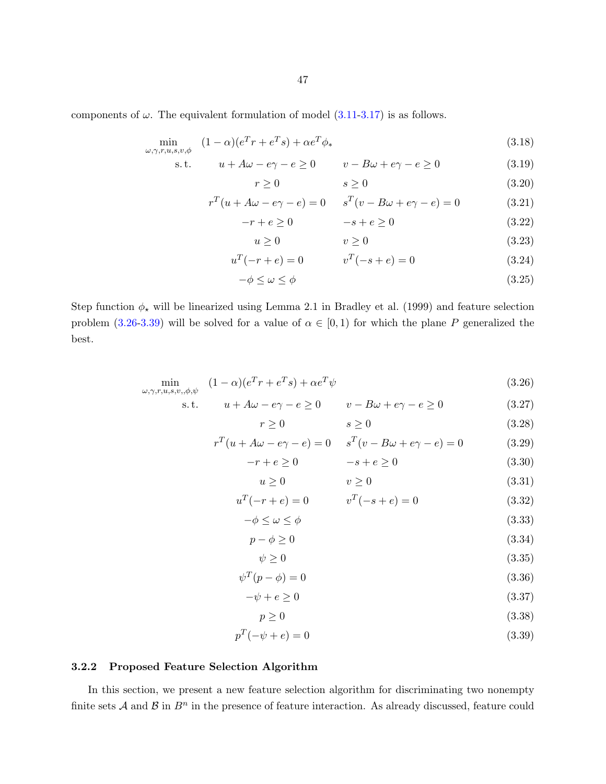<span id="page-55-0"></span>components of  $\omega$ . The equivalent formulation of model  $(3.11-3.17)$  is as follows.

$$
\min_{\omega,\gamma,r,u,s,v,\phi} \quad (1-\alpha)(e^T r + e^T s) + \alpha e^T \phi_* \tag{3.18}
$$

s.t. 
$$
u + A\omega - e\gamma - e \ge 0 \qquad v - B\omega + e\gamma - e \ge 0 \qquad (3.19)
$$

$$
r \ge 0 \tag{3.20}
$$

$$
r^{T}(u + A\omega - e\gamma - e) = 0 \qquad s^{T}(v - B\omega + e\gamma - e) = 0 \tag{3.21}
$$

$$
-r + e \ge 0 \qquad \qquad -s + e \ge 0 \tag{3.22}
$$

$$
u \ge 0 \qquad \qquad v \ge 0 \tag{3.23}
$$

$$
u^T(-r+e) = 0 \qquad \qquad v^T(-s+e) = 0 \tag{3.24}
$$

$$
-\phi \le \omega \le \phi \tag{3.25}
$$

Step function  $\phi_{\star}$  will be linearized using Lemma 2.1 in Bradley et al. (1999) and feature selection problem (3.26-3.39) will be solved for a value of  $\alpha \in [0,1)$  for which the plane P generalized the best.

$$
\min_{\omega, \gamma, r, u, s, v, \phi, \psi} \quad (1 - \alpha)(e^T r + e^T s) + \alpha e^T \psi \tag{3.26}
$$

s.t. 
$$
u + A\omega - e\gamma - e \ge 0
$$
  $v - B\omega + e\gamma - e \ge 0$  (3.27)

$$
r \ge 0 \tag{3.28}
$$

$$
r^{T}(u + A\omega - e\gamma - e) = 0 \t s^{T}(v - B\omega + e\gamma - e) = 0 \t (3.29)
$$

$$
-r + e \ge 0 \qquad \qquad -s + e \ge 0 \tag{3.30}
$$

$$
u \ge 0 \qquad \qquad v \ge 0 \tag{3.31}
$$

$$
u^T(-r+e) = 0 \qquad \qquad v^T(-s+e) = 0 \tag{3.32}
$$

$$
-\phi \le \omega \le \phi \tag{3.33}
$$

$$
p - \phi \ge 0 \tag{3.34}
$$

$$
\psi \ge 0\tag{3.35}
$$

$$
\psi^T(p-\phi) = 0 \tag{3.36}
$$

$$
-\psi + e \ge 0 \tag{3.37}
$$

$$
p \ge 0\tag{3.38}
$$

$$
p^T(-\psi + e) = 0 \tag{3.39}
$$

# 3.2.2 Proposed Feature Selection Algorithm

In this section, we present a new feature selection algorithm for discriminating two nonempty finite sets A and B in  $B<sup>n</sup>$  in the presence of feature interaction. As already discussed, feature could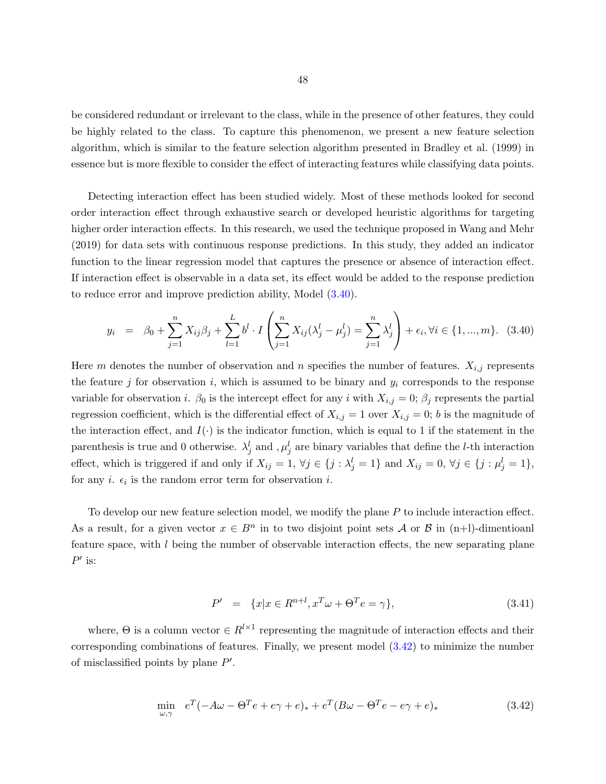<span id="page-56-0"></span>be considered redundant or irrelevant to the class, while in the presence of other features, they could be highly related to the class. To capture this phenomenon, we present a new feature selection algorithm, which is similar to the feature selection algorithm presented in Bradley et al. (1999) in essence but is more flexible to consider the effect of interacting features while classifying data points.

Detecting interaction effect has been studied widely. Most of these methods looked for second order interaction effect through exhaustive search or developed heuristic algorithms for targeting higher order interaction effects. In this research, we used the technique proposed in Wang and Mehr (2019) for data sets with continuous response predictions. In this study, they added an indicator function to the linear regression model that captures the presence or absence of interaction effect. If interaction effect is observable in a data set, its effect would be added to the response prediction to reduce error and improve prediction ability, Model (3.40).

$$
y_i = \beta_0 + \sum_{j=1}^n X_{ij} \beta_j + \sum_{l=1}^L b^l \cdot I \left( \sum_{j=1}^n X_{ij} (\lambda_j^l - \mu_j^l) = \sum_{j=1}^n \lambda_j^l \right) + \epsilon_i, \forall i \in \{1, ..., m\}. \quad (3.40)
$$

Here m denotes the number of observation and n specifies the number of features.  $X_{i,j}$  represents the feature j for observation i, which is assumed to be binary and  $y_i$  corresponds to the response variable for observation i.  $\beta_0$  is the intercept effect for any i with  $X_{i,j} = 0$ ;  $\beta_j$  represents the partial regression coefficient, which is the differential effect of  $X_{i,j} = 1$  over  $X_{i,j} = 0$ ; b is the magnitude of the interaction effect, and  $I(\cdot)$  is the indicator function, which is equal to 1 if the statement in the parenthesis is true and 0 otherwise.  $\lambda_j^l$  and  $, \mu_j^l$  are binary variables that define the *l*-th interaction effect, which is triggered if and only if  $X_{ij} = 1$ ,  $\forall j \in \{j : \lambda_j^l = 1\}$  and  $X_{ij} = 0$ ,  $\forall j \in \{j : \mu_j^l = 1\}$ , for any *i*.  $\epsilon_i$  is the random error term for observation *i*.

To develop our new feature selection model, we modify the plane  $P$  to include interaction effect. As a result, for a given vector  $x \in B^n$  in to two disjoint point sets A or B in (n+l)-dimentioanl feature space, with  $l$  being the number of observable interaction effects, the new separating plane  $P'$  is:

$$
P' = \{x | x \in R^{n+l}, x^T \omega + \Theta^T e = \gamma\},\tag{3.41}
$$

where,  $\Theta$  is a column vector  $\in R^{l \times 1}$  representing the magnitude of interaction effects and their corresponding combinations of features. Finally, we present model  $(3.42)$  to minimize the number of misclassified points by plane  $P'$ .

$$
\min_{\omega,\gamma} e^T(-A\omega - \Theta^T e + e\gamma + e)_* + e^T(B\omega - \Theta^T e - e\gamma + e)_*
$$
\n(3.42)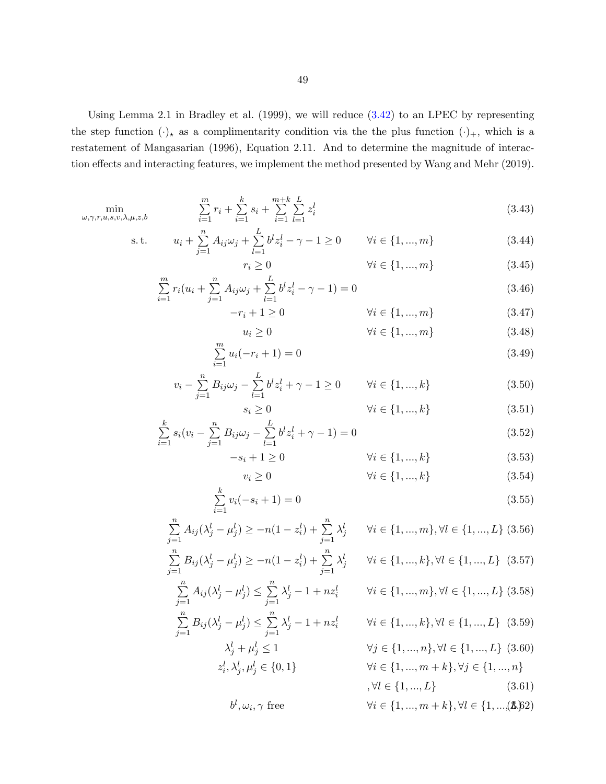<span id="page-57-0"></span>Using Lemma 2.1 in Bradley et al. (1999), we will reduce [\(3.42\)](#page-56-0) to an LPEC by representing the step function  $(\cdot)_{\star}$  as a complimentarity condition via the the plus function  $(\cdot)_{+}$ , which is a restatement of Mangasarian (1996), Equation 2.11. And to determine the magnitude of interaction effects and interacting features, we implement the method presented by Wang and Mehr (2019).

$$
\min_{\omega,\gamma,r,u,s,v,\lambda,\mu,z,b} \sum_{i=1}^{m} r_i + \sum_{i=1}^{k} s_i + \sum_{i=1}^{m+k} \sum_{l=1}^{L} z_i^l
$$
(3.43)  
\n  
\ns.t.  $u_i + \sum_{j=1}^{n} A_{ij}\omega_j + \sum_{l=1}^{L} b^l z_i^l - \gamma - 1 \ge 0$   $\forall i \in \{1,...,m\}$ (3.44)  
\n $r_i \ge 0$   $\forall i \in \{1,...,m\}$ (3.45)  
\n
$$
\sum_{i=1}^{m} r_i(u_i + \sum_{j=1}^{n} A_{ij}\omega_j + \sum_{l=1}^{L} b^l z_i^l - \gamma - 1) = 0
$$
(3.46)  
\n $-r_i + 1 \ge 0$   $\forall i \in \{1,...,m\}$ (3.47)  
\n $u_i \ge 0$   $\forall i \in \{1,...,m\}$ (3.48)  
\n
$$
\sum_{i=1}^{m} u_i(-r_i + 1) = 0
$$
(3.49)  
\n $v_i - \sum_{j=1}^{n} B_{ij}\omega_j - \sum_{l=1}^{L} b^l z_i^l + \gamma - 1 \ge 0$   $\forall i \in \{1,...,k\}$ (3.50)  
\n $s_i \ge 0$   $\forall i \in \{1,...,k\}$ (3.51)  
\n
$$
\sum_{i=1}^{k} s_i(v_i - \sum_{j=1}^{n} B_{ij}\omega_j - \sum_{l=1}^{L} b^l z_i^l + \gamma - 1) = 0
$$
(3.52)  
\n $v_i \ge 0$   $\forall i \in \{1,...,k\}$ (3.53)  
\n $v_i \ge 0$   $\forall i \in \{1,...,k\}$ (3.54)  
\n
$$
\sum_{i=1}^{k} v_i(-s_i + 1) = 0
$$
(3.55)  
\n
$$
\sum_{j=1}^{n} A_{ij}(\lambda_j^l - \mu_j^l) \ge -n(1 - z_i^l) + \sum_{j=1}^{n} \lambda_j^l
$$
  $\forall i \in \{1,...$ 

$$
\sum_{j=1}^{n} A_{ij}(\lambda_j^l - \mu_j^l) \le \sum_{j=1}^{n} \lambda_j^l - 1 + nz_i^l \qquad \forall i \in \{1, ..., m\}, \forall l \in \{1, ..., L\} \quad (3.58)
$$
\n
$$
\sum_{j=1}^{n} B_{ij}(\lambda_j^l - \mu_j^l) \le \sum_{j=1}^{n} \lambda_j^l - 1 + nz_i^l \qquad \forall i \in \{1, ..., k\}, \forall l \in \{1, ..., L\} \quad (3.59)
$$
\n
$$
\lambda_j^l + \mu_j^l \le 1 \qquad \forall j \in \{1, ..., n\}, \forall l \in \{1, ..., L\} \quad (3.60)
$$
\n
$$
z_i^l, \lambda_j^l, \mu_j^l \in \{0, 1\} \qquad \forall i \in \{1, ..., m + k\}, \forall j \in \{1, ..., n\}
$$

 $b^l, \omega_i$ 

$$
, \forall l \in \{1, ..., L\}
$$
 (3.61)  
free 
$$
\forall i \in \{1, ..., m + k\}, \forall l \in \{1, ..., \mathbf{L}\}\
$$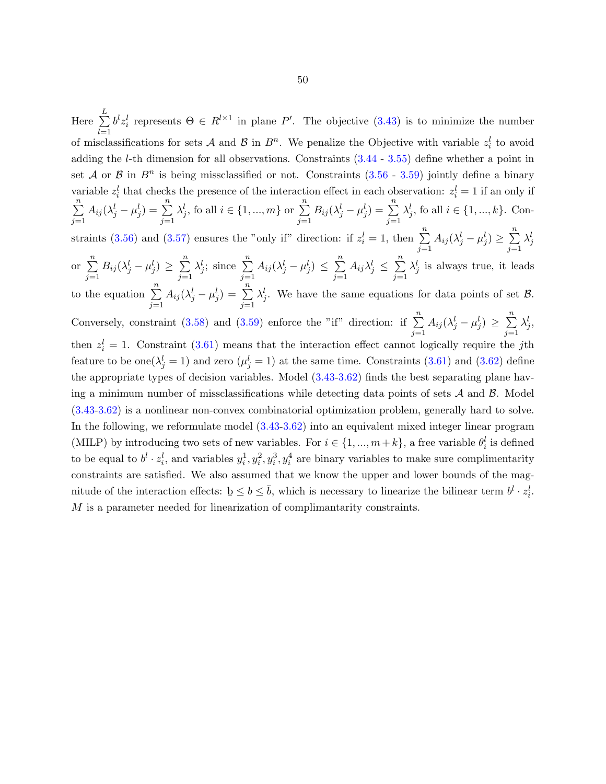Here  $\sum_{i=1}^{L}$ <sup>l=1</sup> of misclassifications for sets A and B in  $B<sup>n</sup>$ . We penalize the Objective with variable  $z<sub>i</sub><sup>l</sup>$  to avoid  $b^l z_i^l$  represents  $\Theta \in R^{l \times 1}$  in plane P'. The objective [\(3.43\)](#page-57-0) is to minimize the number adding the l-th dimension for all observations. Constraints [\(3.44](#page-57-0) - [3.55\)](#page-57-0) define whether a point in set A or B in  $B<sup>n</sup>$  is being missclassified or not. Constraints  $(3.56 - 3.59)$  $(3.56 - 3.59)$  $(3.56 - 3.59)$  jointly define a binary variable  $z_i^l$  that checks the presence of the interaction effect in each observation:  $z_i^l = 1$  if an only if  $\sum_{n=1}^{\infty}$  $j=1$  $A_{ij}(\lambda_j^l - \mu_j^l) = \sum_{i=1}^n$  $j=1$  $\lambda_j^l$ , fo all  $i \in \{1, ..., m\}$  or  $\sum^n$  $j=1$  $B_{ij}(\lambda_j^l - \mu_j^l) = \sum_{i=1}^n$  $j=1$  $\lambda_j^l$ , fo all  $i \in \{1, ..., k\}$ . Con-straints [\(3.56\)](#page-57-0) and [\(3.57\)](#page-57-0) ensures the "only if" direction: if  $z_i^l = 1$ , then  $\sum_{j=1}^n$  $A_{ij}(\lambda_j^l - \mu_j^l) \geq \sum_{i=1}^n$  $j=1$  $\lambda_j^l$ or  $\sum_{n=1}^{\infty}$  $j=1$  $B_{ij}(\lambda_j^l - \mu_j^l) \geq \sum_{i=1}^n$  $j=1$  $\lambda_j^l$ ; since  $\sum_{i=1}^n$  $j=1$  $A_{ij}(\lambda_j^l - \mu_j^l) \leq \sum_{j=1}^n$  $j=1$  $A_{ij}\lambda_j^l \leq \sum_{i=1}^n$  $j=1$  $\lambda_j^l$  is always true, it leads to the equation  $\sum_{n=1}^{\infty}$  $j=1$  $A_{ij}(\lambda_j^l - \mu_j^l) = \sum_{i=1}^n$  $j=1$  $\lambda_j^l$ . We have the same equations for data points of set  $\mathcal{B}$ . Conversely, constraint [\(3.58\)](#page-57-0) and [\(3.59\)](#page-57-0) enforce the "if" direction: if  $\sum_{n=1}^{\infty}$  $j=1$  $A_{ij}(\lambda_j^l - \mu_j^l) \geq \sum_{i=1}^n$  $j=1$  $\lambda^l_j,$ then  $z_i^l = 1$ . Constraint [\(3.61\)](#page-57-0) means that the interaction effect cannot logically require the jth feature to be one $(\lambda_j^l = 1)$  and zero  $(\mu_j^l = 1)$  at the same time. Constraints [\(3.61\)](#page-57-0) and [\(3.62\)](#page-57-0) define the appropriate types of decision variables. Model [\(3.43-3.62\)](#page-57-0) finds the best separating plane having a minimum number of missclassifications while detecting data points of sets  $A$  and  $B$ . Model [\(3.43-3.62\)](#page-57-0) is a nonlinear non-convex combinatorial optimization problem, generally hard to solve. In the following, we reformulate model [\(3.43-3.62\)](#page-57-0) into an equivalent mixed integer linear program (MILP) by introducing two sets of new variables. For  $i \in \{1, ..., m+k\}$ , a free variable  $\theta_i^l$  is defined to be equal to  $b^l \cdot z_i^l$ , and variables  $y_i^1, y_i^2, y_i^3, y_i^4$  are binary variables to make sure complimentarity constraints are satisfied. We also assumed that we know the upper and lower bounds of the magnitude of the interaction effects:  $\underline{b} \leq b \leq \overline{b}$ , which is necessary to linearize the bilinear term  $b^l \cdot z_i^l$ .

M is a parameter needed for linearization of complimantarity constraints.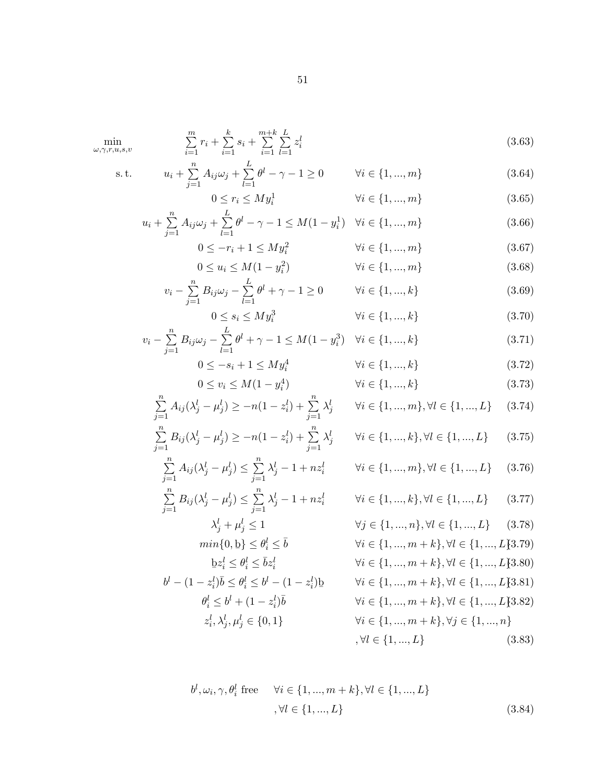#### $\sum_{i=1}^{m}$  $i=1$  $r_i + \sum^k$  $i=1$  $s_i + \sum_{i=1}^{m+k}$  $i=1$  $\sum_{i=1}^{n}$  $_{l=1}$  $z_i^l$ (3.63)

<span id="page-59-0"></span>
$$
\min_{\omega, \gamma, r, u, s, v}
$$

s.t. 
$$
u_i + \sum_{j=1}^n A_{ij}\omega_j + \sum_{l=1}^L \theta^l - \gamma - 1 \ge 0
$$
  $\forall i \in \{1, ..., m\}$  (3.64)  
 $0 \le r_i \le My_i^1$   $\forall i \in \{1, ..., m\}$  (3.65)

$$
r_i \le My_i^1 \qquad \qquad \forall i \in \{1, ..., m\} \tag{3.65}
$$

$$
u_i + \sum_{j=1}^{n} A_{ij} \omega_j + \sum_{l=1}^{L} \theta^l - \gamma - 1 \le M(1 - y_i^1) \quad \forall i \in \{1, ..., m\}
$$
\n(3.66)

$$
0 \le -r_i + 1 \le My_i^2 \qquad \qquad \forall i \in \{1, ..., m\} \tag{3.67}
$$

$$
0 \le u_i \le M(1 - y_i^2) \qquad \qquad \forall i \in \{1, ..., m\} \tag{3.68}
$$

$$
v_i - \sum_{j=1}^n B_{ij} \omega_j - \sum_{l=1}^L \theta^l + \gamma - 1 \ge 0 \qquad \forall i \in \{1, ..., k\}
$$
 (3.69)

$$
0 \le s_i \le My_i^3 \qquad \qquad \forall i \in \{1, ..., k\} \tag{3.70}
$$

$$
v_i - \sum_{j=1}^{n} B_{ij} \omega_j - \sum_{l=1}^{L} \theta^l + \gamma - 1 \le M(1 - y_i^3) \quad \forall i \in \{1, ..., k\}
$$
\n(3.71)

$$
0 \le -s_i + 1 \le My_i^4 \qquad \qquad \forall i \in \{1, ..., k\} \tag{3.72}
$$

$$
0 \le v_i \le M(1 - y_i^4) \qquad \qquad \forall i \in \{1, ..., k\}
$$
\n(3.73)

$$
\sum_{j=1}^{n} A_{ij}(\lambda_j^l - \mu_j^l) \ge -n(1 - z_i^l) + \sum_{j=1}^{n} \lambda_j^l \qquad \forall i \in \{1, ..., m\}, \forall l \in \{1, ..., L\} \tag{3.74}
$$

$$
\sum_{j=1}^{n} B_{ij}(\lambda_j^l - \mu_j^l) \ge -n(1 - z_i^l) + \sum_{j=1}^{n} \lambda_j^l \qquad \forall i \in \{1, ..., k\}, \forall l \in \{1, ..., L\}
$$
 (3.75)

$$
\sum_{j=1}^{n} A_{ij}(\lambda_j^l - \mu_j^l) \le \sum_{j=1}^{n} \lambda_j^l - 1 + nz_i^l \qquad \forall i \in \{1, ..., m\}, \forall l \in \{1, ..., L\} \quad (3.76)
$$
  

$$
\sum_{j=1}^{n} B_{ij}(\lambda_j^l - \mu_j^l) \le \sum_{j=1}^{n} \lambda_j^l - 1 + nz_i^l \qquad \forall i \in \{1, ..., k\}, \forall l \in \{1, ..., L\} \quad (3.77)
$$

j=1 j=1 λ l <sup>j</sup> + µ l <sup>j</sup> ≤ 1 ∀j ∈ {1, ..., n}, ∀l ∈ {1, ..., L} (3.78) min{0, b ¯ } ≤ θ l <sup>i</sup> <sup>≤</sup> ¯<sup>b</sup> <sup>∀</sup><sup>i</sup> ∈ {1, ..., m <sup>+</sup> <sup>k</sup>}, <sup>∀</sup><sup>l</sup> ∈ {1, ..., L}(3.79) b ¯ z l <sup>i</sup> ≤ θ l <sup>i</sup> <sup>≤</sup> ¯bz<sup>l</sup> i ∀i ∈ {1, ..., m + k}, ∀l ∈ {1, ..., L}(3.80) b <sup>l</sup> − (1 − z l i ) ¯b ≤ θ l <sup>i</sup> ≤ b <sup>l</sup> − (1 − z l i )b ¯ ∀i ∈ {1, ..., m + k}, ∀l ∈ {1, ..., L}(3.81) θ l <sup>i</sup> ≤ b <sup>l</sup> + (1 − z l i ) ¯b ∀i ∈ {1, ..., m + k}, ∀l ∈ {1, ..., L}(3.82) z l i , λ<sup>l</sup> j , µ<sup>l</sup> <sup>j</sup> ∈ {0, 1} ∀i ∈ {1, ..., m + k}, ∀j ∈ {1, ..., n}

$$
\forall i \in \{1, ..., m + \kappa_f, \forall j \in \{1, ..., \kappa_f\}
$$
  
, 
$$
\forall l \in \{1, ..., L\}
$$
 (3.83)

$$
b^{l}, \omega_{i}, \gamma, \theta_{i}^{l}
$$
 free  $\forall i \in \{1, ..., m+k\}, \forall l \in \{1, ..., L\}$   
,  $\forall l \in \{1, ..., L\}$  (3.84)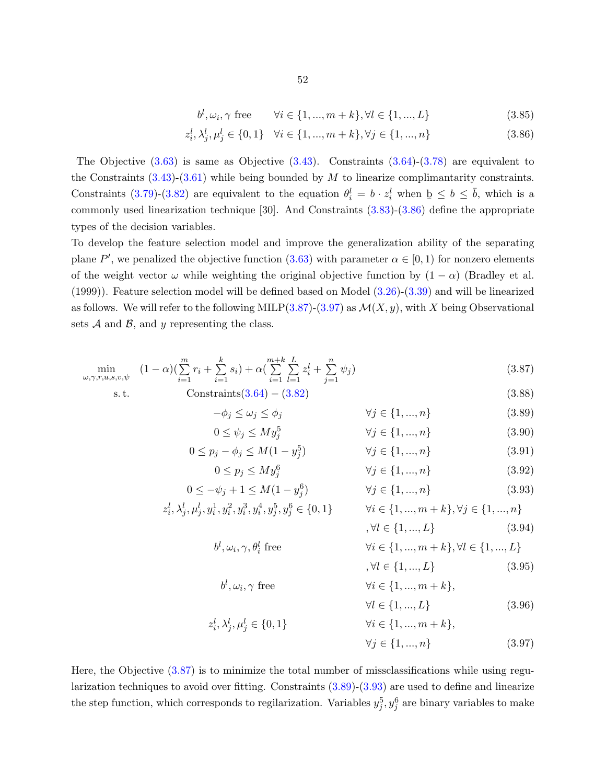$$
b^{l}, \omega_{i}, \gamma
$$
 free  $\forall i \in \{1, ..., m+k\}, \forall l \in \{1, ..., L\}$  (3.85)

$$
z_i^l, \lambda_j^l, \mu_j^l \in \{0, 1\} \quad \forall i \in \{1, ..., m + k\}, \forall j \in \{1, ..., n\}
$$
\n
$$
(3.86)
$$

<span id="page-60-0"></span>The Objective  $(3.63)$  is same as Objective  $(3.43)$ . Constraints  $(3.64)-(3.78)$  $(3.64)-(3.78)$  $(3.64)-(3.78)$  are equivalent to the Constraints  $(3.43)-(3.61)$  $(3.43)-(3.61)$  $(3.43)-(3.61)$  while being bounded by M to linearize complimantarity constraints. Constraints [\(3.79\)](#page-59-0)-[\(3.82\)](#page-59-0) are equivalent to the equation  $\theta_i^l = b \cdot z_i^l$  when  $b \leq b \leq \overline{b}$ , which is a commonly used linearization technique [30]. And Constraints [\(3.83\)](#page-59-0)-[\(3.86\)](#page-59-0) define the appropriate types of the decision variables.

To develop the feature selection model and improve the generalization ability of the separating plane P', we penalized the objective function  $(3.63)$  with parameter  $\alpha \in [0, 1)$  for nonzero elements of the weight vector  $\omega$  while weighting the original objective function by  $(1 - \alpha)$  (Bradley et al. (1999)). Feature selection model will be defined based on Model [\(3.26\)](#page-55-0)-[\(3.39\)](#page-55-0) and will be linearized as follows. We will refer to the following MILP(3.87)-(3.97) as  $\mathcal{M}(X, y)$ , with X being Observational sets  $A$  and  $B$ , and  $y$  representing the class.

$$
\min_{\omega,\gamma,r,u,s,v,\psi} \quad (1-\alpha)(\sum_{i=1}^{m} r_i + \sum_{i=1}^{k} s_i) + \alpha(\sum_{i=1}^{m+k} \sum_{l=1}^{L} z_i^l + \sum_{j=1}^{n} \psi_j)
$$
\n(3.87)

$$
\overline{S}
$$

s. t. 
$$
Constraints(3.64) - (3.82)
$$
 (3.88)

$$
-\phi_j \le \omega_j \le \phi_j \qquad \forall j \in \{1, ..., n\}
$$
\n
$$
0 \le \psi_j \le My_i^5 \qquad \forall j \in \{1, ..., n\}
$$
\n(3.89)\n
$$
(3.90)
$$

$$
0 \le \psi_j \le My_j^5 \qquad \forall j \in \{1, ..., n\}
$$
\n
$$
0 \le p_j - \phi_j \le M(1 - y_j^5) \qquad \forall j \in \{1, ..., n\}
$$
\n(3.90)\n
$$
(3.91)
$$

$$
0 \le p_j \le My_j^6 \qquad \qquad \forall j \in \{1, ..., n\} \tag{3.92}
$$

$$
0 \le -\psi_j + 1 \le M(1 - y_j^6) \qquad \forall j \in \{1, ..., n\}
$$
\n(3.93)

$$
z_i^l, \lambda_j^l, \mu_j^l, y_i^1, y_i^2, y_i^3, y_i^4, y_j^5, y_j^6 \in \{0, 1\} \qquad \forall i \in \{1, ..., m + k\}, \forall j \in \{1, ..., n\}
$$
  
, 
$$
\forall l \in \{1, ..., L\} \qquad (3.94)
$$

$$
b^l, \omega_i, \gamma, \theta_i^l \text{ free} \qquad \qquad \forall i \in \{1, ..., m+k\}, \forall l \in \{1, ..., L\}
$$

$$
, \forall l \in \{1, ..., L\} \tag{3.95}
$$

$$
b^l, \omega_i, \gamma \text{ free} \qquad \qquad \forall i \in \{1, ..., m+k\},
$$

$$
\forall l \in \{1, ..., L\} \tag{3.96}
$$

$$
z_i^l, \lambda_j^l, \mu_j^l \in \{0, 1\} \qquad \forall i \in \{1, ..., m + k\},
$$
  

$$
\forall j \in \{1, ..., n\} \qquad (3.97)
$$

Here, the Objective (3.87) is to minimize the total number of missclassifications while using regularization techniques to avoid over fitting. Constraints (3.89)-(3.93) are used to define and linearize the step function, which corresponds to regilarization. Variables  $y_j^5, y_j^6$  are binary variables to make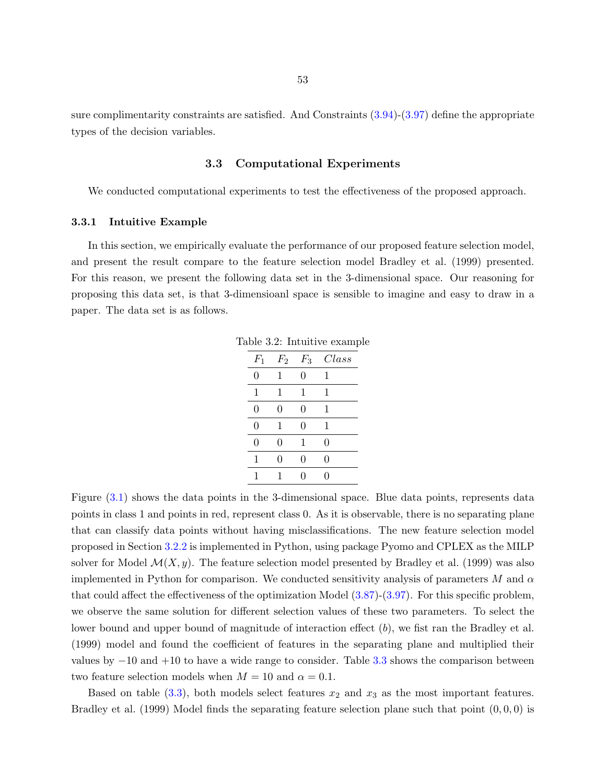<span id="page-61-0"></span>sure complimentarity constraints are satisfied. And Constraints  $(3.94)-(3.97)$  $(3.94)-(3.97)$  $(3.94)-(3.97)$  define the appropriate types of the decision variables.

# 3.3 Computational Experiments

We conducted computational experiments to test the effectiveness of the proposed approach.

# 3.3.1 Intuitive Example

In this section, we empirically evaluate the performance of our proposed feature selection model, and present the result compare to the feature selection model Bradley et al. (1999) presented. For this reason, we present the following data set in the 3-dimensional space. Our reasoning for proposing this data set, is that 3-dimensioanl space is sensible to imagine and easy to draw in a paper. The data set is as follows.

| Class<br>$F_3$<br>$F_1$<br>$F_2$<br>1<br>1<br>0<br>0<br>1<br>1<br>1<br>1<br>1<br>0<br>0<br>0<br>0<br>1<br>1<br>0<br>0<br>0<br>0<br>1<br>1<br>0<br>0<br>0<br>0<br>ı |  |  |
|--------------------------------------------------------------------------------------------------------------------------------------------------------------------|--|--|
|                                                                                                                                                                    |  |  |
|                                                                                                                                                                    |  |  |
|                                                                                                                                                                    |  |  |
|                                                                                                                                                                    |  |  |
|                                                                                                                                                                    |  |  |
|                                                                                                                                                                    |  |  |
|                                                                                                                                                                    |  |  |
|                                                                                                                                                                    |  |  |

Table 3.2: Intuitive example

Figure [\(3.1\)](#page-62-0) shows the data points in the 3-dimensional space. Blue data points, represents data points in class 1 and points in red, represent class 0. As it is observable, there is no separating plane that can classify data points without having misclassifications. The new feature selection model proposed in Section [3.2.2](#page-55-0) is implemented in Python, using package Pyomo and CPLEX as the MILP solver for Model  $\mathcal{M}(X, y)$ . The feature selection model presented by Bradley et al. (1999) was also implemented in Python for comparison. We conducted sensitivity analysis of parameters M and  $\alpha$ that could affect the effectiveness of the optimization Model [\(3.87\)](#page-60-0)-[\(3.97\)](#page-60-0). For this specific problem, we observe the same solution for different selection values of these two parameters. To select the lower bound and upper bound of magnitude of interaction effect (b), we fist ran the Bradley et al. (1999) model and found the coefficient of features in the separating plane and multiplied their values by  $-10$  and  $+10$  to have a wide range to consider. Table [3.3](#page-62-0) shows the comparison between two feature selection models when  $M = 10$  and  $\alpha = 0.1$ .

Based on table  $(3.3)$ , both models select features  $x_2$  and  $x_3$  as the most important features. Bradley et al. (1999) Model finds the separating feature selection plane such that point  $(0, 0, 0)$  is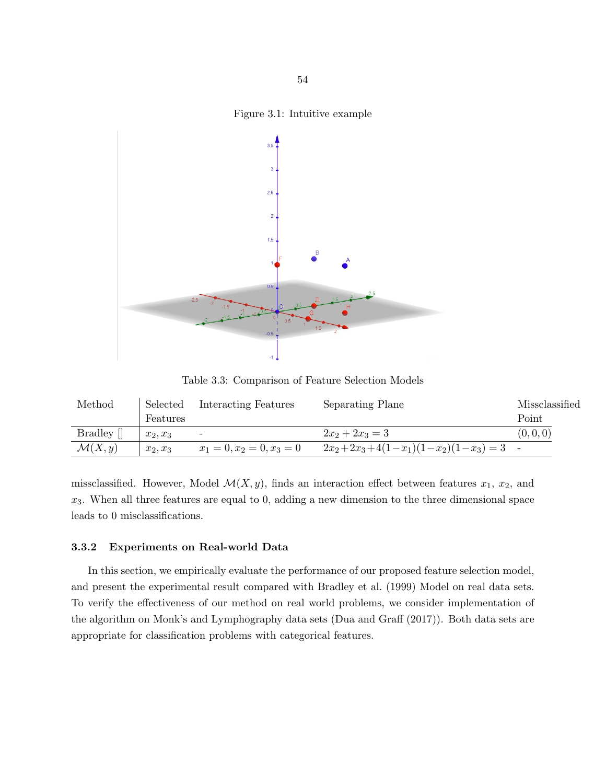

<span id="page-62-0"></span>

Table 3.3: Comparison of Feature Selection Models

| Method             | Selected   | Interacting Features        | Separating Plane                     | Missclassified |
|--------------------|------------|-----------------------------|--------------------------------------|----------------|
|                    | Features   |                             |                                      | Point          |
| Bradley [          | $x_2, x_3$ | $\overline{\phantom{0}}$    | $2x_2 + 2x_3 = 3$                    | (0, 0, 0)      |
| $\mathcal{M}(X,y)$ | $x_2, x_3$ | $x_1 = 0, x_2 = 0, x_3 = 0$ | $2x_2+2x_3+4(1-x_1)(1-x_2)(1-x_3)=3$ |                |

missclassified. However, Model  $\mathcal{M}(X, y)$ , finds an interaction effect between features  $x_1, x_2$ , and  $x_3$ . When all three features are equal to 0, adding a new dimension to the three dimensional space leads to 0 misclassifications.

## 3.3.2 Experiments on Real-world Data

In this section, we empirically evaluate the performance of our proposed feature selection model, and present the experimental result compared with Bradley et al. (1999) Model on real data sets. To verify the effectiveness of our method on real world problems, we consider implementation of the algorithm on Monk's and Lymphography data sets (Dua and Graff (2017)). Both data sets are appropriate for classification problems with categorical features.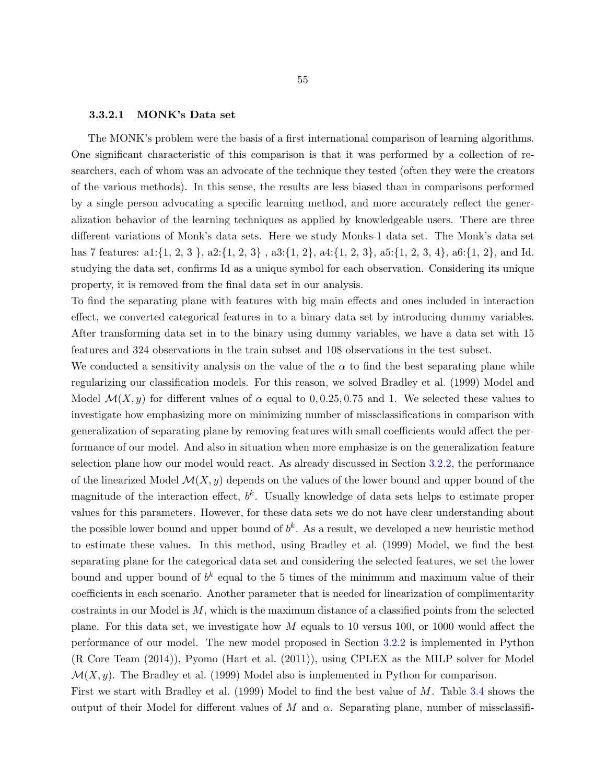#### <span id="page-63-0"></span>3.3.2.1 MONK's Data set

The MONK's problem were the basis of a first international comparison of learning algorithms. One significant characteristic of this comparison is that it was performed by a collection of researchers, each of whom was an advocate of the technique they tested (often they were the creators of the various methods). In this sense, the results are less biased than in comparisons performed by a single person advocating a specific learning method, and more accurately reflect the generalization behavior of the learning techniques as applied by knowledgeable users. There are three different variations of Monk's data sets. Here we study Monks-1 data set. The Monk's data set has 7 features: a1: $\{1, 2, 3\}$ , a2: $\{1, 2, 3\}$ , a3: $\{1, 2\}$ , a4: $\{1, 2, 3\}$ , a5: $\{1, 2, 3, 4\}$ , a6: $\{1, 2\}$ , and Id. studying the data set, confirms Id as a unique symbol for each observation. Considering its unique property, it is removed from the final data set in our analysis.

To find the separating plane with features with big main effects and ones included in interaction effect, we converted categorical features in to a binary data set by introducing dummy variables. After transforming data set in to the binary using dummy variables, we have a data set with 15 features and 324 observations in the train subset and 108 observations in the test subset.

We conducted a sensitivity analysis on the value of the  $\alpha$  to find the best separating plane while regularizing our classification models. For this reason, we solved Bradley et al. (1999) Model and Model  $\mathcal{M}(X, y)$  for different values of  $\alpha$  equal to 0,0.25,0.75 and 1. We selected these values to investigate how emphasizing more on minimizing number of missclassifications in comparison with generalization of separating plane by removing features with small coefficients would affect the performance of our model. And also in situation when more emphasize is on the generalization feature selection plane how our model would react. As already discussed in Section [3.2.2,](#page-55-0) the performance of the linearized Model  $\mathcal{M}(X, y)$  depends on the values of the lower bound and upper bound of the magnitude of the interaction effect,  $b^k$ . Usually knowledge of data sets helps to estimate proper values for this parameters. However, for these data sets we do not have clear understanding about the possible lower bound and upper bound of  $b^k$ . As a result, we developed a new heuristic method to estimate these values. In this method, using Bradley et al. (1999) Model, we find the best separating plane for the categorical data set and considering the selected features, we set the lower bound and upper bound of  $b^k$  equal to the 5 times of the minimum and maximum value of their coefficients in each scenario. Another parameter that is needed for linearization of complimentarity costraints in our Model is  $M$ , which is the maximum distance of a classified points from the selected plane. For this data set, we investigate how M equals to 10 versus 100, or 1000 would affect the performance of our model. The new model proposed in Section [3.2.2](#page-55-0) is implemented in Python (R Core Team (2014)), Pyomo (Hart et al. (2011)), using CPLEX as the MILP solver for Model  $\mathcal{M}(X, y)$ . The Bradley et al. (1999) Model also is implemented in Python for comparison.

First we start with Bradley et al. (1999) Model to find the best value of M. Table [3.4](#page-65-0) shows the output of their Model for different values of M and  $\alpha$ . Separating plane, number of missclassifi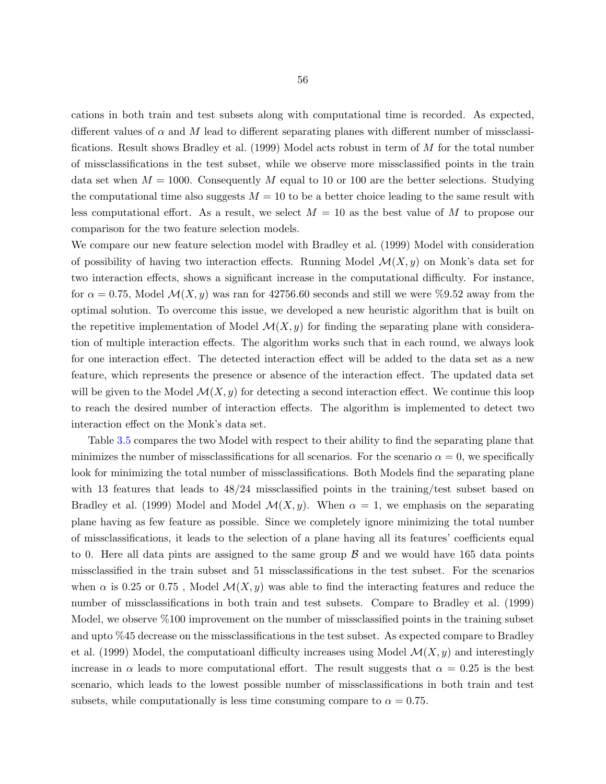cations in both train and test subsets along with computational time is recorded. As expected, different values of  $\alpha$  and M lead to different separating planes with different number of missclassifications. Result shows Bradley et al. (1999) Model acts robust in term of M for the total number of missclassifications in the test subset, while we observe more missclassified points in the train data set when  $M = 1000$ . Consequently M equal to 10 or 100 are the better selections. Studying the computational time also suggests  $M = 10$  to be a better choice leading to the same result with less computational effort. As a result, we select  $M = 10$  as the best value of M to propose our comparison for the two feature selection models.

We compare our new feature selection model with Bradley et al. (1999) Model with consideration of possibility of having two interaction effects. Running Model  $\mathcal{M}(X, y)$  on Monk's data set for two interaction effects, shows a significant increase in the computational difficulty. For instance, for  $\alpha = 0.75$ , Model  $\mathcal{M}(X, y)$  was ran for 42756.60 seconds and still we were %9.52 away from the optimal solution. To overcome this issue, we developed a new heuristic algorithm that is built on the repetitive implementation of Model  $\mathcal{M}(X, y)$  for finding the separating plane with consideration of multiple interaction effects. The algorithm works such that in each round, we always look for one interaction effect. The detected interaction effect will be added to the data set as a new feature, which represents the presence or absence of the interaction effect. The updated data set will be given to the Model  $\mathcal{M}(X, y)$  for detecting a second interaction effect. We continue this loop to reach the desired number of interaction effects. The algorithm is implemented to detect two interaction effect on the Monk's data set.

Table [3.5](#page-66-0) compares the two Model with respect to their ability to find the separating plane that minimizes the number of missclassifications for all scenarios. For the scenario  $\alpha = 0$ , we specifically look for minimizing the total number of missclassifications. Both Models find the separating plane with 13 features that leads to  $48/24$  missclassified points in the training/test subset based on Bradley et al. (1999) Model and Model  $\mathcal{M}(X, y)$ . When  $\alpha = 1$ , we emphasis on the separating plane having as few feature as possible. Since we completely ignore minimizing the total number of missclassifications, it leads to the selection of a plane having all its features' coefficients equal to 0. Here all data pints are assigned to the same group  $\beta$  and we would have 165 data points missclassified in the train subset and 51 missclassifications in the test subset. For the scenarios when  $\alpha$  is 0.25 or 0.75, Model  $\mathcal{M}(X, y)$  was able to find the interacting features and reduce the number of missclassifications in both train and test subsets. Compare to Bradley et al. (1999) Model, we observe %100 improvement on the number of missclassified points in the training subset and upto %45 decrease on the missclassifications in the test subset. As expected compare to Bradley et al. (1999) Model, the computatioanl difficulty increases using Model  $\mathcal{M}(X, y)$  and interestingly increase in  $\alpha$  leads to more computational effort. The result suggests that  $\alpha = 0.25$  is the best scenario, which leads to the lowest possible number of missclassifications in both train and test subsets, while computationally is less time consuming compare to  $\alpha = 0.75$ .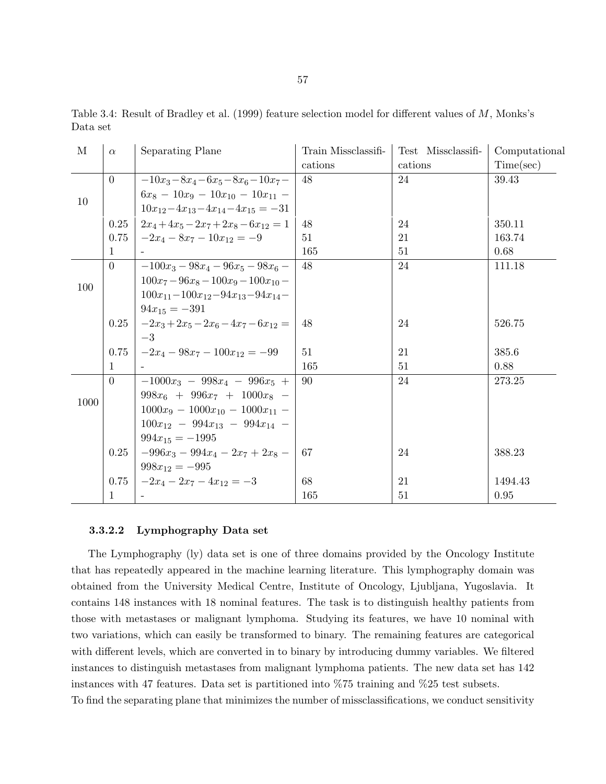| M    | $\alpha$       | Separating Plane                                | Train Missclassifi- | Test Missclassifi- | Computational |
|------|----------------|-------------------------------------------------|---------------------|--------------------|---------------|
|      |                |                                                 | cations             | cations            | Time(sec)     |
|      | $\overline{0}$ | $-10x_3 - 8x_4 - 6x_5 - 8x_6 - 10x_7 -$         | 48                  | 24                 | 39.43         |
|      |                | $6x_8 - 10x_9 - 10x_{10} - 10x_{11} -$          |                     |                    |               |
| 10   |                | $10x_{12}-4x_{13}-4x_{14}-4x_{15}=-31$          |                     |                    |               |
|      | 0.25           | $2x_4+4x_5-2x_7+2x_8-6x_{12}=1$                 | 48                  | 24                 | 350.11        |
|      | 0.75           | $-2x_4 - 8x_7 - 10x_{12} = -9$                  | 51                  | 21                 | 163.74        |
|      | $\mathbf{1}$   |                                                 | 165                 | 51                 | 0.68          |
|      | $\Omega$       | $-100x_3 - 98x_4 - 96x_5 - 98x_6$               | 48                  | 24                 | 111.18        |
| 100  |                | $100x_7 - 96x_8 - 100x_9 - 100x_{10} -$         |                     |                    |               |
|      |                | $100x_{11} - 100x_{12} - 94x_{13} - 94x_{14} -$ |                     |                    |               |
|      |                | $94x_{15} = -391$                               |                     |                    |               |
|      | 0.25           | $-2x_3+2x_5-2x_6-4x_7-6x_{12}=$                 | 48                  | 24                 | 526.75        |
|      |                | $-3$                                            |                     |                    |               |
|      | 0.75           | $-2x_4 - 98x_7 - 100x_{12} = -99$               | 51                  | 21                 | 385.6         |
|      | 1              |                                                 | 165                 | 51                 | 0.88          |
|      | $\Omega$       | $-1000x_3 - 998x_4 - 996x_5 +$                  | 90                  | 24                 | 273.25        |
| 1000 |                | $998x_6 + 996x_7 + 1000x_8$ -                   |                     |                    |               |
|      |                | $1000x_9 - 1000x_{10} - 1000x_{11} -$           |                     |                    |               |
|      |                | $100x_{12} - 994x_{13} - 994x_{14} -$           |                     |                    |               |
|      |                | $994x_{15} = -1995$                             |                     |                    |               |
|      | 0.25           | $-996x_3 - 994x_4 - 2x_7 + 2x_8$                | 67                  | 24                 | 388.23        |
|      |                | $998x_{12} = -995$                              |                     |                    |               |
|      | 0.75           | $-2x_4-2x_7-4x_{12}=-3$                         | 68                  | 21                 | 1494.43       |
|      | $\mathbf 1$    |                                                 | 165                 | 51                 | 0.95          |

<span id="page-65-0"></span>Table 3.4: Result of Bradley et al. (1999) feature selection model for different values of M, Monks's Data set

#### 3.3.2.2 Lymphography Data set

The Lymphography (ly) data set is one of three domains provided by the Oncology Institute that has repeatedly appeared in the machine learning literature. This lymphography domain was obtained from the University Medical Centre, Institute of Oncology, Ljubljana, Yugoslavia. It contains 148 instances with 18 nominal features. The task is to distinguish healthy patients from those with metastases or malignant lymphoma. Studying its features, we have 10 nominal with two variations, which can easily be transformed to binary. The remaining features are categorical with different levels, which are converted in to binary by introducing dummy variables. We filtered instances to distinguish metastases from malignant lymphoma patients. The new data set has 142 instances with 47 features. Data set is partitioned into %75 training and %25 test subsets.

To find the separating plane that minimizes the number of missclassifications, we conduct sensitivity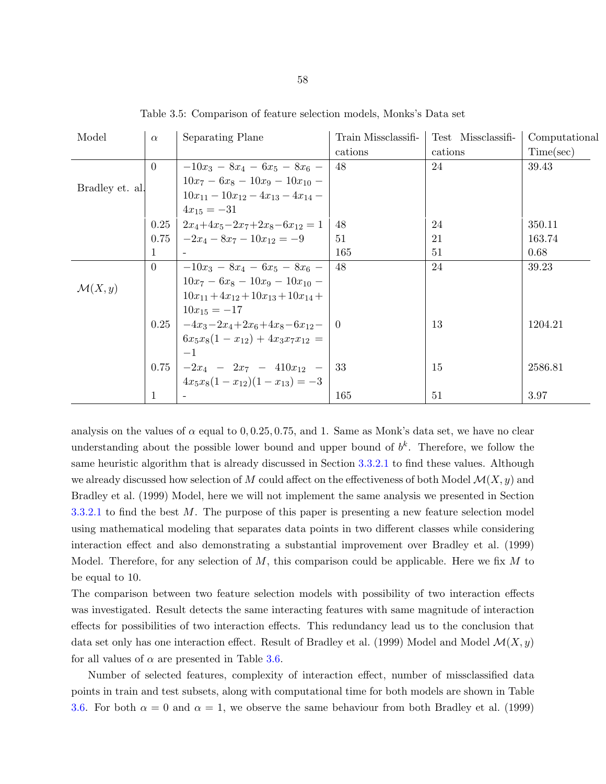<span id="page-66-0"></span>

| Model              | Separating Plane<br>$\alpha$ |                                              | Train Missclassifi- | Test Missclassifi- | Computational |
|--------------------|------------------------------|----------------------------------------------|---------------------|--------------------|---------------|
|                    |                              |                                              | cations             | cations            | Time(sec)     |
|                    | $\Omega$                     | $-10x_3 - 8x_4 - 6x_5 - 8x_6$                | 48                  | 24                 | 39.43         |
|                    |                              | $10x_7 - 6x_8 - 10x_9 - 10x_{10} -$          |                     |                    |               |
| Bradley et. al.    |                              | $10x_{11} - 10x_{12} - 4x_{13} - 4x_{14} -$  |                     |                    |               |
|                    |                              | $4x_{15} = -31$                              |                     |                    |               |
|                    | 0.25                         | $2x_4+4x_5-2x_7+2x_8-6x_{12}=1$              | 48                  | 24                 | 350.11        |
|                    | 0.75                         | $-2x_4 - 8x_7 - 10x_{12} = -9$               | 51                  | 21                 | 163.74        |
|                    | 1                            |                                              | 165                 | 51                 | 0.68          |
|                    | $\Omega$                     | $-10x_3 - 8x_4 - 6x_5 - 8x_6$                | 48                  | 24                 | 39.23         |
| $\mathcal{M}(X,y)$ |                              | $10x_7 - 6x_8 - 10x_9 - 10x_{10} -$          |                     |                    |               |
|                    |                              | $10x_{11} + 4x_{12} + 10x_{13} + 10x_{14} +$ |                     |                    |               |
|                    |                              | $10x_{15} = -17$                             |                     |                    |               |
|                    | 0.25                         | $-4x_3-2x_4+2x_6+4x_8-6x_{12}-$ 0            |                     | 13                 | 1204.21       |
|                    |                              | $6x_5x_8(1-x_{12}) + 4x_3x_7x_{12} =$        |                     |                    |               |
|                    |                              | $-1$                                         |                     |                    |               |
|                    | 0.75                         | $-2x_4 - 2x_7 - 410x_{12} - 33$              |                     | 15                 | 2586.81       |
|                    |                              | $4x_5x_8(1-x_{12})(1-x_{13})=-3$             |                     |                    |               |
|                    | $\mathbf{1}$                 |                                              | 165                 | 51                 | 3.97          |

Table 3.5: Comparison of feature selection models, Monks's Data set

analysis on the values of  $\alpha$  equal to 0, 0.25, 0.75, and 1. Same as Monk's data set, we have no clear understanding about the possible lower bound and upper bound of  $b^k$ . Therefore, we follow the same heuristic algorithm that is already discussed in Section [3.3.2.1](#page-63-0) to find these values. Although we already discussed how selection of M could affect on the effectiveness of both Model  $\mathcal{M}(X, y)$  and Bradley et al. (1999) Model, here we will not implement the same analysis we presented in Section  $3.3.2.1$  to find the best M. The purpose of this paper is presenting a new feature selection model using mathematical modeling that separates data points in two different classes while considering interaction effect and also demonstrating a substantial improvement over Bradley et al. (1999) Model. Therefore, for any selection of  $M$ , this comparison could be applicable. Here we fix  $M$  to be equal to 10.

The comparison between two feature selection models with possibility of two interaction effects was investigated. Result detects the same interacting features with same magnitude of interaction effects for possibilities of two interaction effects. This redundancy lead us to the conclusion that data set only has one interaction effect. Result of Bradley et al. (1999) Model and Model  $\mathcal{M}(X, y)$ for all values of  $\alpha$  are presented in Table [3.6.](#page-67-0)

Number of selected features, complexity of interaction effect, number of missclassified data points in train and test subsets, along with computational time for both models are shown in Table [3.6.](#page-67-0) For both  $\alpha = 0$  and  $\alpha = 1$ , we observe the same behaviour from both Bradley et al. (1999)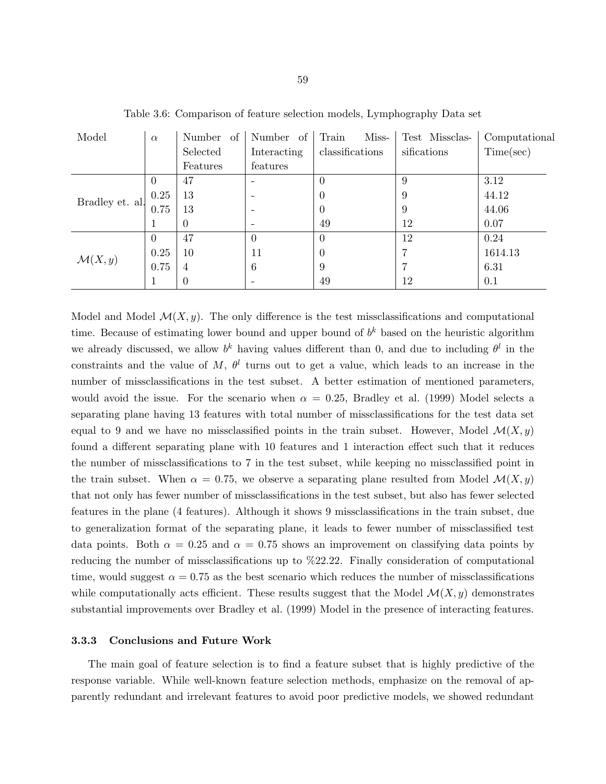| ure colocion models |  |
|---------------------|--|

Table 3.6: Comparison of feature selection models, Lymphography Data set

<span id="page-67-0"></span>

| Model              | $\alpha$ | Number<br>of | Number of        | Train<br>Miss-  | Test Missclas- | Computational |
|--------------------|----------|--------------|------------------|-----------------|----------------|---------------|
|                    |          | Selected     | Interacting      | classifications | sifications    | Time(sec)     |
|                    |          | Features     | features         |                 |                |               |
|                    |          | 47           |                  |                 | 9              | 3.12          |
| Bradley et. al.    | 0.25     | 13           |                  |                 | 9              | 44.12         |
|                    | 0.75     | 13           |                  | $\Omega$        | 9              | 44.06         |
|                    |          | $\theta$     |                  | 49              | 12             | 0.07          |
|                    | $\theta$ | 47           | $\theta$         |                 | 12             | 0.24          |
| $\mathcal{M}(X,y)$ | 0.25     | 10           | 11               | $\Omega$        |                | 1614.13       |
|                    | 0.75     | 4            | $\boldsymbol{6}$ | 9               |                | 6.31          |
|                    |          |              |                  | 49              | 12             | 0.1           |

Model and Model  $\mathcal{M}(X, y)$ . The only difference is the test missclassifications and computational time. Because of estimating lower bound and upper bound of  $b<sup>k</sup>$  based on the heuristic algorithm we already discussed, we allow  $b^k$  having values different than 0, and due to including  $\theta^l$  in the constraints and the value of M,  $\theta^l$  turns out to get a value, which leads to an increase in the number of missclassifications in the test subset. A better estimation of mentioned parameters, would avoid the issue. For the scenario when  $\alpha = 0.25$ , Bradley et al. (1999) Model selects a separating plane having 13 features with total number of missclassifications for the test data set equal to 9 and we have no missclassified points in the train subset. However, Model  $\mathcal{M}(X, y)$ found a different separating plane with 10 features and 1 interaction effect such that it reduces the number of missclassifications to 7 in the test subset, while keeping no missclassified point in the train subset. When  $\alpha = 0.75$ , we observe a separating plane resulted from Model  $\mathcal{M}(X, y)$ that not only has fewer number of missclassifications in the test subset, but also has fewer selected features in the plane (4 features). Although it shows 9 missclassifications in the train subset, due to generalization format of the separating plane, it leads to fewer number of missclassified test data points. Both  $\alpha = 0.25$  and  $\alpha = 0.75$  shows an improvement on classifying data points by reducing the number of missclassifications up to %22.22. Finally consideration of computational time, would suggest  $\alpha = 0.75$  as the best scenario which reduces the number of missclassifications while computationally acts efficient. These results suggest that the Model  $\mathcal{M}(X, y)$  demonstrates substantial improvements over Bradley et al. (1999) Model in the presence of interacting features.

## 3.3.3 Conclusions and Future Work

The main goal of feature selection is to find a feature subset that is highly predictive of the response variable. While well-known feature selection methods, emphasize on the removal of apparently redundant and irrelevant features to avoid poor predictive models, we showed redundant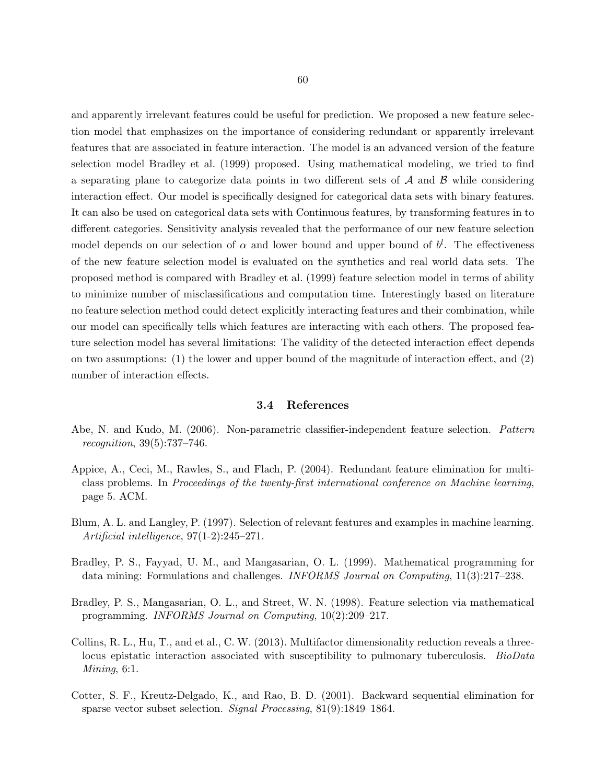and apparently irrelevant features could be useful for prediction. We proposed a new feature selection model that emphasizes on the importance of considering redundant or apparently irrelevant features that are associated in feature interaction. The model is an advanced version of the feature selection model Bradley et al. (1999) proposed. Using mathematical modeling, we tried to find a separating plane to categorize data points in two different sets of  $A$  and  $B$  while considering interaction effect. Our model is specifically designed for categorical data sets with binary features. It can also be used on categorical data sets with Continuous features, by transforming features in to different categories. Sensitivity analysis revealed that the performance of our new feature selection model depends on our selection of  $\alpha$  and lower bound and upper bound of  $b<sup>l</sup>$ . The effectiveness of the new feature selection model is evaluated on the synthetics and real world data sets. The proposed method is compared with Bradley et al. (1999) feature selection model in terms of ability to minimize number of misclassifications and computation time. Interestingly based on literature no feature selection method could detect explicitly interacting features and their combination, while our model can specifically tells which features are interacting with each others. The proposed feature selection model has several limitations: The validity of the detected interaction effect depends on two assumptions: (1) the lower and upper bound of the magnitude of interaction effect, and (2) number of interaction effects.

#### 3.4 References

- Abe, N. and Kudo, M. (2006). Non-parametric classifier-independent feature selection. Pattern recognition, 39(5):737–746.
- Appice, A., Ceci, M., Rawles, S., and Flach, P. (2004). Redundant feature elimination for multiclass problems. In Proceedings of the twenty-first international conference on Machine learning, page 5. ACM.
- Blum, A. L. and Langley, P. (1997). Selection of relevant features and examples in machine learning. Artificial intelligence, 97(1-2):245–271.
- Bradley, P. S., Fayyad, U. M., and Mangasarian, O. L. (1999). Mathematical programming for data mining: Formulations and challenges. INFORMS Journal on Computing, 11(3):217–238.
- Bradley, P. S., Mangasarian, O. L., and Street, W. N. (1998). Feature selection via mathematical programming. INFORMS Journal on Computing, 10(2):209–217.
- Collins, R. L., Hu, T., and et al., C. W. (2013). Multifactor dimensionality reduction reveals a threelocus epistatic interaction associated with susceptibility to pulmonary tuberculosis. BioData Mining, 6:1.
- Cotter, S. F., Kreutz-Delgado, K., and Rao, B. D. (2001). Backward sequential elimination for sparse vector subset selection. Signal Processing, 81(9):1849–1864.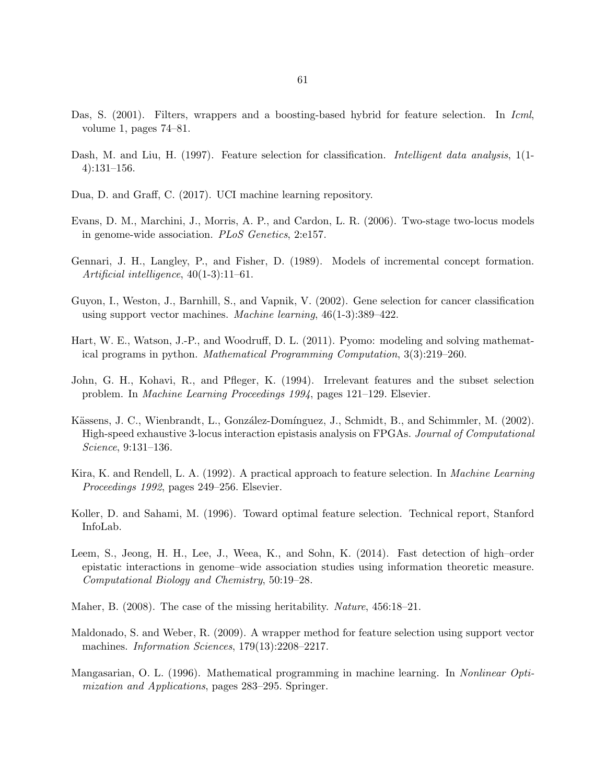- Das, S. (2001). Filters, wrappers and a boosting-based hybrid for feature selection. In *Icml*, volume 1, pages 74–81.
- Dash, M. and Liu, H. (1997). Feature selection for classification. *Intelligent data analysis*, 1(1-4):131–156.
- Dua, D. and Graff, C. (2017). UCI machine learning repository.
- Evans, D. M., Marchini, J., Morris, A. P., and Cardon, L. R. (2006). Two-stage two-locus models in genome-wide association. PLoS Genetics, 2:e157.
- Gennari, J. H., Langley, P., and Fisher, D. (1989). Models of incremental concept formation. Artificial intelligence, 40(1-3):11–61.
- Guyon, I., Weston, J., Barnhill, S., and Vapnik, V. (2002). Gene selection for cancer classification using support vector machines. Machine learning, 46(1-3):389–422.
- Hart, W. E., Watson, J.-P., and Woodruff, D. L. (2011). Pyomo: modeling and solving mathematical programs in python. Mathematical Programming Computation, 3(3):219–260.
- John, G. H., Kohavi, R., and Pfleger, K. (1994). Irrelevant features and the subset selection problem. In Machine Learning Proceedings 1994, pages 121–129. Elsevier.
- Kässens, J. C., Wienbrandt, L., González-Domínguez, J., Schmidt, B., and Schimmler, M. (2002). High-speed exhaustive 3-locus interaction epistasis analysis on FPGAs. Journal of Computational Science, 9:131–136.
- Kira, K. and Rendell, L. A. (1992). A practical approach to feature selection. In Machine Learning Proceedings 1992, pages 249–256. Elsevier.
- Koller, D. and Sahami, M. (1996). Toward optimal feature selection. Technical report, Stanford InfoLab.
- Leem, S., Jeong, H. H., Lee, J., Weea, K., and Sohn, K. (2014). Fast detection of high–order epistatic interactions in genome–wide association studies using information theoretic measure. Computational Biology and Chemistry, 50:19–28.
- Maher, B. (2008). The case of the missing heritability. *Nature*, 456:18–21.
- Maldonado, S. and Weber, R. (2009). A wrapper method for feature selection using support vector machines. *Information Sciences*, 179(13):2208-2217.
- Mangasarian, O. L. (1996). Mathematical programming in machine learning. In Nonlinear Optimization and Applications, pages 283–295. Springer.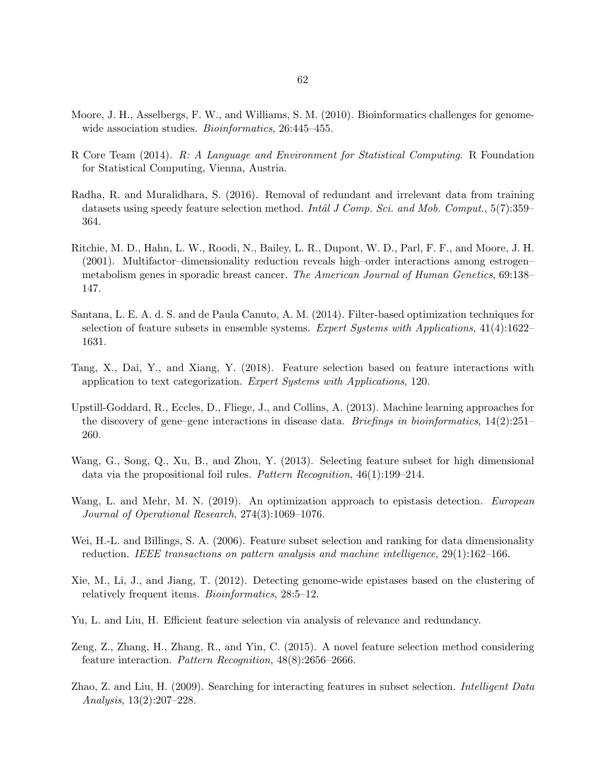- Moore, J. H., Asselbergs, F. W., and Williams, S. M. (2010). Bioinformatics challenges for genomewide association studies. *Bioinformatics*, 26:445-455.
- R Core Team (2014). R: A Language and Environment for Statistical Computing. R Foundation for Statistical Computing, Vienna, Austria.
- Radha, R. and Muralidhara, S. (2016). Removal of redundant and irrelevant data from training datasets using speedy feature selection method. Intâl J Comp. Sci. and Mob. Comput.,  $5(7):359-$ 364.
- Ritchie, M. D., Hahn, L. W., Roodi, N., Bailey, L. R., Dupont, W. D., Parl, F. F., and Moore, J. H. (2001). Multifactor–dimensionality reduction reveals high–order interactions among estrogen– metabolism genes in sporadic breast cancer. The American Journal of Human Genetics, 69:138– 147.
- Santana, L. E. A. d. S. and de Paula Canuto, A. M. (2014). Filter-based optimization techniques for selection of feature subsets in ensemble systems. Expert Systems with Applications, 41(4):1622– 1631.
- Tang, X., Dai, Y., and Xiang, Y. (2018). Feature selection based on feature interactions with application to text categorization. Expert Systems with Applications, 120.
- Upstill-Goddard, R., Eccles, D., Fliege, J., and Collins, A. (2013). Machine learning approaches for the discovery of gene–gene interactions in disease data. Briefings in bioinformatics,  $14(2):251-$ 260.
- Wang, G., Song, Q., Xu, B., and Zhou, Y. (2013). Selecting feature subset for high dimensional data via the propositional foil rules. Pattern Recognition, 46(1):199–214.
- Wang, L. and Mehr, M. N. (2019). An optimization approach to epistasis detection. European Journal of Operational Research, 274(3):1069–1076.
- Wei, H.-L. and Billings, S. A. (2006). Feature subset selection and ranking for data dimensionality reduction. IEEE transactions on pattern analysis and machine intelligence, 29(1):162–166.
- Xie, M., Li, J., and Jiang, T. (2012). Detecting genome-wide epistases based on the clustering of relatively frequent items. Bioinformatics, 28:5–12.
- Yu, L. and Liu, H. Efficient feature selection via analysis of relevance and redundancy.
- Zeng, Z., Zhang, H., Zhang, R., and Yin, C. (2015). A novel feature selection method considering feature interaction. Pattern Recognition, 48(8):2656–2666.
- Zhao, Z. and Liu, H. (2009). Searching for interacting features in subset selection. Intelligent Data Analysis, 13(2):207–228.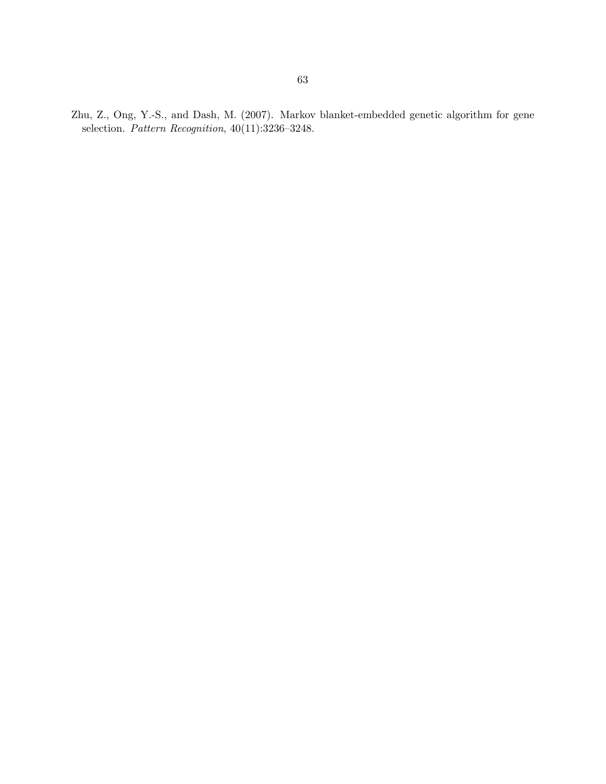Zhu, Z., Ong, Y.-S., and Dash, M. (2007). Markov blanket-embedded genetic algorithm for gene selection. Pattern Recognition, 40(11):3236–3248.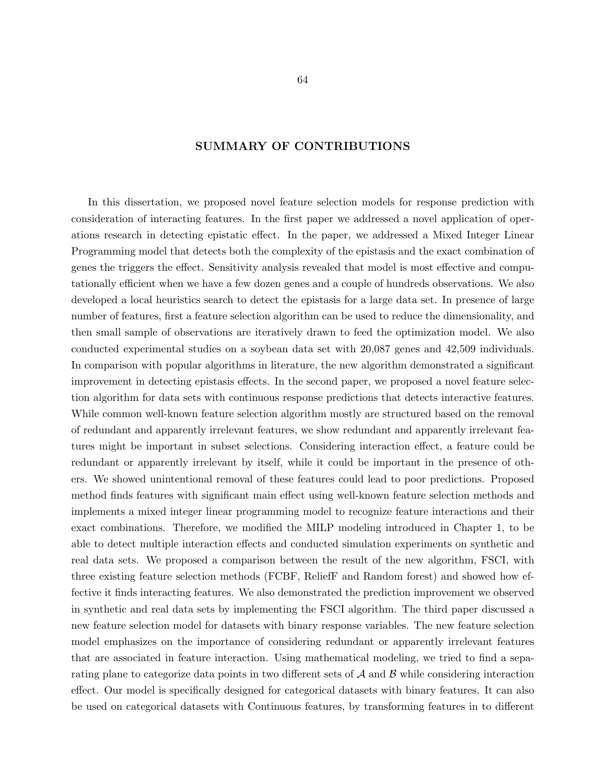## SUMMARY OF CONTRIBUTIONS

In this dissertation, we proposed novel feature selection models for response prediction with consideration of interacting features. In the first paper we addressed a novel application of operations research in detecting epistatic effect. In the paper, we addressed a Mixed Integer Linear Programming model that detects both the complexity of the epistasis and the exact combination of genes the triggers the effect. Sensitivity analysis revealed that model is most effective and computationally efficient when we have a few dozen genes and a couple of hundreds observations. We also developed a local heuristics search to detect the epistasis for a large data set. In presence of large number of features, first a feature selection algorithm can be used to reduce the dimensionality, and then small sample of observations are iteratively drawn to feed the optimization model. We also conducted experimental studies on a soybean data set with 20,087 genes and 42,509 individuals. In comparison with popular algorithms in literature, the new algorithm demonstrated a significant improvement in detecting epistasis effects. In the second paper, we proposed a novel feature selection algorithm for data sets with continuous response predictions that detects interactive features. While common well-known feature selection algorithm mostly are structured based on the removal of redundant and apparently irrelevant features, we show redundant and apparently irrelevant features might be important in subset selections. Considering interaction effect, a feature could be redundant or apparently irrelevant by itself, while it could be important in the presence of others. We showed unintentional removal of these features could lead to poor predictions. Proposed method finds features with significant main effect using well-known feature selection methods and implements a mixed integer linear programming model to recognize feature interactions and their exact combinations. Therefore, we modified the MILP modeling introduced in Chapter 1, to be able to detect multiple interaction effects and conducted simulation experiments on synthetic and real data sets. We proposed a comparison between the result of the new algorithm, FSCI, with three existing feature selection methods (FCBF, ReliefF and Random forest) and showed how effective it finds interacting features. We also demonstrated the prediction improvement we observed in synthetic and real data sets by implementing the FSCI algorithm. The third paper discussed a new feature selection model for datasets with binary response variables. The new feature selection model emphasizes on the importance of considering redundant or apparently irrelevant features that are associated in feature interaction. Using mathematical modeling, we tried to find a separating plane to categorize data points in two different sets of  $A$  and  $B$  while considering interaction effect. Our model is specifically designed for categorical datasets with binary features. It can also be used on categorical datasets with Continuous features, by transforming features in to different